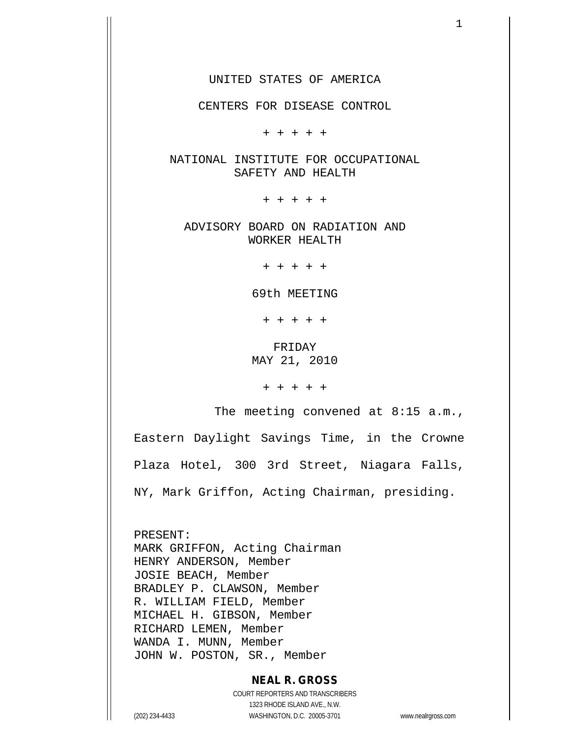UNITED STATES OF AMERICA

CENTERS FOR DISEASE CONTROL

+ + + + +

NATIONAL INSTITUTE FOR OCCUPATIONAL SAFETY AND HEALTH

+ + + + +

ADVISORY BOARD ON RADIATION AND WORKER HEALTH

+ + + + +

69th MEETING

+ + + + +

FRIDAY MAY 21, 2010

+ + + + +

The meeting convened at 8:15 a.m.,

Eastern Daylight Savings Time, in the Crowne

Plaza Hotel, 300 3rd Street, Niagara Falls,

NY, Mark Griffon, Acting Chairman, presiding.

PRESENT: MARK GRIFFON, Acting Chairman HENRY ANDERSON, Member JOSIE BEACH, Member BRADLEY P. CLAWSON, Member R. WILLIAM FIELD, Member MICHAEL H. GIBSON, Member RICHARD LEMEN, Member WANDA I. MUNN, Member JOHN W. POSTON, SR., Member

## **NEAL R. GROSS**

COURT REPORTERS AND TRANSCRIBERS 1323 RHODE ISLAND AVE., N.W. (202) 234-4433 WASHINGTON, D.C. 20005-3701 www.nealrgross.com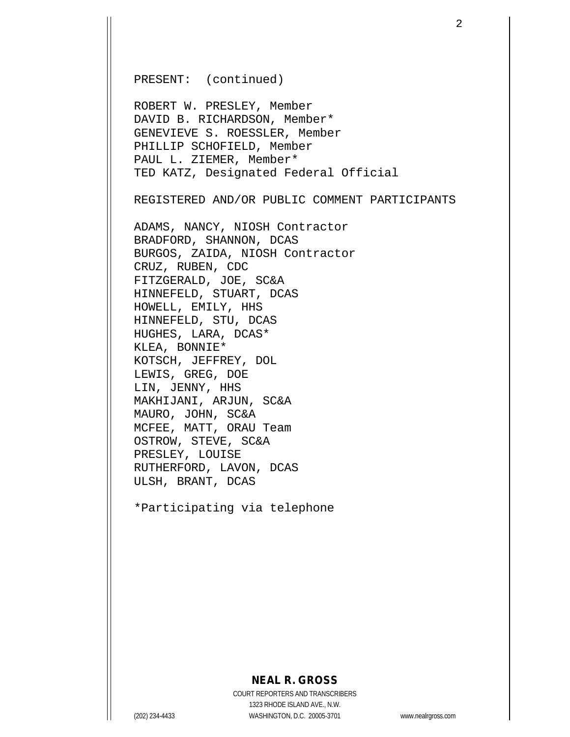PRESENT: (continued)

ROBERT W. PRESLEY, Member DAVID B. RICHARDSON, Member\* GENEVIEVE S. ROESSLER, Member PHILLIP SCHOFIELD, Member PAUL L. ZIEMER, Member\* TED KATZ, Designated Federal Official

REGISTERED AND/OR PUBLIC COMMENT PARTICIPANTS

ADAMS, NANCY, NIOSH Contractor BRADFORD, SHANNON, DCAS BURGOS, ZAIDA, NIOSH Contractor CRUZ, RUBEN, CDC FITZGERALD, JOE, SC&A HINNEFELD, STUART, DCAS HOWELL, EMILY, HHS HINNEFELD, STU, DCAS HUGHES, LARA, DCAS\* KLEA, BONNIE\* KOTSCH, JEFFREY, DOL LEWIS, GREG, DOE LIN, JENNY, HHS MAKHIJANI, ARJUN, SC&A MAURO, JOHN, SC&A MCFEE, MATT, ORAU Team OSTROW, STEVE, SC&A PRESLEY, LOUISE RUTHERFORD, LAVON, DCAS ULSH, BRANT, DCAS

\*Participating via telephone

## **NEAL R. GROSS**

COURT REPORTERS AND TRANSCRIBERS 1323 RHODE ISLAND AVE., N.W. (202) 234-4433 WASHINGTON, D.C. 20005-3701 www.nealrgross.com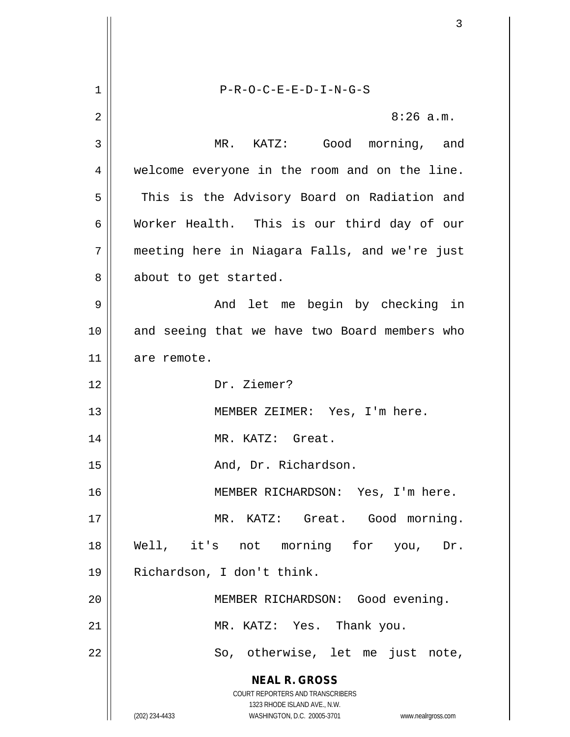**NEAL R. GROSS** COURT REPORTERS AND TRANSCRIBERS 1323 RHODE ISLAND AVE., N.W. (202) 234-4433 WASHINGTON, D.C. 20005-3701 www.nealrgross.com 1 P-R-O-C-E-E-D-I-N-G-S 2  $\parallel$  8:26 a.m. 3 MR. KATZ: Good morning, and 4 || welcome everyone in the room and on the line. 5 || This is the Advisory Board on Radiation and 6 Worker Health. This is our third day of our 7 meeting here in Niagara Falls, and we're just  $8 \parallel$  about to get started. 9 And let me begin by checking in 10 || and seeing that we have two Board members who 11 are remote. 12 Dr. Ziemer? 13 MEMBER ZEIMER: Yes, I'm here. 14 || MR. KATZ: Great. 15 || Richardson. And, Dr. Richardson. 16 MEMBER RICHARDSON: Yes, I'm here. 17 || MR. KATZ: Great. Good morning. 18 Well, it's not morning for you, Dr. 19 Richardson, I don't think. 20 MEMBER RICHARDSON: Good evening. 21 || MR. KATZ: Yes. Thank you. 22 || So, otherwise, let me just note,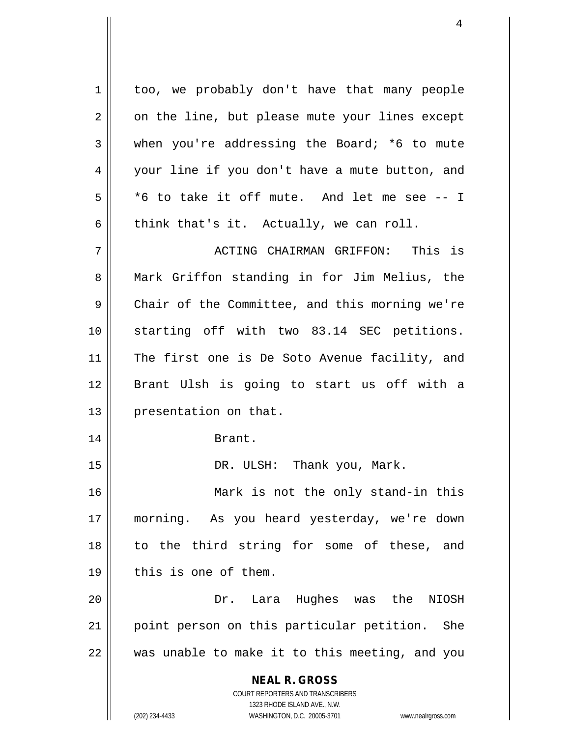**NEAL R. GROSS** COURT REPORTERS AND TRANSCRIBERS 1323 RHODE ISLAND AVE., N.W. 1 | too, we probably don't have that many people  $2 \parallel$  on the line, but please mute your lines except  $3 \parallel$  when you're addressing the Board; \*6 to mute 4 || your line if you don't have a mute button, and  $5 \parallel$  \*6 to take it off mute. And let me see -- I 6 think that's it. Actually, we can roll. 7 ACTING CHAIRMAN GRIFFON: This is 8 Mark Griffon standing in for Jim Melius, the 9 Chair of the Committee, and this morning we're 10 starting off with two 83.14 SEC petitions. 11 || The first one is De Soto Avenue facility, and 12 Brant Ulsh is going to start us off with a 13 | presentation on that. 14 || Brant. 15 DR. ULSH: Thank you, Mark. 16 Mark is not the only stand-in this 17 morning. As you heard yesterday, we're down 18 || to the third string for some of these, and 19 || this is one of them. 20 Dr. Lara Hughes was the NIOSH 21 || point person on this particular petition. She  $22$   $\parallel$  was unable to make it to this meeting, and you

(202) 234-4433 WASHINGTON, D.C. 20005-3701 www.nealrgross.com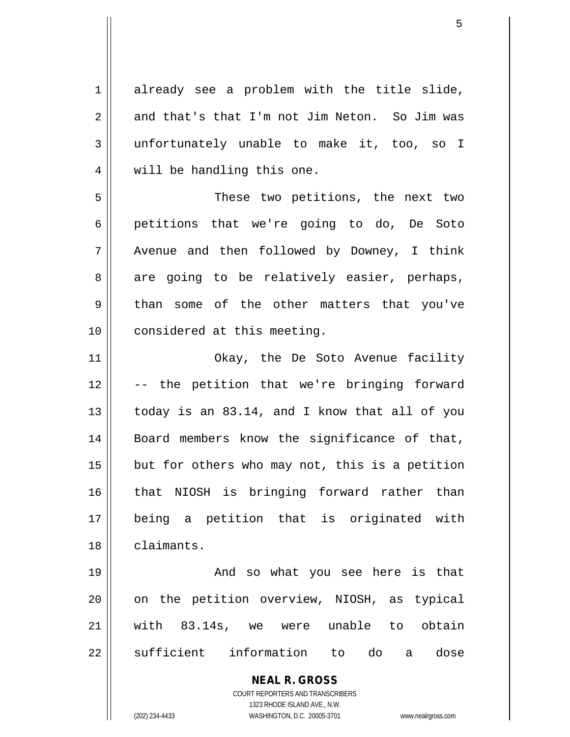$1$  already see a problem with the title slide,  $2 \parallel$  and that's that I'm not Jim Neton. So Jim was 3 unfortunately unable to make it, too, so I 4 || will be handling this one.

5 || These two petitions, the next two 6 petitions that we're going to do, De Soto 7 || Avenue and then followed by Downey, I think  $8 \parallel$  are going to be relatively easier, perhaps, 9 than some of the other matters that you've 10 || considered at this meeting.

11 || Okay, the De Soto Avenue facility 12 -- the petition that we're bringing forward 13  $\parallel$  today is an 83.14, and I know that all of you 14 || Board members know the significance of that,  $15$  | but for others who may not, this is a petition 16 that NIOSH is bringing forward rather than 17 being a petition that is originated with 18 | claimants.

19 And so what you see here is that 20 || on the petition overview, NIOSH, as typical 21 with 83.14s, we were unable to obtain 22 Sufficient information to do a dose

> **NEAL R. GROSS** COURT REPORTERS AND TRANSCRIBERS

> > 1323 RHODE ISLAND AVE., N.W.

(202) 234-4433 WASHINGTON, D.C. 20005-3701 www.nealrgross.com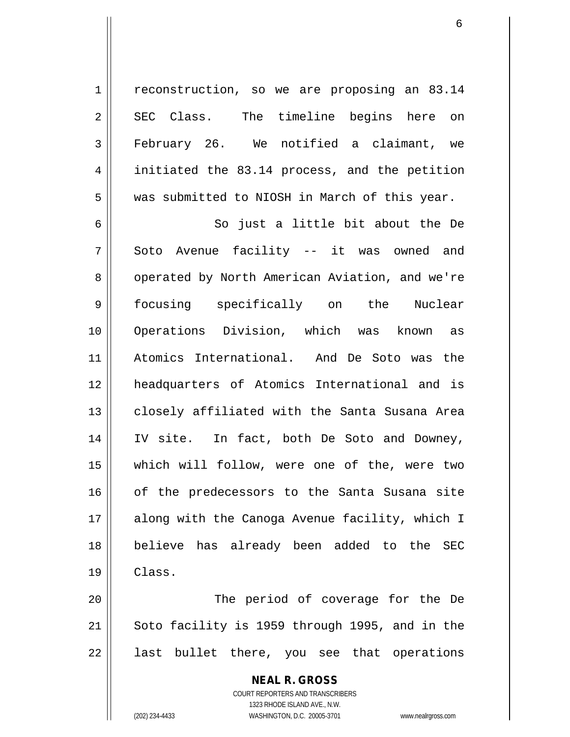1 | reconstruction, so we are proposing an 83.14 2 SEC Class. The timeline begins here on 3 February 26. We notified a claimant, we 4 || initiated the 83.14 process, and the petition 5 Wed Submitted to NIOSH in March of this year.

6 || So just a little bit about the De 7 Soto Avenue facility -- it was owned and 8 | operated by North American Aviation, and we're 9 focusing specifically on the Nuclear 10 Operations Division, which was known as 11 Atomics International. And De Soto was the 12 headquarters of Atomics International and is 13 || closely affiliated with the Santa Susana Area 14 || IV site. In fact, both De Soto and Downey, 15 which will follow, were one of the, were two 16 || of the predecessors to the Santa Susana site 17 || along with the Canoga Avenue facility, which I 18 || believe has already been added to the SEC 19 Class.

20 || The period of coverage for the De  $21$  Soto facility is 1959 through 1995, and in the  $22$  || last bullet there, you see that operations

> **NEAL R. GROSS** COURT REPORTERS AND TRANSCRIBERS 1323 RHODE ISLAND AVE., N.W. (202) 234-4433 WASHINGTON, D.C. 20005-3701 www.nealrgross.com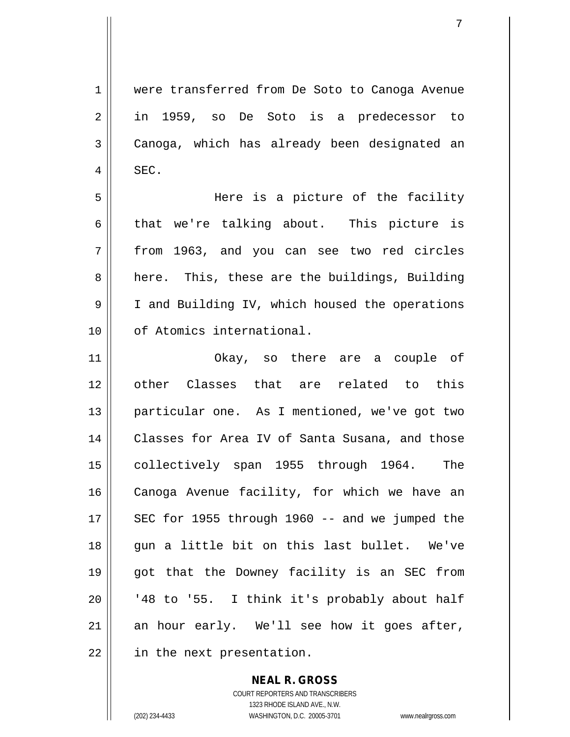were transferred from De Soto to Canoga Avenue in 1959, so De Soto is a predecessor to Canoga, which has already been designated an  $4 \parallel$  SEC.

5 Here is a picture of the facility  $6 \parallel$  that we're talking about. This picture is 7 from 1963, and you can see two red circles 8 || here. This, these are the buildings, Building 9 | I and Building IV, which housed the operations 10 0 of Atomics international.

 Okay, so there are a couple of other Classes that are related to this 13 || particular one. As I mentioned, we've got two Classes for Area IV of Santa Susana, and those 15 || collectively span 1955 through 1964. The 16 || Canoga Avenue facility, for which we have an  $\parallel$  SEC for 1955 through 1960 -- and we jumped the 18 gun a little bit on this last bullet. We've got that the Downey facility is an SEC from ||  $148$  to '55. I think it's probably about half an hour early. We'll see how it goes after, | in the next presentation.

> **NEAL R. GROSS** COURT REPORTERS AND TRANSCRIBERS 1323 RHODE ISLAND AVE., N.W. (202) 234-4433 WASHINGTON, D.C. 20005-3701 www.nealrgross.com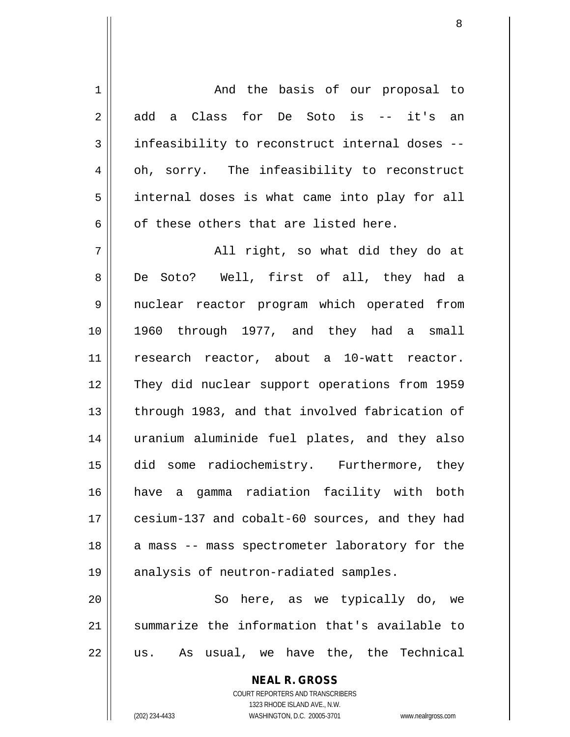**NEAL R. GROSS** 1 | And the basis of our proposal to 2 add a Class for De Soto is -- it's an 3 || infeasibility to reconstruct internal doses --4 | oh, sorry. The infeasibility to reconstruct  $5 \parallel$  internal doses is what came into play for all  $6 \parallel$  of these others that are listed here. 7 All right, so what did they do at 8 De Soto? Well, first of all, they had a 9 || nuclear reactor program which operated from 10 1960 through 1977, and they had a small 11 || research reactor, about a 10-watt reactor. 12 || They did nuclear support operations from 1959 13 || through 1983, and that involved fabrication of 14 uranium aluminide fuel plates, and they also 15 did some radiochemistry. Furthermore, they 16 have a gamma radiation facility with both 17 || cesium-137 and cobalt-60 sources, and they had 18 || a mass -- mass spectrometer laboratory for the 19 || analysis of neutron-radiated samples. 20 || So here, as we typically do, we 21 Summarize the information that's available to  $22 \parallel$  us. As usual, we have the, the Technical

> COURT REPORTERS AND TRANSCRIBERS 1323 RHODE ISLAND AVE., N.W.

(202) 234-4433 WASHINGTON, D.C. 20005-3701 www.nealrgross.com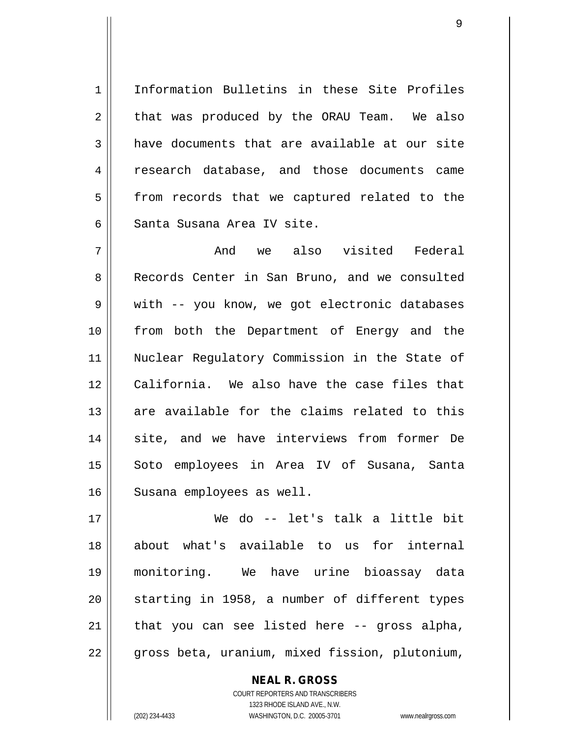1 Information Bulletins in these Site Profiles  $2 \parallel$  that was produced by the ORAU Team. We also  $3$  have documents that are available at our site 4 || research database, and those documents came 5 || from records that we captured related to the 6 Santa Susana Area IV site.

7 And we also visited Federal 8 Records Center in San Bruno, and we consulted 9 || with -- you know, we got electronic databases 10 || from both the Department of Energy and the 11 Nuclear Regulatory Commission in the State of 12 || California. We also have the case files that 13 are available for the claims related to this 14 site, and we have interviews from former De 15 || Soto employees in Area IV of Susana, Santa 16 | Susana employees as well.

 We do -- let's talk a little bit about what's available to us for internal monitoring. We have urine bioassay data starting in 1958, a number of different types that you can see listed here  $-$  gross alpha, 22 | gross beta, uranium, mixed fission, plutonium,

> COURT REPORTERS AND TRANSCRIBERS 1323 RHODE ISLAND AVE., N.W. (202) 234-4433 WASHINGTON, D.C. 20005-3701 www.nealrgross.com

**NEAL R. GROSS**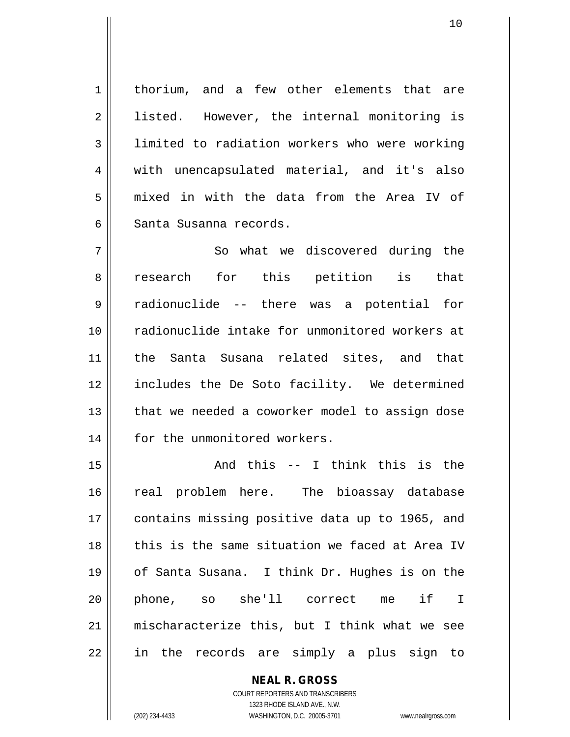1 | thorium, and a few other elements that are 2 || listed. However, the internal monitoring is 3 | limited to radiation workers who were working 4 || with unencapsulated material, and it's also  $5 \parallel$  mixed in with the data from the Area IV of 6 || Santa Susanna records.

7 || So what we discovered during the 8 || research for this petition is that 9 || radionuclide -- there was a potential for 10 radionuclide intake for unmonitored workers at 11 || the Santa Susana related sites, and that 12 includes the De Soto facility. We determined 13 || that we needed a coworker model to assign dose 14 || for the unmonitored workers.

 And this -- I think this is the real problem here. The bioassay database 17 || contains missing positive data up to 1965, and 18 II this is the same situation we faced at Area IV of Santa Susana. I think Dr. Hughes is on the phone, so she'll correct me if I mischaracterize this, but I think what we see in the records are simply a plus sign to

> **NEAL R. GROSS** COURT REPORTERS AND TRANSCRIBERS 1323 RHODE ISLAND AVE., N.W. (202) 234-4433 WASHINGTON, D.C. 20005-3701 www.nealrgross.com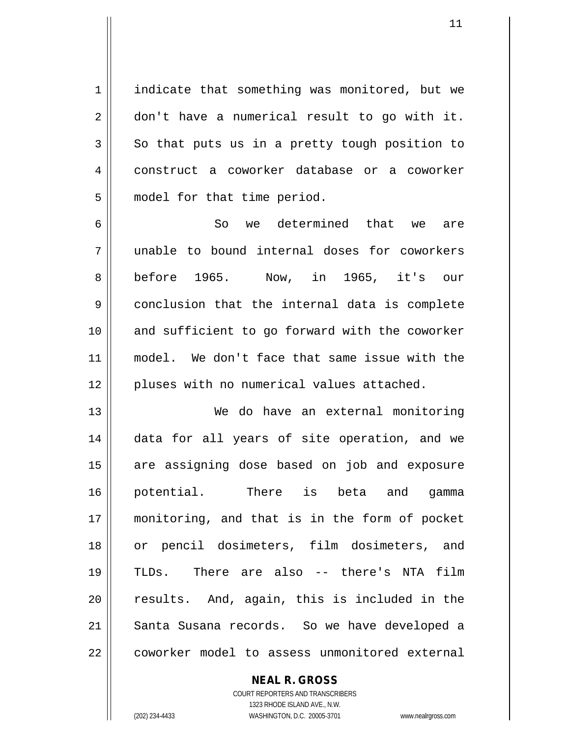1 | indicate that something was monitored, but we  $2 \parallel$  don't have a numerical result to go with it.  $3 \parallel$  So that puts us in a pretty tough position to 4 construct a coworker database or a coworker 5 | model for that time period.

6 So we determined that we are 7 unable to bound internal doses for coworkers 8|| before 1965. Now, in 1965, it's our 9 conclusion that the internal data is complete 10 || and sufficient to go forward with the coworker 11 model. We don't face that same issue with the 12 || pluses with no numerical values attached.

13 We do have an external monitoring 14 || data for all years of site operation, and we 15 || are assigning dose based on job and exposure 16 potential. There is beta and gamma 17 monitoring, and that is in the form of pocket 18 or pencil dosimeters, film dosimeters, and 19 TLDs. There are also -- there's NTA film 20 || results. And, again, this is included in the 21 Santa Susana records. So we have developed a 22 || coworker model to assess unmonitored external

> COURT REPORTERS AND TRANSCRIBERS 1323 RHODE ISLAND AVE., N.W. (202) 234-4433 WASHINGTON, D.C. 20005-3701 www.nealrgross.com

**NEAL R. GROSS**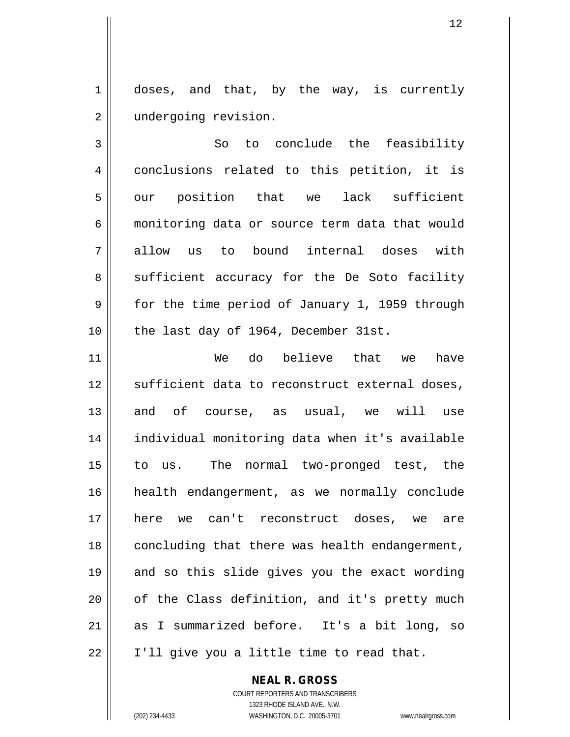1 doses, and that, by the way, is currently 2 | undergoing revision.

3 So to conclude the feasibility 4 || conclusions related to this petition, it is  $5 \parallel$  our position that we lack sufficient 6 monitoring data or source term data that would 7 allow us to bound internal doses with  $8 \parallel$  sufficient accuracy for the De Soto facility 9 Solut for the time period of January 1, 1959 through 10 || the last day of 1964, December 31st.

11 We do believe that we have  $12$   $\parallel$  sufficient data to reconstruct external doses, 13 and of course, as usual, we will use 14 individual monitoring data when it's available 15 to us. The normal two-pronged test, the 16 health endangerment, as we normally conclude 17 here we can't reconstruct doses, we are 18 || concluding that there was health endangerment, 19 || and so this slide gives you the exact wording 20 || of the Class definition, and it's pretty much 21 as I summarized before. It's a bit long, so 22 | I'll give you a little time to read that.

> **NEAL R. GROSS** COURT REPORTERS AND TRANSCRIBERS

1323 RHODE ISLAND AVE., N.W. (202) 234-4433 WASHINGTON, D.C. 20005-3701 www.nealrgross.com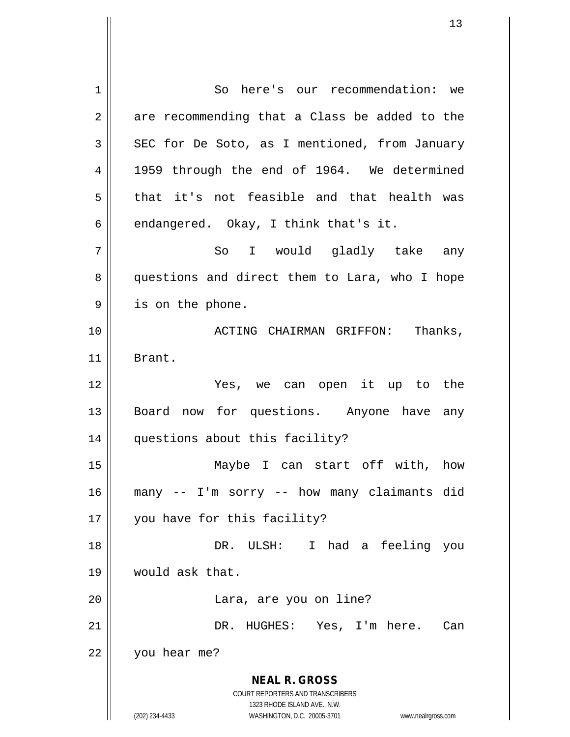**NEAL R. GROSS** COURT REPORTERS AND TRANSCRIBERS 1323 RHODE ISLAND AVE., N.W. (202) 234-4433 WASHINGTON, D.C. 20005-3701 www.nealrgross.com 1 So here's our recommendation: we  $2 \parallel$  are recommending that a Class be added to the  $3 \parallel$  SEC for De Soto, as I mentioned, from January 4 || 1959 through the end of 1964. We determined  $5 \parallel$  that it's not feasible and that health was  $6 \parallel$  endangered. Okay, I think that's it. 7 So I would gladly take any 8 || questions and direct them to Lara, who I hope 9 || is on the phone. 10 || ACTING CHAIRMAN GRIFFON: Thanks, 11 Brant. 12 Yes, we can open it up to the 13 || Board now for questions. Anyone have any 14 || questions about this facility? 15 Maybe I can start off with, how 16 many -- I'm sorry -- how many claimants did 17 || you have for this facility? 18 DR. ULSH: I had a feeling you 19 would ask that. 20 Lara, are you on line? 21 DR. HUGHES: Yes, I'm here. Can 22 you hear me?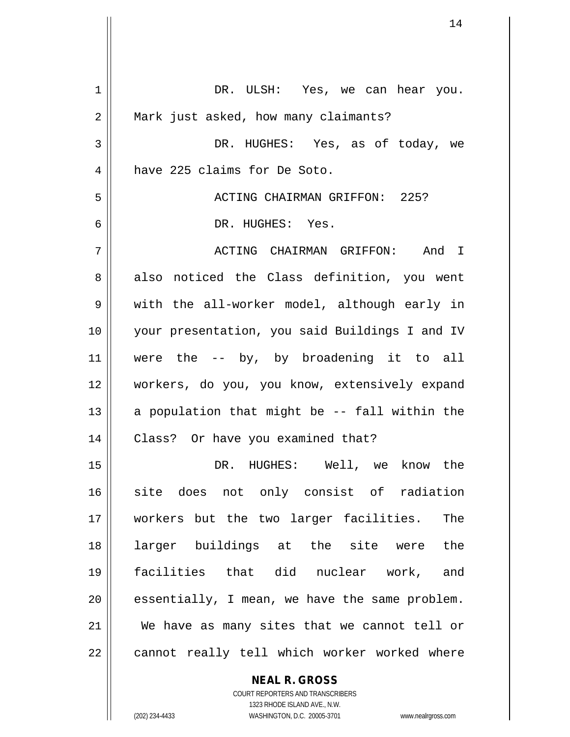| 1  | DR. ULSH: Yes, we can hear you.                |
|----|------------------------------------------------|
| 2  | Mark just asked, how many claimants?           |
| 3  | DR. HUGHES: Yes, as of today, we               |
| 4  | have 225 claims for De Soto.                   |
| 5  | ACTING CHAIRMAN GRIFFON: 225?                  |
| 6  | DR. HUGHES: Yes.                               |
| 7  | ACTING CHAIRMAN GRIFFON: And I                 |
| 8  | also noticed the Class definition, you went    |
| 9  | with the all-worker model, although early in   |
| 10 | your presentation, you said Buildings I and IV |
| 11 | were the -- by, by broadening it to all        |
| 12 | workers, do you, you know, extensively expand  |
| 13 | a population that might be -- fall within the  |
| 14 | Class? Or have you examined that?              |
| 15 | DR. HUGHES: Well, we know the                  |
| 16 | site does not only consist of radiation        |
| 17 | workers but the two larger facilities.<br>The  |
| 18 | larger buildings at the site were the          |
| 19 | facilities that did nuclear work, and          |
| 20 | essentially, I mean, we have the same problem. |
| 21 | We have as many sites that we cannot tell or   |
| 22 | cannot really tell which worker worked where   |
|    | <b>NEAL R. GROSS</b>                           |

COURT REPORTERS AND TRANSCRIBERS 1323 RHODE ISLAND AVE., N.W.

 $\mathsf{II}$ 

(202) 234-4433 WASHINGTON, D.C. 20005-3701 www.nealrgross.com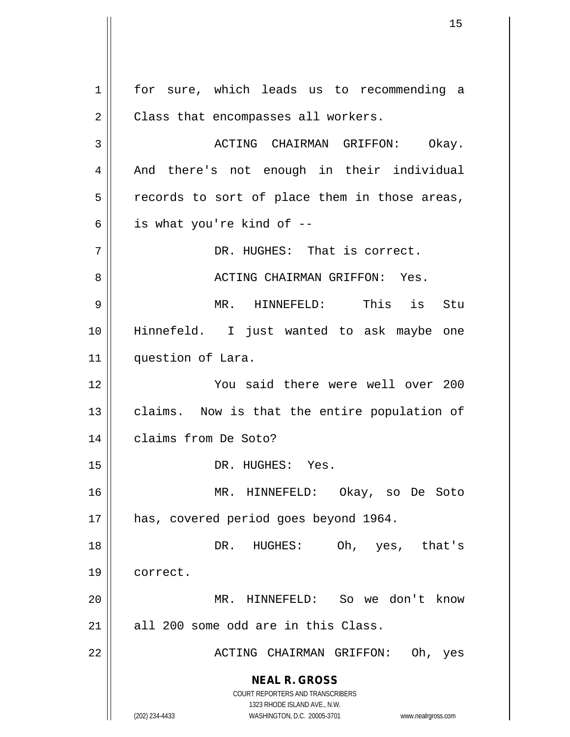**NEAL R. GROSS** COURT REPORTERS AND TRANSCRIBERS 1323 RHODE ISLAND AVE., N.W. (202) 234-4433 WASHINGTON, D.C. 20005-3701 www.nealrgross.com 1 || for sure, which leads us to recommending a  $2 \parallel$  Class that encompasses all workers. 3 ACTING CHAIRMAN GRIFFON: Okay. 4 || And there's not enough in their individual  $5 \parallel$  records to sort of place them in those areas,  $6 \parallel$  is what you're kind of  $-$ 7 || DR. HUGHES: That is correct. 8 ACTING CHAIRMAN GRIFFON: Yes. 9 MR. HINNEFELD: This is Stu 10 Hinnefeld. I just wanted to ask maybe one 11 | question of Lara. 12 You said there were well over 200 13 || claims. Now is that the entire population of 14 | claims from De Soto? 15 || DR. HUGHES: Yes. 16 MR. HINNEFELD: Okay, so De Soto 17 || has, covered period goes beyond 1964. 18 DR. HUGHES: Oh, yes, that's 19 | correct. 20 MR. HINNEFELD: So we don't know  $21$  all 200 some odd are in this Class. 22 ACTING CHAIRMAN GRIFFON: Oh, yes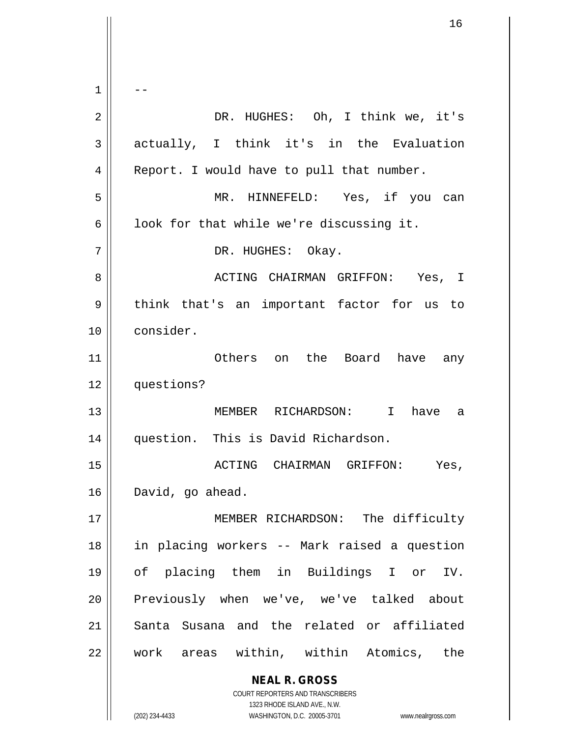**NEAL R. GROSS** COURT REPORTERS AND TRANSCRIBERS 1323 RHODE ISLAND AVE., N.W. (202) 234-4433 WASHINGTON, D.C. 20005-3701 www.nealrgross.com  $1 \parallel - -$ 2 DR. HUGHES: Oh, I think we, it's 3 || actually, I think it's in the Evaluation 4 | Report. I would have to pull that number. 5 MR. HINNEFELD: Yes, if you can  $6 \parallel$  look for that while we're discussing it. 7 || DR. HUGHES: Okay. 8 ACTING CHAIRMAN GRIFFON: Yes, I  $9 \parallel$  think that's an important factor for us to 10 consider. 11 Others on the Board have any 12 questions? 13 MEMBER RICHARDSON: I have a 14 || question. This is David Richardson. 15 ACTING CHAIRMAN GRIFFON: Yes, 16 David, go ahead. 17 || MEMBER RICHARDSON: The difficulty 18 in placing workers -- Mark raised a question 19 of placing them in Buildings I or IV. 20 || Previously when we've, we've talked about 21 Santa Susana and the related or affiliated 22 Work areas within, within Atomics, the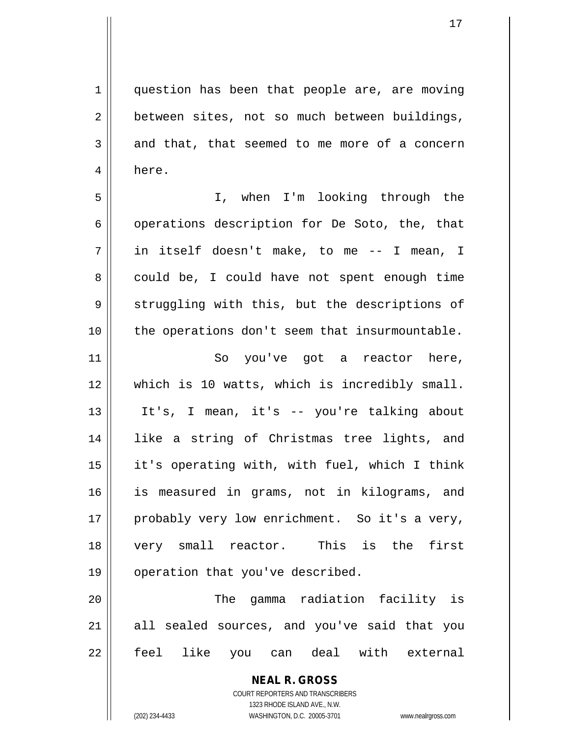1 || question has been that people are, are moving 2 | between sites, not so much between buildings,  $3 \parallel$  and that, that seemed to me more of a concern 4 here.

5 I, when I'm looking through the  $6 \parallel$  operations description for De Soto, the, that 7 in itself doesn't make, to me -- I mean, I  $8 \parallel$  could be, I could have not spent enough time  $9 \parallel$  struggling with this, but the descriptions of 10 || the operations don't seem that insurmountable.

11 || So you've got a reactor here, which is 10 watts, which is incredibly small. It's, I mean, it's -- you're talking about like a string of Christmas tree lights, and it's operating with, with fuel, which I think is measured in grams, not in kilograms, and 17 || probably very low enrichment. So it's a very, very small reactor. This is the first 19 || operation that you've described.

20 The gamma radiation facility is  $21$  all sealed sources, and you've said that you 22 || feel like you can deal with external

> **NEAL R. GROSS** COURT REPORTERS AND TRANSCRIBERS 1323 RHODE ISLAND AVE., N.W. (202) 234-4433 WASHINGTON, D.C. 20005-3701 www.nealrgross.com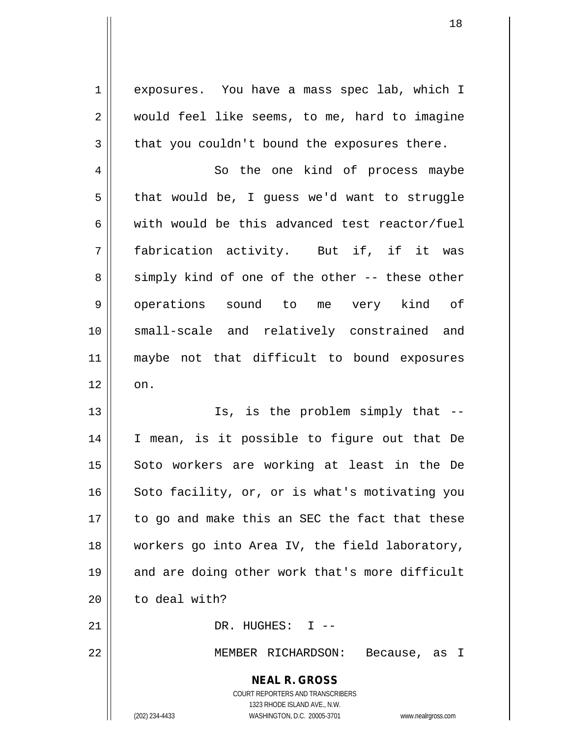1 exposures. You have a mass spec lab, which I 2 | would feel like seems, to me, hard to imagine  $3 \parallel$  that you couldn't bound the exposures there.

4 | So the one kind of process maybe  $5 \parallel$  that would be, I guess we'd want to struggle 6 with would be this advanced test reactor/fuel 7 fabrication activity. But if, if it was  $8 \parallel$  simply kind of one of the other -- these other 9 || operations sound to me very kind of 10 small-scale and relatively constrained and 11 maybe not that difficult to bound exposures  $12 \parallel \quad$  on.

13 || Is, is the problem simply that --14 I mean, is it possible to figure out that De 15 || Soto workers are working at least in the De 16 || Soto facility, or, or is what's motivating you 17 || to go and make this an SEC the fact that these 18 workers go into Area IV, the field laboratory, 19 || and are doing other work that's more difficult 20 to deal with?

21 DR. HUGHES: I --

22 MEMBER RICHARDSON: Because, as I

## **NEAL R. GROSS**

COURT REPORTERS AND TRANSCRIBERS 1323 RHODE ISLAND AVE., N.W. (202) 234-4433 WASHINGTON, D.C. 20005-3701 www.nealrgross.com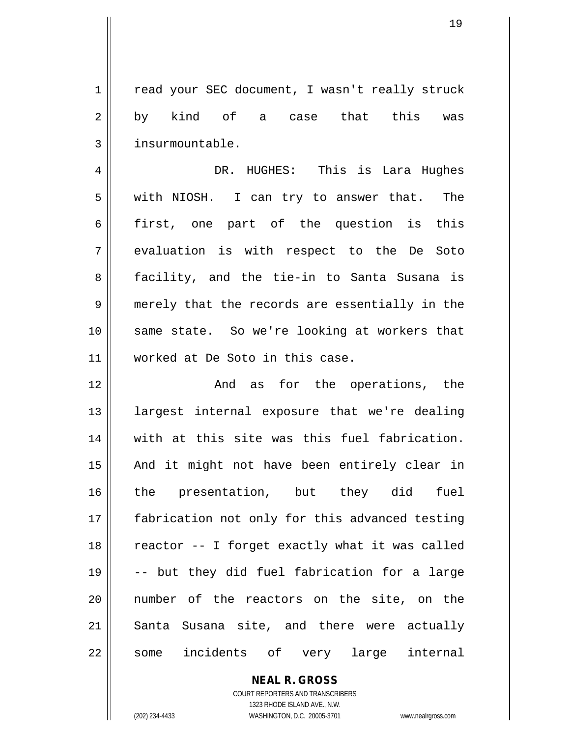1 | read your SEC document, I wasn't really struck 2 || by kind of a case that this was 3 | insurmountable.

4 DR. HUGHES: This is Lara Hughes 5 with NIOSH. I can try to answer that. The 6 first, one part of the question is this 7 evaluation is with respect to the De Soto 8 || facility, and the tie-in to Santa Susana is 9 || merely that the records are essentially in the 10 || same state. So we're looking at workers that 11 worked at De Soto in this case.

12 || The Contract Contract And as for the operations, the 13 largest internal exposure that we're dealing 14 || with at this site was this fuel fabrication. 15 || And it might not have been entirely clear in 16 the presentation, but they did fuel 17 || fabrication not only for this advanced testing  $18$  | reactor -- I forget exactly what it was called 19 -- but they did fuel fabrication for a large 20 number of the reactors on the site, on the 21 || Santa Susana site, and there were actually 22 || some incidents of very large internal

> COURT REPORTERS AND TRANSCRIBERS 1323 RHODE ISLAND AVE., N.W. (202) 234-4433 WASHINGTON, D.C. 20005-3701 www.nealrgross.com

**NEAL R. GROSS**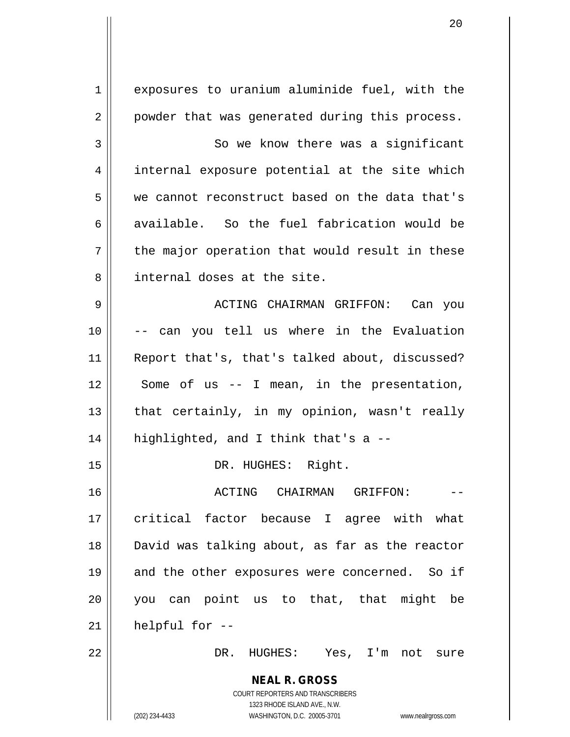**NEAL R. GROSS** COURT REPORTERS AND TRANSCRIBERS 1323 RHODE ISLAND AVE., N.W. (202) 234-4433 WASHINGTON, D.C. 20005-3701 www.nealrgross.com 1 || exposures to uranium aluminide fuel, with the 2 || powder that was generated during this process. 3 So we know there was a significant 4 || internal exposure potential at the site which 5 we cannot reconstruct based on the data that's 6 available. So the fuel fabrication would be  $7 \parallel$  the major operation that would result in these 8 || internal doses at the site. 9 ACTING CHAIRMAN GRIFFON: Can you 10 -- can you tell us where in the Evaluation 11 || Report that's, that's talked about, discussed?  $12 \parallel$  Some of us -- I mean, in the presentation, 13  $\parallel$  that certainly, in my opinion, wasn't really  $14$  || highlighted, and I think that's a --15 || DR. HUGHES: Right. 16 ACTING CHAIRMAN GRIFFON: -- 17 || critical factor because I agree with what 18 David was talking about, as far as the reactor 19 || and the other exposures were concerned. So if 20 || you can point us to that, that might be  $21$  | helpful for  $-$ 22 DR. HUGHES: Yes, I'm not sure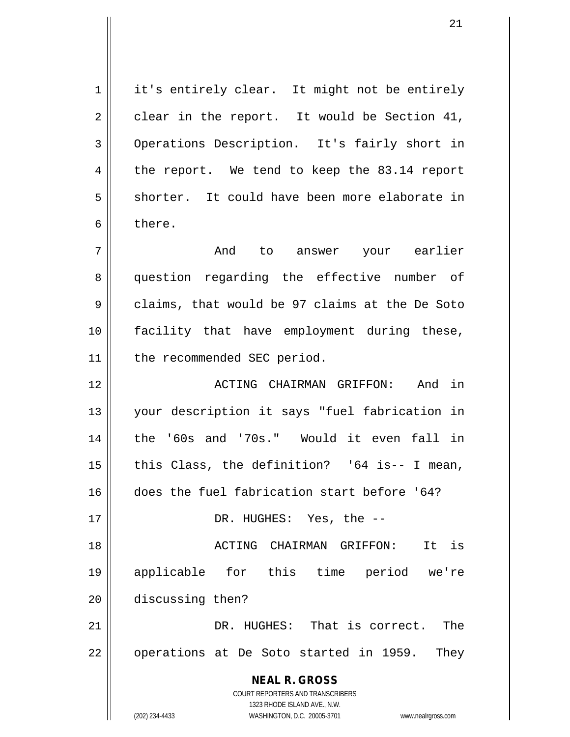1 | it's entirely clear. It might not be entirely  $2 \parallel$  clear in the report. It would be Section 41, 3 Operations Description. It's fairly short in 4 || the report. We tend to keep the 83.14 report 5 || shorter. It could have been more elaborate in 6 bere.

7 And to answer your earlier 8 || question regarding the effective number of  $9 \parallel$  claims, that would be 97 claims at the De Soto 10 facility that have employment during these, 11 | the recommended SEC period.

 ACTING CHAIRMAN GRIFFON: And in your description it says "fuel fabrication in the '60s and '70s." Would it even fall in  $\parallel$  this Class, the definition? '64 is-- I mean, does the fuel fabrication start before '64? DR. HUGHES: Yes, the --

18 ACTING CHAIRMAN GRIFFON: It is 19 applicable for this time period we're 20 discussing then?

21 DR. HUGHES: That is correct. The  $22 \parallel$  operations at De Soto started in 1959. They

> **NEAL R. GROSS** COURT REPORTERS AND TRANSCRIBERS 1323 RHODE ISLAND AVE., N.W.

(202) 234-4433 WASHINGTON, D.C. 20005-3701 www.nealrgross.com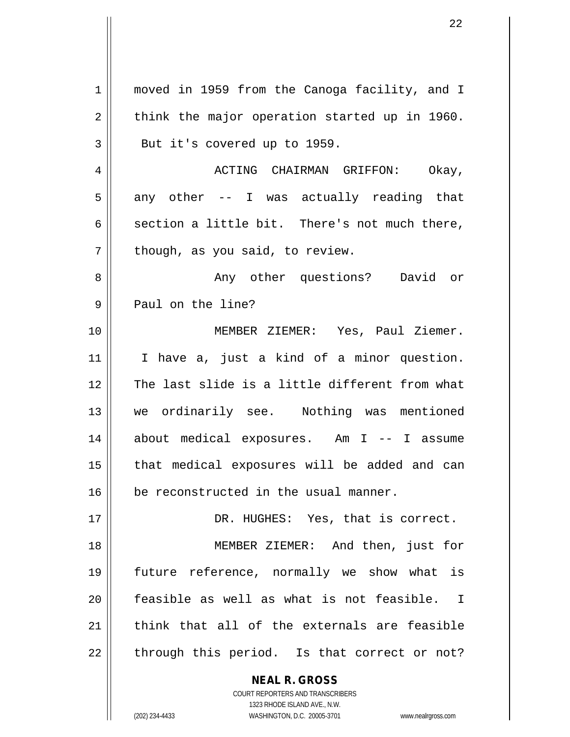| $\mathbf 1$ | moved in 1959 from the Canoga facility, and I                                                       |
|-------------|-----------------------------------------------------------------------------------------------------|
| 2           | think the major operation started up in 1960.                                                       |
| 3           | But it's covered up to 1959.                                                                        |
| 4           | ACTING CHAIRMAN GRIFFON: Okay,                                                                      |
| 5           | any other -- I was actually reading that                                                            |
| 6           | section a little bit. There's not much there,                                                       |
| 7           | though, as you said, to review.                                                                     |
| 8           | Any other questions? David or                                                                       |
| 9           | Paul on the line?                                                                                   |
| 10          | MEMBER ZIEMER: Yes, Paul Ziemer.                                                                    |
| 11          | I have a, just a kind of a minor question.                                                          |
| 12          | The last slide is a little different from what                                                      |
| 13          | we ordinarily see. Nothing was mentioned                                                            |
| 14          | about medical exposures. Am I -- I assume                                                           |
| 15          | that medical exposures will be added and can                                                        |
| 16          | be reconstructed in the usual manner.                                                               |
| 17          | DR. HUGHES: Yes, that is correct.                                                                   |
| 18          | MEMBER ZIEMER: And then, just for                                                                   |
| 19          | future reference, normally we show what is                                                          |
| 20          | feasible as well as what is not feasible. I                                                         |
| 21          | think that all of the externals are feasible                                                        |
| 22          | through this period. Is that correct or not?                                                        |
|             |                                                                                                     |
|             | <b>NEAL R. GROSS</b><br>COURT REPORTERS AND TRANSCRIBERS                                            |
|             | 1323 RHODE ISLAND AVE., N.W.<br>(202) 234-4433<br>WASHINGTON, D.C. 20005-3701<br>www.nealrgross.com |
|             |                                                                                                     |

 $\mathsf{I}$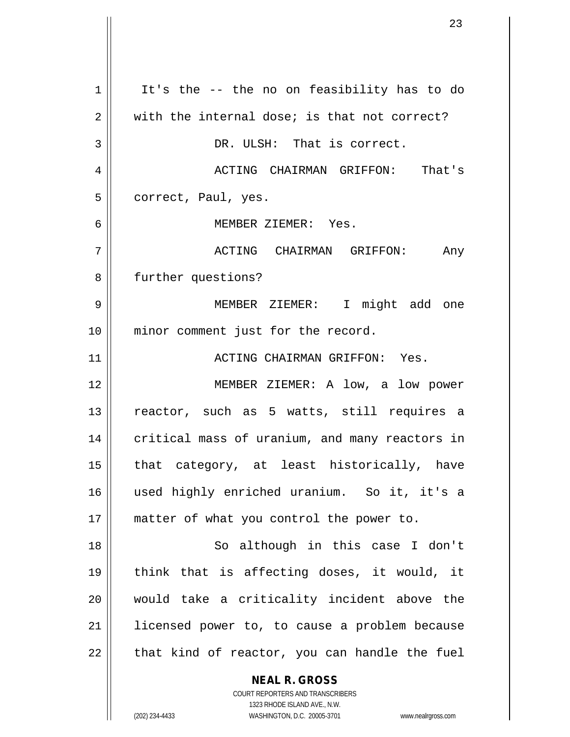**NEAL R. GROSS** 1 | It's the -- the no on feasibility has to do  $2 \parallel$  with the internal dose; is that not correct? 3 || DR. ULSH: That is correct. 4 ACTING CHAIRMAN GRIFFON: That's 5 | correct, Paul, yes. 6 MEMBER ZIEMER: Yes. 7 ACTING CHAIRMAN GRIFFON: Any 8 | further questions? 9 MEMBER ZIEMER: I might add one 10 || minor comment just for the record. 11 ACTING CHAIRMAN GRIFFON: Yes. 12 MEMBER ZIEMER: A low, a low power 13 || reactor, such as 5 watts, still requires a 14 | critical mass of uranium, and many reactors in  $15$  || that category, at least historically, have 16 used highly enriched uranium. So it, it's a 17 || matter of what you control the power to. 18 || So although in this case I don't 19 think that is affecting doses, it would, it 20 || would take a criticality incident above the 21 | licensed power to, to cause a problem because  $22$  || that kind of reactor, you can handle the fuel

> COURT REPORTERS AND TRANSCRIBERS 1323 RHODE ISLAND AVE., N.W.

(202) 234-4433 WASHINGTON, D.C. 20005-3701 www.nealrgross.com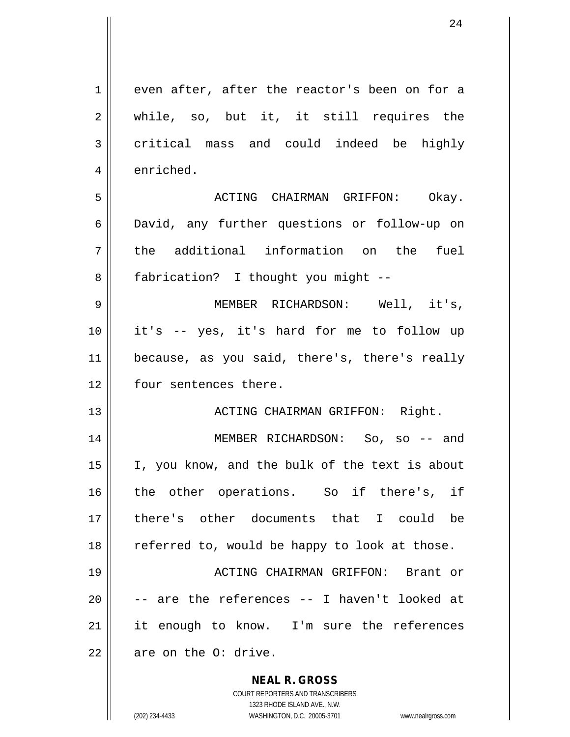| 1  | even after, after the reactor's been on for a                           |
|----|-------------------------------------------------------------------------|
| 2  | while, so, but it, it still requires the                                |
| 3  | critical mass and could indeed be highly                                |
| 4  | enriched.                                                               |
| 5  | ACTING CHAIRMAN GRIFFON: Okay.                                          |
| 6  | David, any further questions or follow-up on                            |
| 7  | the additional information on the fuel                                  |
| 8  | fabrication? I thought you might --                                     |
| 9  | MEMBER RICHARDSON: Well, it's,                                          |
| 10 | it's -- yes, it's hard for me to follow up                              |
| 11 | because, as you said, there's, there's really                           |
| 12 | four sentences there.                                                   |
| 13 | ACTING CHAIRMAN GRIFFON: Right.                                         |
| 14 | MEMBER RICHARDSON: So, so -- and                                        |
| 15 | I, you know, and the bulk of the text is about                          |
| 16 | the other operations. So if there's, if                                 |
| 17 | there's other documents that I could be                                 |
| 18 | referred to, would be happy to look at those.                           |
| 19 | ACTING CHAIRMAN GRIFFON: Brant or                                       |
| 20 | -- are the references -- I haven't looked at                            |
| 21 | it enough to know. I'm sure the references                              |
| 22 | are on the O: drive.                                                    |
|    | <b>NEAL R. GROSS</b>                                                    |
|    | <b>COURT REPORTERS AND TRANSCRIBERS</b><br>1323 RHODE ISLAND AVE., N.W. |
|    | (202) 234-4433<br>WASHINGTON, D.C. 20005-3701<br>www.nealrgross.com     |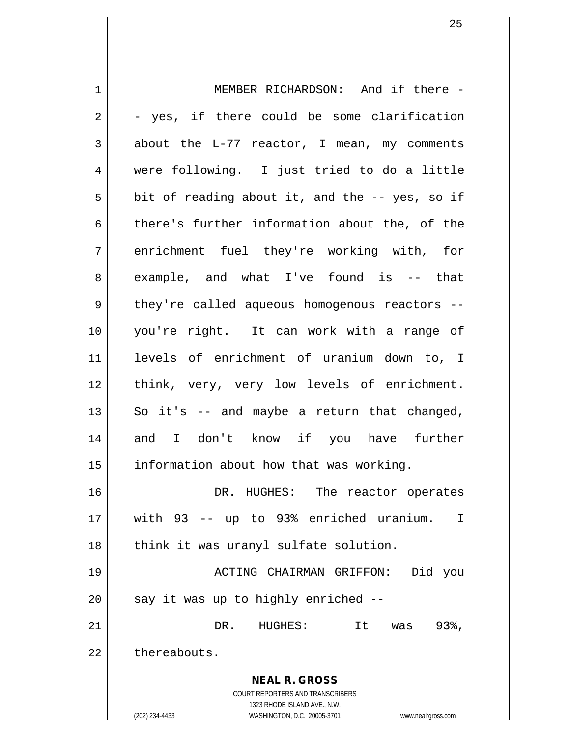**NEAL R. GROSS** COURT REPORTERS AND TRANSCRIBERS 1323 RHODE ISLAND AVE., N.W. (202) 234-4433 WASHINGTON, D.C. 20005-3701 www.nealrgross.com 1 || MEMBER RICHARDSON: And if there - $2 \parallel - \text{yes}$ , if there could be some clarification  $3 \parallel$  about the L-77 reactor, I mean, my comments 4 were following. I just tried to do a little  $5 \parallel$  bit of reading about it, and the -- yes, so if 6 there's further information about the, of the 7 || enrichment fuel they're working with, for 8 example, and what I've found is -- that 9 || they're called aqueous homogenous reactors --10 you're right. It can work with a range of 11 levels of enrichment of uranium down to, I 12 think, very, very low levels of enrichment.  $13 \parallel$  So it's -- and maybe a return that changed, 14 and I don't know if you have further  $15$  | information about how that was working. 16 DR. HUGHES: The reactor operates 17 with 93 -- up to 93% enriched uranium. I 18 || think it was uranyl sulfate solution. 19 ACTING CHAIRMAN GRIFFON: Did you 20  $\parallel$  say it was up to highly enriched --21 DR. HUGHES: It was 93%, 22 | thereabouts.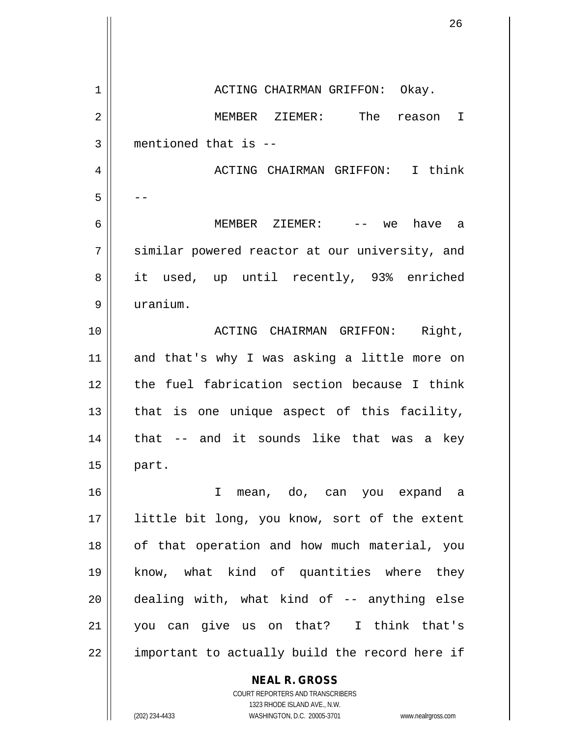**NEAL R. GROSS** 1 ACTING CHAIRMAN GRIFFON: Okay. 2 MEMBER ZIEMER: The reason I 3 mentioned that is -- 4 ACTING CHAIRMAN GRIFFON: I think  $5 \parallel - -$ 6 MEMBER ZIEMER: -- we have a 7 Similar powered reactor at our university, and 8 || it used, up until recently, 93% enriched 9 uranium. 10 || ACTING CHAIRMAN GRIFFON: Right, 11 || and that's why I was asking a little more on 12 the fuel fabrication section because I think  $13$  | that is one unique aspect of this facility,  $14$  | that  $-$  and it sounds like that was a key  $15$  || part. 16 I mean, do, can you expand a 17 || little bit long, you know, sort of the extent 18 || of that operation and how much material, you 19 know, what kind of quantities where they  $20$  || dealing with, what kind of  $-$  anything else 21 you can give us on that? I think that's 22 || important to actually build the record here if

> 1323 RHODE ISLAND AVE., N.W. (202) 234-4433 WASHINGTON, D.C. 20005-3701 www.nealrgross.com

COURT REPORTERS AND TRANSCRIBERS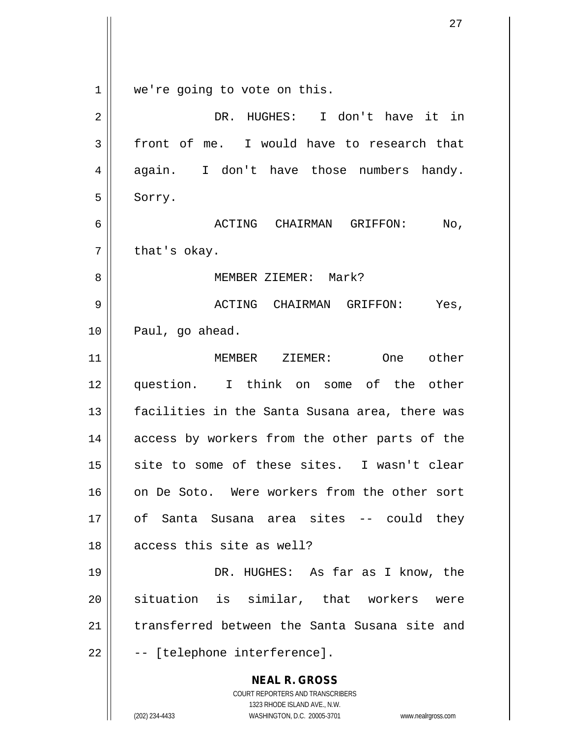**NEAL R. GROSS** COURT REPORTERS AND TRANSCRIBERS 1323 RHODE ISLAND AVE., N.W. 1 || we're going to vote on this. 2 DR. HUGHES: I don't have it in  $3 \parallel$  front of me. I would have to research that 4 again. I don't have those numbers handy.  $5 \parallel$  Sorry. 6 ACTING CHAIRMAN GRIFFON: No,  $7$  | that's okay. 8 MEMBER ZIEMER: Mark? 9 ACTING CHAIRMAN GRIFFON: Yes, 10 || Paul, go ahead. 11 MEMBER ZIEMER: One other 12 || question. I think on some of the other 13 || facilities in the Santa Susana area, there was 14 || access by workers from the other parts of the 15 || site to some of these sites. I wasn't clear 16 on De Soto. Were workers from the other sort 17 of Santa Susana area sites -- could they 18 || access this site as well? 19 DR. HUGHES: As far as I know, the 20 || situation is similar, that workers were 21 transferred between the Santa Susana site and  $22 \parallel$  -- [telephone interference].

(202) 234-4433 WASHINGTON, D.C. 20005-3701 www.nealrgross.com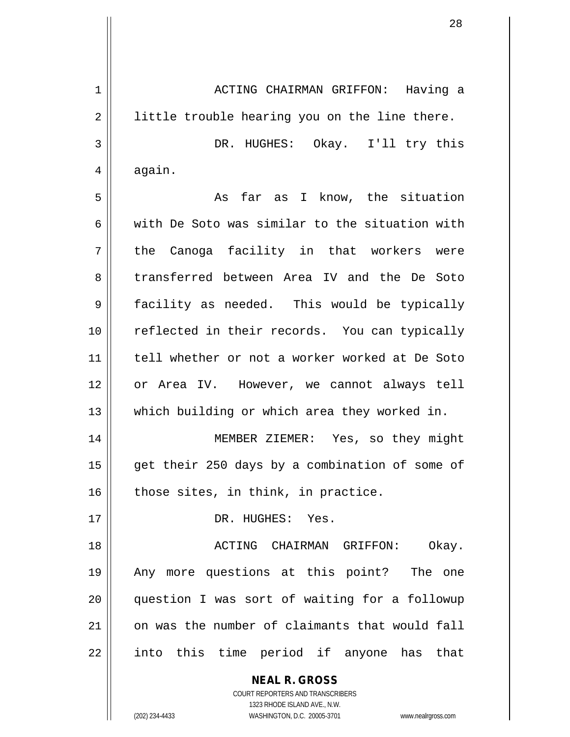**NEAL R. GROSS** COURT REPORTERS AND TRANSCRIBERS 1 ACTING CHAIRMAN GRIFFON: Having a  $2 \parallel$  little trouble hearing you on the line there. 3 DR. HUGHES: Okay. I'll try this  $4 \parallel$  again. 5 As far as I know, the situation 6 with De Soto was similar to the situation with  $7 \parallel$  the Canoga facility in that workers were 8 transferred between Area IV and the De Soto 9 facility as needed. This would be typically 10 || reflected in their records. You can typically 11 tell whether or not a worker worked at De Soto 12 or Area IV. However, we cannot always tell 13 || which building or which area they worked in. 14 MEMBER ZIEMER: Yes, so they might 15 || get their 250 days by a combination of some of  $16$  those sites, in think, in practice. 17 || DR. HUGHES: Yes. 18 ACTING CHAIRMAN GRIFFON: Okay. 19 Any more questions at this point? The one 20 question I was sort of waiting for a followup 21 on was the number of claimants that would fall 22 || into this time period if anyone has that

1323 RHODE ISLAND AVE., N.W.

(202) 234-4433 WASHINGTON, D.C. 20005-3701 www.nealrgross.com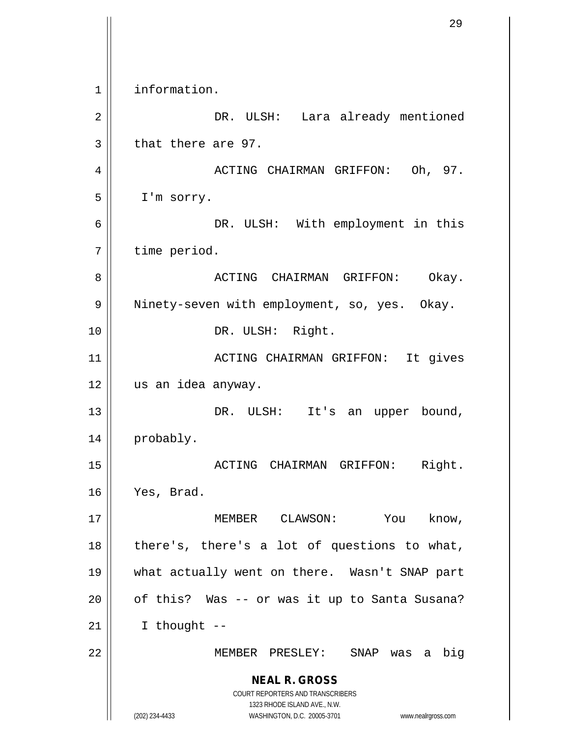**NEAL R. GROSS** COURT REPORTERS AND TRANSCRIBERS 1323 RHODE ISLAND AVE., N.W. (202) 234-4433 WASHINGTON, D.C. 20005-3701 www.nealrgross.com 1 | information. 2 DR. ULSH: Lara already mentioned  $3 \parallel$  that there are 97. 4 ACTING CHAIRMAN GRIFFON: Oh, 97.  $5 \parallel$  I'm sorry. 6 DR. ULSH: With employment in this 7 | time period. 8 ACTING CHAIRMAN GRIFFON: Okay. 9 || Ninety-seven with employment, so, yes. Okay. 10 || DR. ULSH: Right. 11 ACTING CHAIRMAN GRIFFON: It gives 12 us an idea anyway. 13 || DR. ULSH: It's an upper bound, 14 | probably. 15 ACTING CHAIRMAN GRIFFON: Right. 16 Yes, Brad. 17 || **MEMBER** CLAWSON: You know,  $18$  || there's, there's a lot of questions to what, 19 what actually went on there. Wasn't SNAP part  $20$  | of this? Was -- or was it up to Santa Susana?  $21$  || I thought --22 MEMBER PRESLEY: SNAP was a big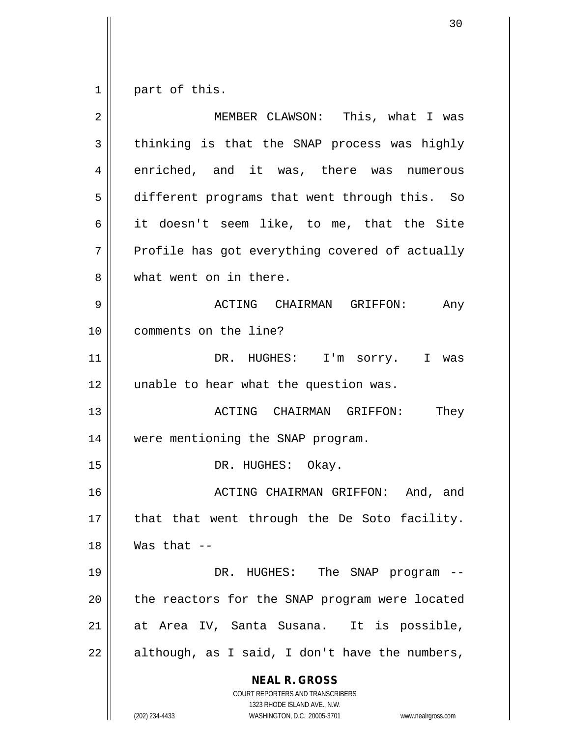$1 \parallel$  part of this.

| $\overline{2}$ | MEMBER CLAWSON: This, what I was                                                                                                                                       |
|----------------|------------------------------------------------------------------------------------------------------------------------------------------------------------------------|
| 3              | thinking is that the SNAP process was highly                                                                                                                           |
| 4              | enriched, and it was, there was numerous                                                                                                                               |
| 5              | different programs that went through this. So                                                                                                                          |
| 6              | it doesn't seem like, to me, that the Site                                                                                                                             |
| 7              | Profile has got everything covered of actually                                                                                                                         |
| 8              | what went on in there.                                                                                                                                                 |
| 9              | ACTING CHAIRMAN GRIFFON:<br>Any                                                                                                                                        |
| 10             | comments on the line?                                                                                                                                                  |
| 11             | DR. HUGHES: I'm sorry. I was                                                                                                                                           |
| 12             | unable to hear what the question was.                                                                                                                                  |
| 13             | They<br>ACTING CHAIRMAN GRIFFON:                                                                                                                                       |
| 14             | were mentioning the SNAP program.                                                                                                                                      |
| 15             | DR. HUGHES: Okay.                                                                                                                                                      |
| 16             | ACTING CHAIRMAN GRIFFON: And, and                                                                                                                                      |
| 17             | that that went through the De Soto facility.                                                                                                                           |
| 18             | Was that $--$                                                                                                                                                          |
| 19             | DR. HUGHES: The SNAP program                                                                                                                                           |
| 20             | the reactors for the SNAP program were located                                                                                                                         |
| 21             | at Area IV, Santa Susana. It is possible,                                                                                                                              |
| 22             | although, as I said, I don't have the numbers,                                                                                                                         |
|                | <b>NEAL R. GROSS</b><br><b>COURT REPORTERS AND TRANSCRIBERS</b><br>1323 RHODE ISLAND AVE., N.W.<br>WASHINGTON, D.C. 20005-3701<br>(202) 234-4433<br>www.nealrgross.com |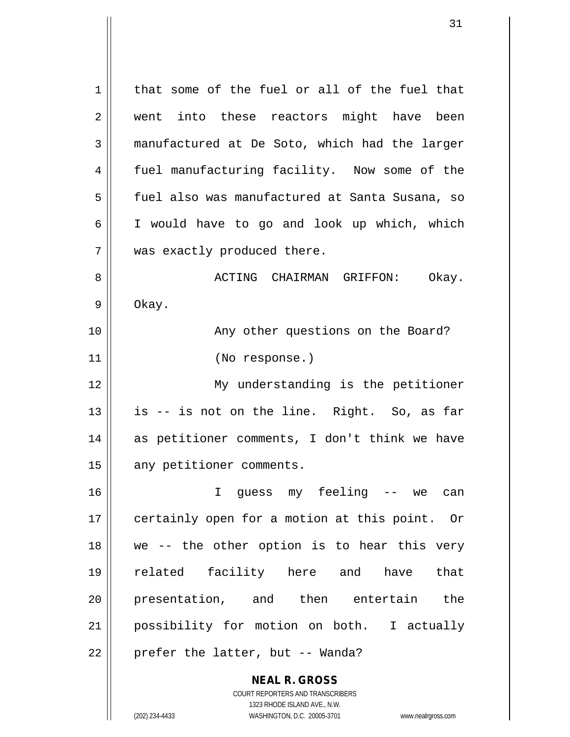**NEAL R. GROSS** COURT REPORTERS AND TRANSCRIBERS  $1 \parallel$  that some of the fuel or all of the fuel that 2 || went into these reactors might have been 3 manufactured at De Soto, which had the larger 4 fuel manufacturing facility. Now some of the 5 | fuel also was manufactured at Santa Susana, so 6 I would have to go and look up which, which 7 || was exactly produced there. 8 ACTING CHAIRMAN GRIFFON: Okay.  $9 \parallel$  Okay. 10 || Any other questions on the Board? 11 (No response.) 12 My understanding is the petitioner  $13 \parallel$  is -- is not on the line. Right. So, as far 14 || as petitioner comments, I don't think we have 15 || any petitioner comments. 16 I guess my feeling -- we can 17 || certainly open for a motion at this point. Or  $18$  || we -- the other option is to hear this very 19 related facility here and have that 20 presentation, and then entertain the 21 possibility for motion on both. I actually  $22$  || prefer the latter, but -- Wanda?

1323 RHODE ISLAND AVE., N.W.

(202) 234-4433 WASHINGTON, D.C. 20005-3701 www.nealrgross.com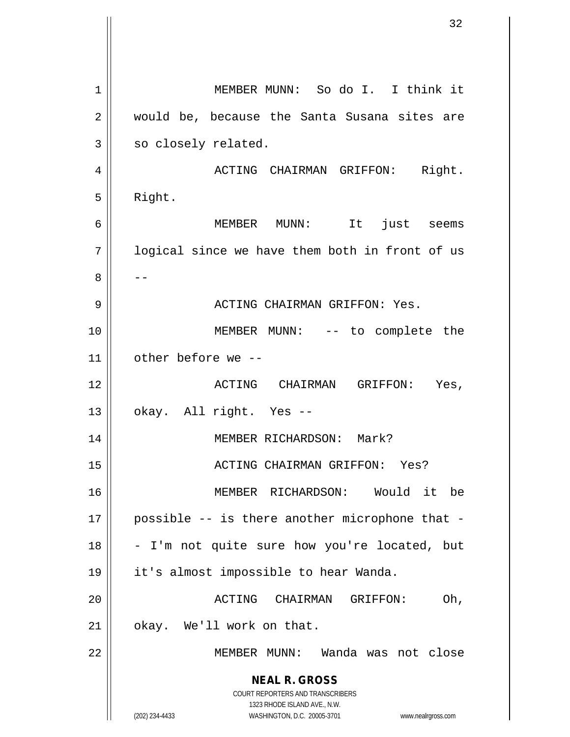**NEAL R. GROSS** COURT REPORTERS AND TRANSCRIBERS 1323 RHODE ISLAND AVE., N.W. (202) 234-4433 WASHINGTON, D.C. 20005-3701 www.nealrgross.com MEMBER MUNN: So do I. I think it 2 || would be, because the Santa Susana sites are  $3 \parallel$  so closely related. ACTING CHAIRMAN GRIFFON: Right.  $5 \parallel$  Right. MEMBER MUNN: It just seems | logical since we have them both in front of us -- ACTING CHAIRMAN GRIFFON: Yes. 10 || MEMBER MUNN: -- to complete the other before we -- ACTING CHAIRMAN GRIFFON: Yes,  $13 \parallel$  okay. All right. Yes -- MEMBER RICHARDSON: Mark? ACTING CHAIRMAN GRIFFON: Yes? MEMBER RICHARDSON: Would it be | possible -- is there another microphone that -  $\vert$  - I'm not quite sure how you're located, but it's almost impossible to hear Wanda. ACTING CHAIRMAN GRIFFON: Oh, | okay. We'll work on that. MEMBER MUNN: Wanda was not close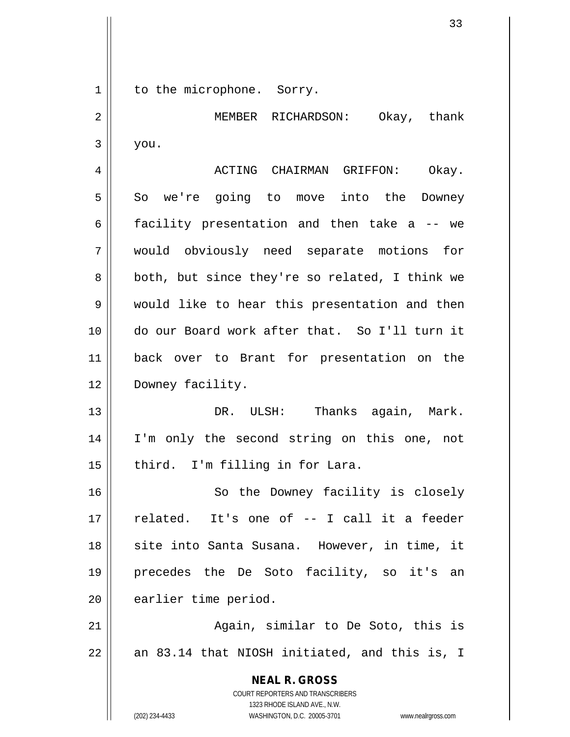**NEAL R. GROSS** COURT REPORTERS AND TRANSCRIBERS 1323 RHODE ISLAND AVE., N.W. 1 || to the microphone. Sorry. 2 MEMBER RICHARDSON: Okay, thank  $3 \parallel$  you. 4 ACTING CHAIRMAN GRIFFON: Okay. 5 So we're going to move into the Downey 6 facility presentation and then take a -- we 7 would obviously need separate motions for  $8 \parallel$  both, but since they're so related, I think we 9 Would like to hear this presentation and then 10 do our Board work after that. So I'll turn it 11 back over to Brant for presentation on the 12 Downey facility. 13 DR. ULSH: Thanks again, Mark. 14 || I'm only the second string on this one, not 15 || third. I'm filling in for Lara. 16 || So the Downey facility is closely 17 related. It's one of -- I call it a feeder 18 || site into Santa Susana. However, in time, it 19 precedes the De Soto facility, so it's an 20 earlier time period. 21 || Again, similar to De Soto, this is  $22$  || an 83.14 that NIOSH initiated, and this is, I

(202) 234-4433 WASHINGTON, D.C. 20005-3701 www.nealrgross.com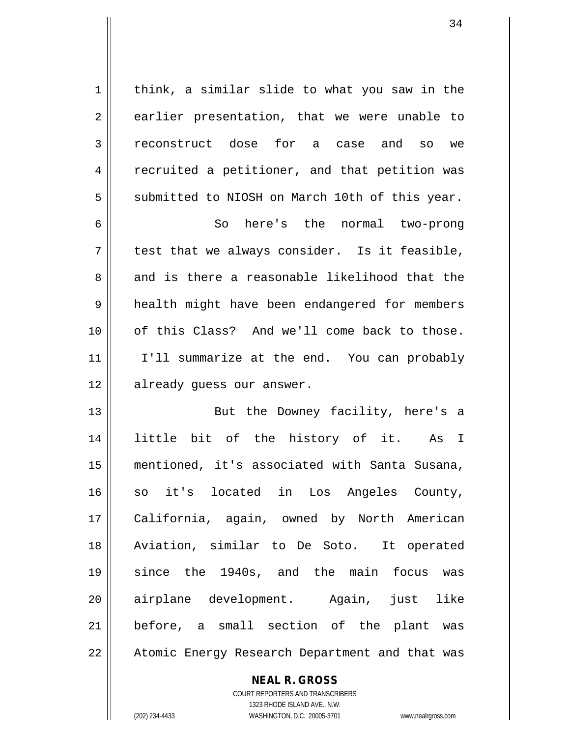$1 \parallel$  think, a similar slide to what you saw in the  $2 \parallel$  earlier presentation, that we were unable to 3 reconstruct dose for a case and so we 4 | recruited a petitioner, and that petition was  $5 \parallel$  submitted to NIOSH on March 10th of this year.

6 So here's the normal two-prong  $7 \parallel$  test that we always consider. Is it feasible,  $8 \parallel$  and is there a reasonable likelihood that the 9 || health might have been endangered for members 10 of this Class? And we'll come back to those. 11 || I'll summarize at the end. You can probably 12 || already guess our answer.

13 || But the Downey facility, here's a little bit of the history of it. As I mentioned, it's associated with Santa Susana, so it's located in Los Angeles County, California, again, owned by North American Aviation, similar to De Soto. It operated since the 1940s, and the main focus was airplane development. Again, just like before, a small section of the plant was 22 || Atomic Energy Research Department and that was

> COURT REPORTERS AND TRANSCRIBERS 1323 RHODE ISLAND AVE., N.W. (202) 234-4433 WASHINGTON, D.C. 20005-3701 www.nealrgross.com

**NEAL R. GROSS**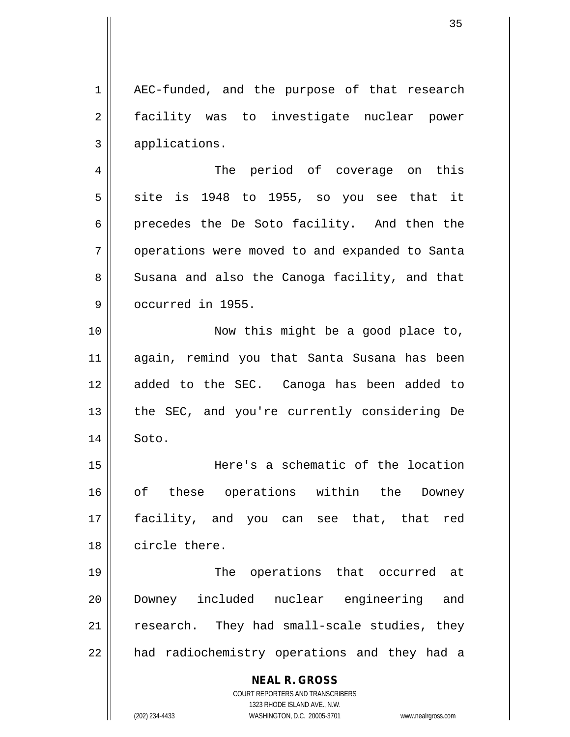1 || AEC-funded, and the purpose of that research 2 || facility was to investigate nuclear power 3 || applications.

4 The period of coverage on this  $5 \parallel$  site is 1948 to 1955, so you see that it 6 precedes the De Soto facility. And then the 7 | operations were moved to and expanded to Santa 8 Susana and also the Canoga facility, and that 9 **J** occurred in 1955.

10 || Now this might be a good place to, 11 again, remind you that Santa Susana has been 12 added to the SEC. Canoga has been added to 13 || the SEC, and you're currently considering De 14 || Soto.

 Here's a schematic of the location 16 || of these operations within the Downey facility, and you can see that, that red circle there.

19 || The operations that occurred at 20 Downey included nuclear engineering and  $21$   $\parallel$  research. They had small-scale studies, they 22 || had radiochemistry operations and they had a

## **NEAL R. GROSS**

COURT REPORTERS AND TRANSCRIBERS 1323 RHODE ISLAND AVE., N.W. (202) 234-4433 WASHINGTON, D.C. 20005-3701 www.nealrgross.com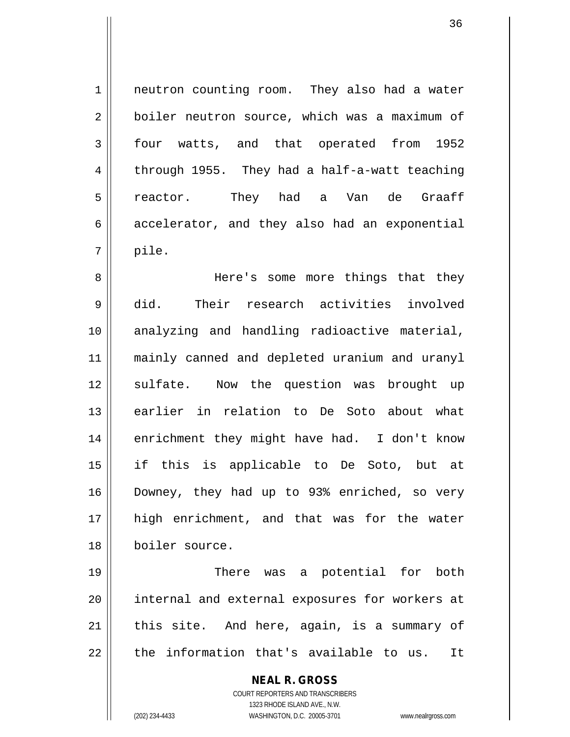1 | neutron counting room. They also had a water 2 boiler neutron source, which was a maximum of 3 four watts, and that operated from 1952  $4 \parallel$  through 1955. They had a half-a-watt teaching 5 || reactor. They had a Van de Graaff  $6 \parallel$  accelerator, and they also had an exponential  $7 \parallel$  pile.

 Here's some more things that they did. Their research activities involved 10 || analyzing and handling radioactive material, mainly canned and depleted uranium and uranyl 12 || sulfate. Now the question was brought up earlier in relation to De Soto about what 14 || enrichment they might have had. I don't know if this is applicable to De Soto, but at Downey, they had up to 93% enriched, so very high enrichment, and that was for the water boiler source.

19 || There was a potential for both 20 || internal and external exposures for workers at  $21$  | this site. And here, again, is a summary of  $22$   $\parallel$  the information that's available to us. It

> **NEAL R. GROSS** COURT REPORTERS AND TRANSCRIBERS 1323 RHODE ISLAND AVE., N.W.

(202) 234-4433 WASHINGTON, D.C. 20005-3701 www.nealrgross.com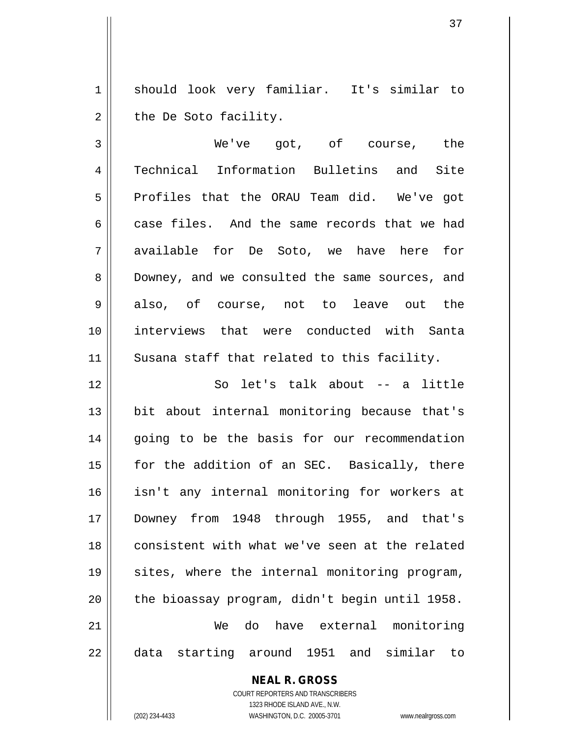1 should look very familiar. It's similar to  $2 \parallel$  the De Soto facility.

3 || We've got, of course, the 4 Technical Information Bulletins and Site 5 Profiles that the ORAU Team did. We've got 6 case files. And the same records that we had 7 available for De Soto, we have here for 8 Downey, and we consulted the same sources, and 9 also, of course, not to leave out the 10 interviews that were conducted with Santa 11 || Susana staff that related to this facility.

 So let's talk about -- a little 13 || bit about internal monitoring because that's 14 || going to be the basis for our recommendation  $\parallel$  for the addition of an SEC. Basically, there isn't any internal monitoring for workers at Downey from 1948 through 1955, and that's 18 || consistent with what we've seen at the related 19 || sites, where the internal monitoring program,  $\parallel$  the bioassay program, didn't begin until 1958. We do have external monitoring data starting around 1951 and similar to

## **NEAL R. GROSS**

COURT REPORTERS AND TRANSCRIBERS 1323 RHODE ISLAND AVE., N.W. (202) 234-4433 WASHINGTON, D.C. 20005-3701 www.nealrgross.com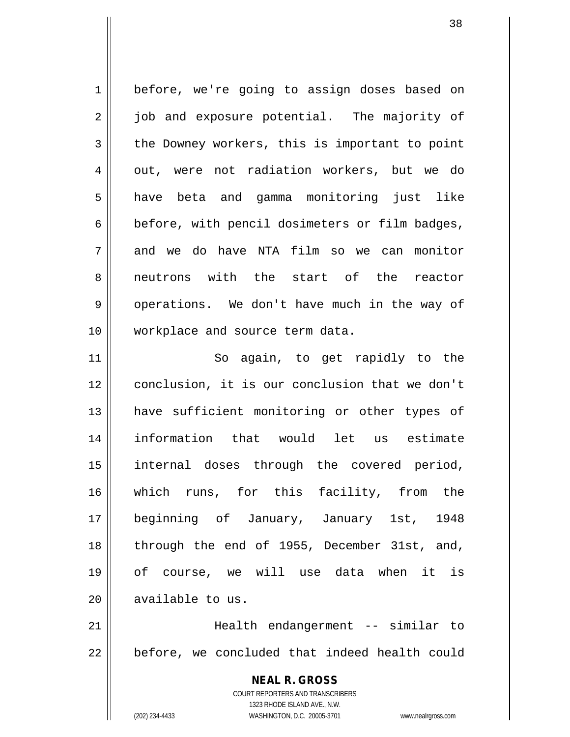1 | before, we're going to assign doses based on 2 || job and exposure potential. The majority of  $3 \parallel$  the Downey workers, this is important to point 4 || out, were not radiation workers, but we do 5 || have beta and gamma monitoring just like  $6 \parallel$  before, with pencil dosimeters or film badges, 7 and we do have NTA film so we can monitor 8 || neutrons with the start of the reactor 9 || operations. We don't have much in the way of 10 workplace and source term data. 11 || So again, to get rapidly to the

 conclusion, it is our conclusion that we don't 13 || have sufficient monitoring or other types of information that would let us estimate internal doses through the covered period, which runs, for this facility, from the beginning of January, January 1st, 1948 18 || through the end of 1955, December 31st, and, of course, we will use data when it is 20 || available to us.

21 Health endangerment -- similar to  $22$   $\parallel$  before, we concluded that indeed health could

> **NEAL R. GROSS** COURT REPORTERS AND TRANSCRIBERS 1323 RHODE ISLAND AVE., N.W. (202) 234-4433 WASHINGTON, D.C. 20005-3701 www.nealrgross.com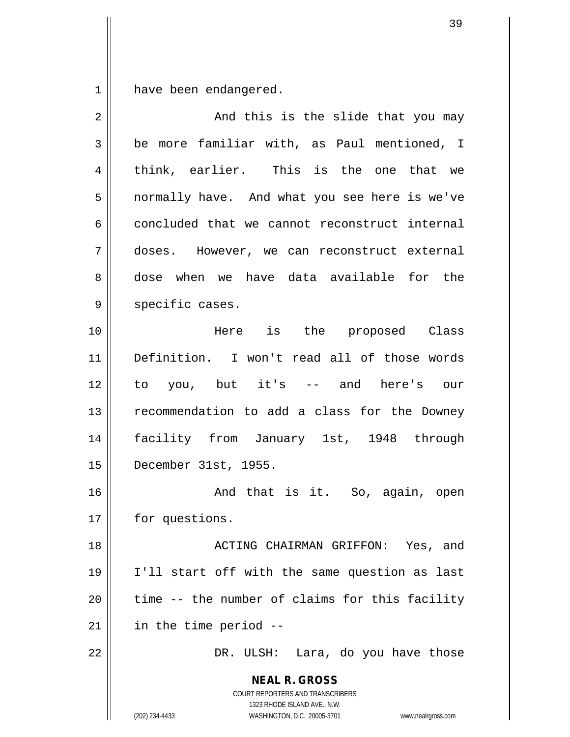$1 \parallel$  have been endangered.

| $\overline{2}$ | And this is the slide that you may                                      |
|----------------|-------------------------------------------------------------------------|
| 3              | be more familiar with, as Paul mentioned, I                             |
| 4              | think, earlier. This is the one that we                                 |
| 5              | normally have. And what you see here is we've                           |
| 6              | concluded that we cannot reconstruct internal                           |
| 7              | doses. However, we can reconstruct external                             |
| 8              | dose when we have data available for the                                |
| $\mathsf 9$    | specific cases.                                                         |
| 10             | Here is the proposed Class                                              |
| 11             | Definition. I won't read all of those words                             |
| 12             | to you, but it's -- and here's our                                      |
| 13             | recommendation to add a class for the Downey                            |
| 14             | facility from January 1st, 1948 through                                 |
| 15             | December 31st, 1955.                                                    |
| 16             | And that is it. So, again, open                                         |
| 17             | for questions.                                                          |
| 18             | ACTING CHAIRMAN GRIFFON: Yes, and                                       |
| 19             | I'll start off with the same question as last                           |
| 20             | time -- the number of claims for this facility                          |
| 21             | in the time period --                                                   |
| 22             | DR. ULSH: Lara, do you have those                                       |
|                | <b>NEAL R. GROSS</b>                                                    |
|                | <b>COURT REPORTERS AND TRANSCRIBERS</b><br>1323 RHODE ISLAND AVE., N.W. |
|                | (202) 234-4433<br>WASHINGTON, D.C. 20005-3701<br>www.nealrgross.com     |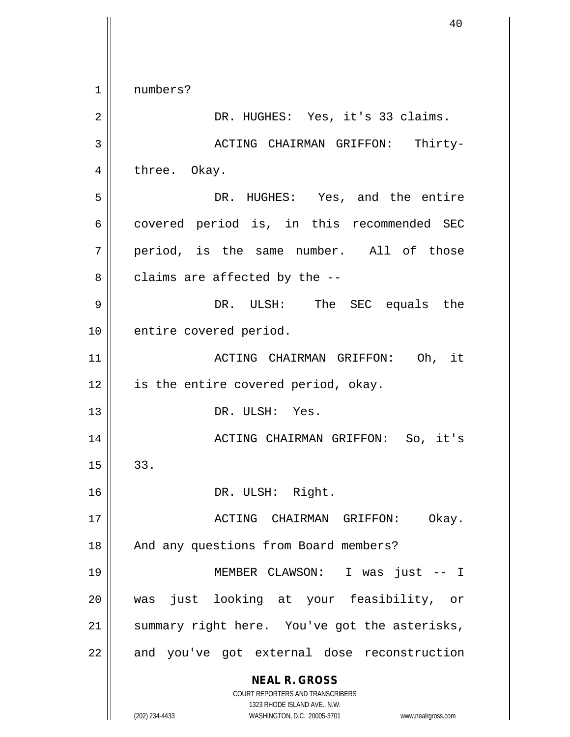**NEAL R. GROSS** COURT REPORTERS AND TRANSCRIBERS 1323 RHODE ISLAND AVE., N.W. (202) 234-4433 WASHINGTON, D.C. 20005-3701 www.nealrgross.com 1 || numbers? 2 || DR. HUGHES: Yes, it's 33 claims. 3 ACTING CHAIRMAN GRIFFON: Thirty-4 || three. Okay. 5 DR. HUGHES: Yes, and the entire  $6 \parallel$  covered period is, in this recommended SEC  $7 \parallel$  period, is the same number. All of those  $8 \parallel$  claims are affected by the  $-$ -9 DR. ULSH: The SEC equals the 10 || entire covered period. 11 ACTING CHAIRMAN GRIFFON: Oh, it 12 || is the entire covered period, okay. 13 DR. ULSH: Yes. 14 ACTING CHAIRMAN GRIFFON: So, it's  $15 \parallel 33.$ 16 || DR. ULSH: Right. 17 ACTING CHAIRMAN GRIFFON: Okay. 18 || And any questions from Board members? 19 MEMBER CLAWSON: I was just -- I 20 was just looking at your feasibility, or  $21$  summary right here. You've got the asterisks, 22 || and you've got external dose reconstruction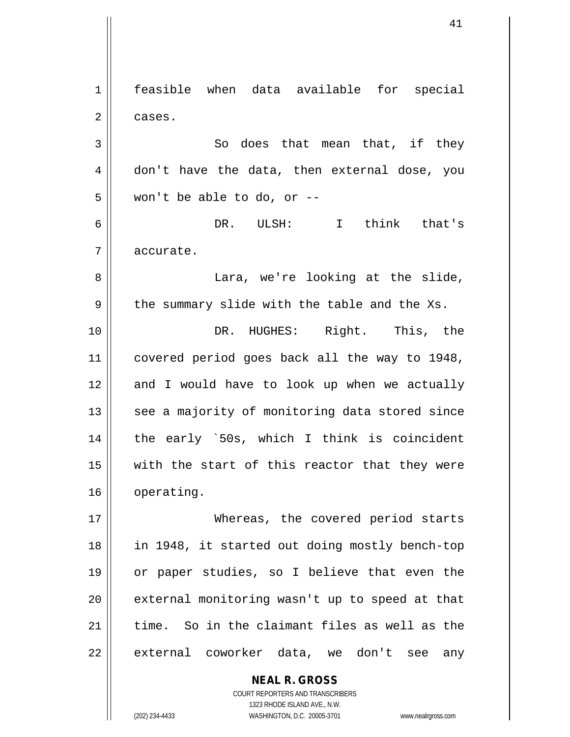**NEAL R. GROSS** 1 feasible when data available for special  $2 \parallel$  cases.  $3 \parallel$  So does that mean that, if they 4 don't have the data, then external dose, you  $5 \parallel$  won't be able to do, or --6 DR. ULSH: I think that's 7 | accurate. 8 || Lara, we're looking at the slide,  $9 \parallel$  the summary slide with the table and the Xs. 10 || DR. HUGHES: Right. This, the 11 covered period goes back all the way to 1948, 12 and I would have to look up when we actually 13 || see a majority of monitoring data stored since  $14$  | the early `50s, which I think is coincident 15  $\parallel$  with the start of this reactor that they were 16 | operating. 17 Whereas, the covered period starts 18 in 1948, it started out doing mostly bench-top 19 or paper studies, so I believe that even the  $20$  || external monitoring wasn't up to speed at that 21  $\parallel$  time. So in the claimant files as well as the 22 || external coworker data, we don't see any

> COURT REPORTERS AND TRANSCRIBERS 1323 RHODE ISLAND AVE., N.W.

(202) 234-4433 WASHINGTON, D.C. 20005-3701 www.nealrgross.com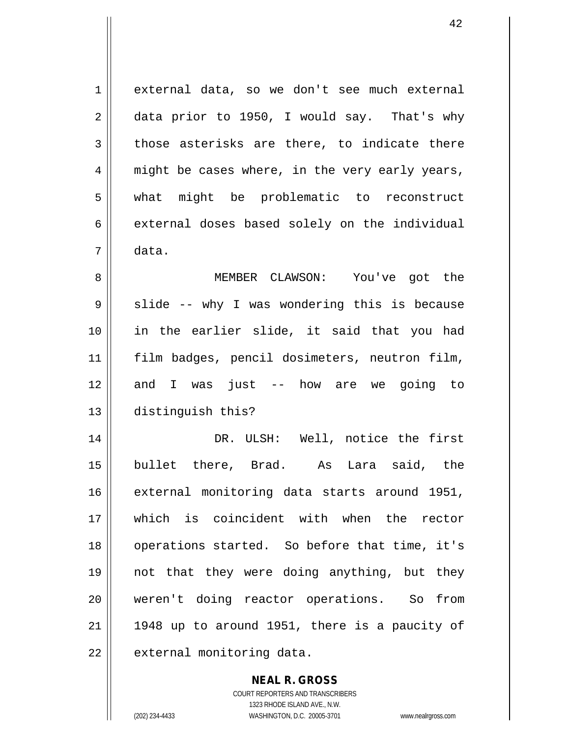1 external data, so we don't see much external  $2 \parallel$  data prior to 1950, I would say. That's why  $3 \parallel$  those asterisks are there, to indicate there  $4 \parallel$  might be cases where, in the very early years, 5 what might be problematic to reconstruct  $6 \parallel$  external doses based solely on the individual 7 data. 8 MEMBER CLAWSON: You've got the  $9 \parallel$  slide -- why I was wondering this is because 10 in the earlier slide, it said that you had 11 film badges, pencil dosimeters, neutron film, 12 and I was just -- how are we going to 13 distinguish this? 14 DR. ULSH: Well, notice the first 15 bullet there, Brad. As Lara said, the 16 external monitoring data starts around 1951, 17 Which is coincident with when the rector 18 || operations started. So before that time, it's 19 not that they were doing anything, but they 20 weren't doing reactor operations. So from  $21$  | 1948 up to around 1951, there is a paucity of 22 | external monitoring data.

> **NEAL R. GROSS** COURT REPORTERS AND TRANSCRIBERS 1323 RHODE ISLAND AVE., N.W.

(202) 234-4433 WASHINGTON, D.C. 20005-3701 www.nealrgross.com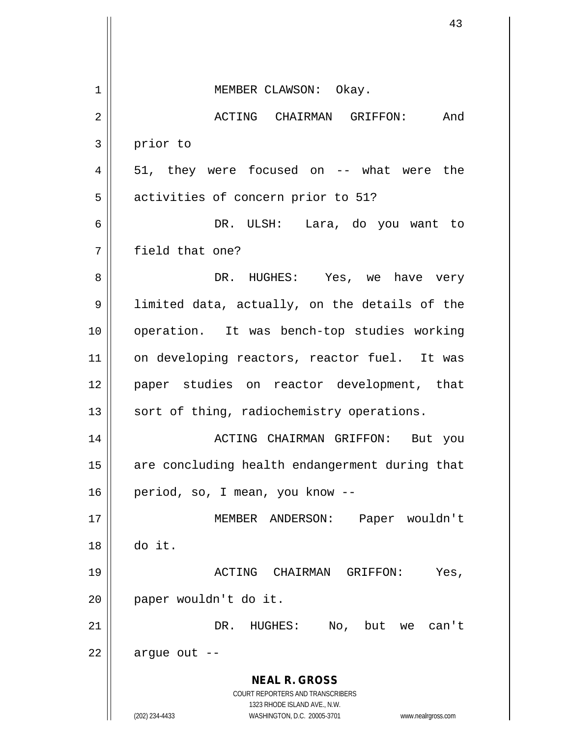|    | 43                                                                                                  |
|----|-----------------------------------------------------------------------------------------------------|
|    |                                                                                                     |
| 1  | MEMBER CLAWSON: Okay.                                                                               |
| 2  | ACTING CHAIRMAN GRIFFON:<br>And                                                                     |
| 3  | prior to                                                                                            |
| 4  | 51, they were focused on -- what were the                                                           |
| 5  | activities of concern prior to 51?                                                                  |
| 6  | DR. ULSH: Lara, do you want to                                                                      |
| 7  | field that one?                                                                                     |
| 8  | DR. HUGHES: Yes, we have very                                                                       |
| 9  | limited data, actually, on the details of the                                                       |
| 10 | operation. It was bench-top studies working                                                         |
| 11 | on developing reactors, reactor fuel. It was                                                        |
| 12 | paper studies on reactor development, that                                                          |
| 13 | sort of thing, radiochemistry operations.                                                           |
| 14 | ACTING CHAIRMAN GRIFFON: But you                                                                    |
| 15 | are concluding health endangerment during that                                                      |
| 16 | period, so, I mean, you know --                                                                     |
| 17 | MEMBER ANDERSON:<br>Paper wouldn't                                                                  |
| 18 | do it.                                                                                              |
| 19 | ACTING CHAIRMAN GRIFFON:<br>Yes,                                                                    |
| 20 | paper wouldn't do it.                                                                               |
| 21 | DR. HUGHES: No, but we can't                                                                        |
| 22 | argue out                                                                                           |
|    | <b>NEAL R. GROSS</b><br>COURT REPORTERS AND TRANSCRIBERS                                            |
|    | 1323 RHODE ISLAND AVE., N.W.<br>(202) 234-4433<br>WASHINGTON, D.C. 20005-3701<br>www.nealrgross.com |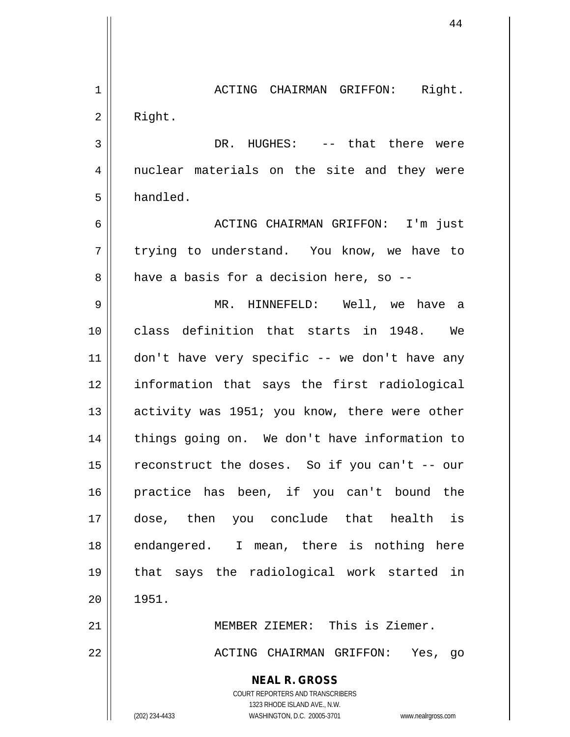**NEAL R. GROSS** COURT REPORTERS AND TRANSCRIBERS 1323 RHODE ISLAND AVE., N.W. (202) 234-4433 WASHINGTON, D.C. 20005-3701 www.nealrgross.com 1 ACTING CHAIRMAN GRIFFON: Right. 2 | Right. 3 DR. HUGHES: -- that there were 4 || nuclear materials on the site and they were 5 | handled. 6 ACTING CHAIRMAN GRIFFON: I'm just 7 trying to understand. You know, we have to  $8 \parallel$  have a basis for a decision here, so --9 MR. HINNEFELD: Well, we have a 10 class definition that starts in 1948. We  $11$   $\parallel$  don't have very specific -- we don't have any 12 information that says the first radiological 13 || activity was 1951; you know, there were other 14 || things going on. We don't have information to 15  $\parallel$  reconstruct the doses. So if you can't -- our 16 practice has been, if you can't bound the 17 dose, then you conclude that health is 18 || endangered. I mean, there is nothing here 19 that says the radiological work started in  $20 \parallel 1951.$ 21 MEMBER ZIEMER: This is Ziemer. 22 ACTING CHAIRMAN GRIFFON: Yes, go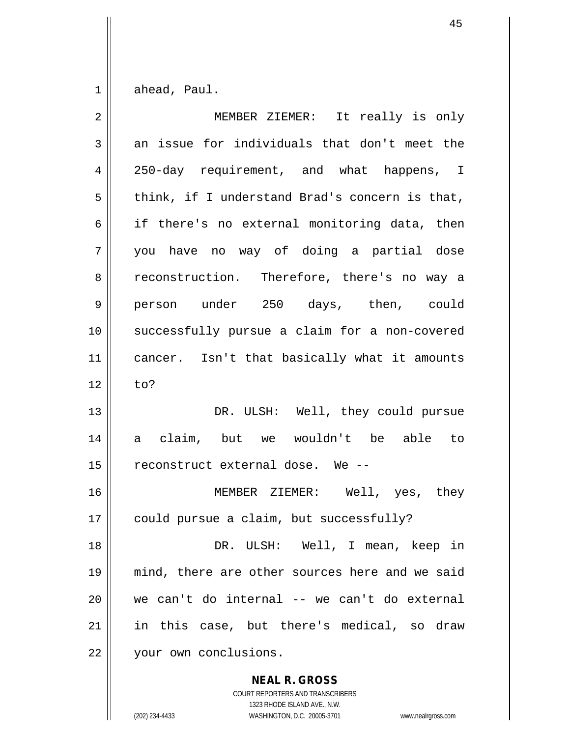$1 \parallel$  ahead, Paul.

| $\overline{2}$ | MEMBER ZIEMER: It really is only               |
|----------------|------------------------------------------------|
| 3              | an issue for individuals that don't meet the   |
| 4              | 250-day requirement, and what happens, I       |
| 5              | think, if I understand Brad's concern is that, |
| 6              | if there's no external monitoring data, then   |
| 7              | you have no way of doing a partial dose        |
| 8              | reconstruction. Therefore, there's no way a    |
| 9              | person under 250 days, then, could             |
| 10             | successfully pursue a claim for a non-covered  |
| 11             | cancer. Isn't that basically what it amounts   |
| 12             | to?                                            |
| 13             | DR. ULSH: Well, they could pursue              |
| 14             | a claim, but we wouldn't be able to            |
| 15             | reconstruct external dose. We --               |
| 16             | MEMBER ZIEMER: Well, yes, they                 |
| 17             | could pursue a claim, but successfully?        |
| 18             | DR. ULSH: Well, I mean, keep in                |
| 19             | mind, there are other sources here and we said |
| 20             | we can't do internal -- we can't do external   |
| 21             | in this case, but there's medical, so draw     |
| 22             | your own conclusions.                          |

**NEAL R. GROSS** COURT REPORTERS AND TRANSCRIBERS

1323 RHODE ISLAND AVE., N.W.

(202) 234-4433 WASHINGTON, D.C. 20005-3701 www.nealrgross.com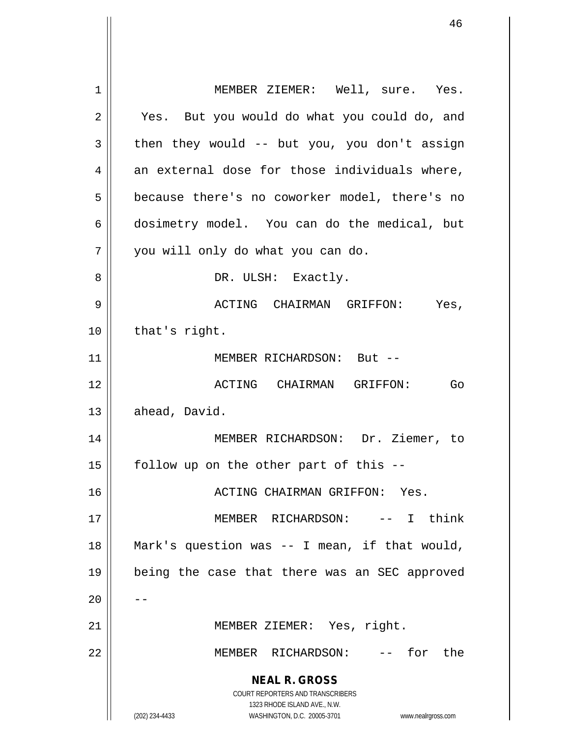**NEAL R. GROSS** COURT REPORTERS AND TRANSCRIBERS 1323 RHODE ISLAND AVE., N.W. (202) 234-4433 WASHINGTON, D.C. 20005-3701 www.nealrgross.com 1 || MEMBER ZIEMER: Well, sure. Yes. 2 || Yes. But you would do what you could do, and  $3 \parallel$  then they would -- but you, you don't assign  $4 \parallel$  an external dose for those individuals where, 5 | because there's no coworker model, there's no 6 dosimetry model. You can do the medical, but 7 || you will only do what you can do. 8 DR. ULSH: Exactly. 9 ACTING CHAIRMAN GRIFFON: Yes,  $10 \parallel$  that's right. 11 || MEMBER RICHARDSON: But --12 ACTING CHAIRMAN GRIFFON: Go  $13 \parallel$  ahead, David. 14 MEMBER RICHARDSON: Dr. Ziemer, to  $15$  | follow up on the other part of this --16 ACTING CHAIRMAN GRIFFON: Yes. 17 MEMBER RICHARDSON: -- I think 18 || Mark's question was  $-$  I mean, if that would, 19 being the case that there was an SEC approved  $20$ 21 || MEMBER ZIEMER: Yes, right. 22 MEMBER RICHARDSON: -- for the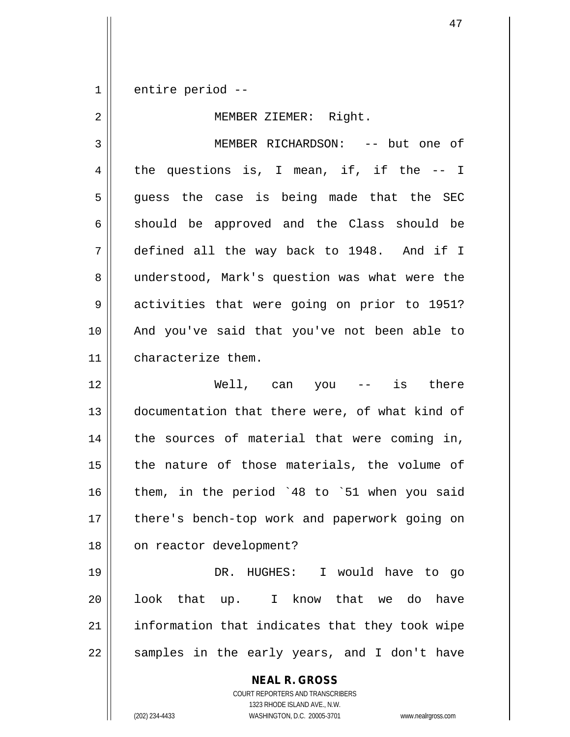1 entire period --

## 2 || MEMBER ZIEMER: Right.

3 MEMBER RICHARDSON: -- but one of 4 the questions is, I mean, if, if the  $-$ - I 5 guess the case is being made that the SEC  $6 \parallel$  should be approved and the Class should be 7 defined all the way back to 1948. And if I 8 || understood, Mark's question was what were the 9 activities that were going on prior to 1951? 10 And you've said that you've not been able to 11 characterize them.

12 Well, can you -- is there 13 || documentation that there were, of what kind of 14 || the sources of material that were coming in,  $15$  | the nature of those materials, the volume of 16 || them, in the period `48 to `51 when you said 17 || there's bench-top work and paperwork going on 18 || on reactor development?

 DR. HUGHES: I would have to go 20 || look that up. I know that we do have || information that indicates that they took wipe || samples in the early years, and I don't have

**NEAL R. GROSS**

COURT REPORTERS AND TRANSCRIBERS 1323 RHODE ISLAND AVE., N.W. (202) 234-4433 WASHINGTON, D.C. 20005-3701 www.nealrgross.com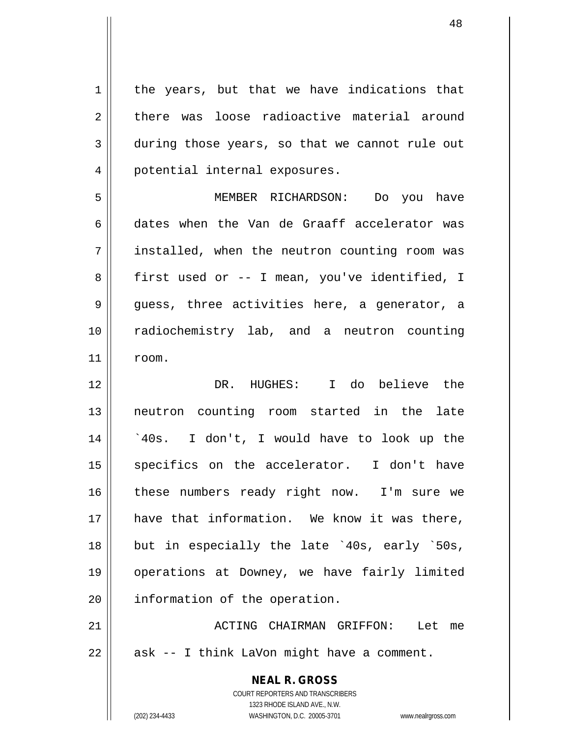$1 \parallel$  the years, but that we have indications that 2 there was loose radioactive material around 3 during those years, so that we cannot rule out 4 || potential internal exposures.

5 MEMBER RICHARDSON: Do you have 6 dates when the Van de Graaff accelerator was 7 installed, when the neutron counting room was 8 | first used or -- I mean, you've identified, I  $9 \parallel$  guess, three activities here, a generator, a 10 radiochemistry lab, and a neutron counting  $11$   $r$ oom.

12 DR. HUGHES: I do believe the 13 || neutron counting room started in the late 14 `40s. I don't, I would have to look up the 15 || specifics on the accelerator. I don't have 16 || these numbers ready right now. I'm sure we 17 have that information. We know it was there, 18 || but in especially the late `40s, early `50s, 19 operations at Downey, we have fairly limited 20 | information of the operation.

21 ACTING CHAIRMAN GRIFFON: Let me  $22 \parallel$  ask -- I think LaVon might have a comment.

> **NEAL R. GROSS** COURT REPORTERS AND TRANSCRIBERS 1323 RHODE ISLAND AVE., N.W. (202) 234-4433 WASHINGTON, D.C. 20005-3701 www.nealrgross.com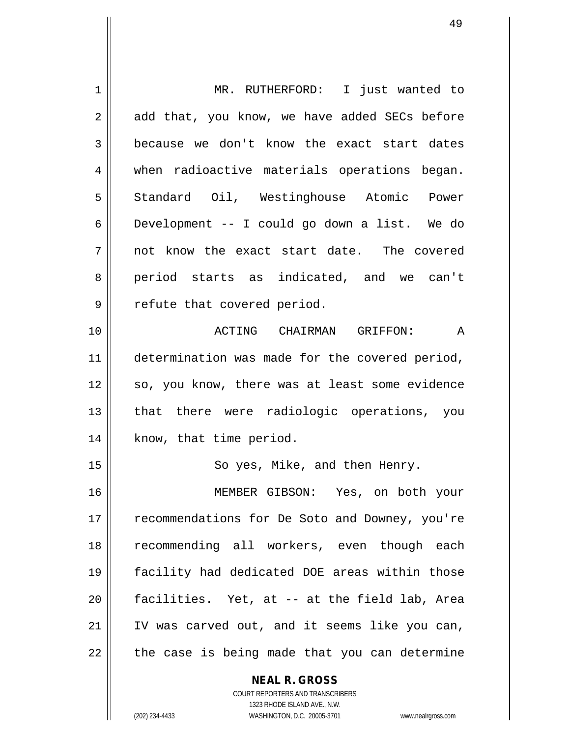| 1  | MR. RUTHERFORD: I just wanted to               |
|----|------------------------------------------------|
| 2  | add that, you know, we have added SECs before  |
| 3  | because we don't know the exact start dates    |
| 4  | when radioactive materials operations began.   |
| 5  | Standard Oil, Westinghouse Atomic Power        |
| 6  | Development -- I could go down a list. We do   |
| 7  | not know the exact start date. The covered     |
| 8  | period starts as indicated, and we can't       |
| 9  | refute that covered period.                    |
| 10 | ACTING CHAIRMAN GRIFFON: A                     |
| 11 | determination was made for the covered period, |
| 12 | so, you know, there was at least some evidence |
| 13 | that there were radiologic operations, you     |
| 14 | know, that time period.                        |
| 15 | So yes, Mike, and then Henry.                  |
| 16 | MEMBER GIBSON: Yes, on both your               |
| 17 | recommendations for De Soto and Downey, you're |
| 18 | recommending all workers, even though each     |
| 19 | facility had dedicated DOE areas within those  |
| 20 | facilities. Yet, at -- at the field lab, Area  |
| 21 | IV was carved out, and it seems like you can,  |
| 22 | the case is being made that you can determine  |
|    | <b>NEAL R. GROSS</b>                           |

COURT REPORTERS AND TRANSCRIBERS 1323 RHODE ISLAND AVE., N.W.

 $\mathsf{II}$ 

(202) 234-4433 WASHINGTON, D.C. 20005-3701 www.nealrgross.com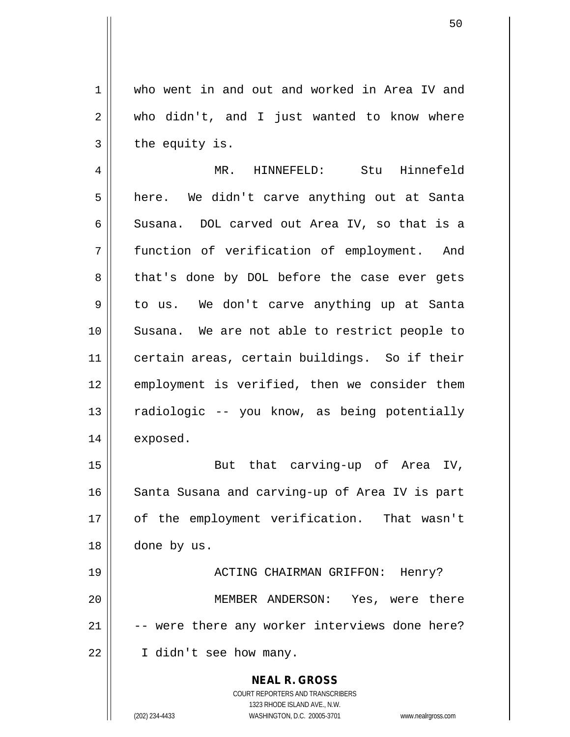1 who went in and out and worked in Area IV and 2 who didn't, and I just wanted to know where  $3 \parallel$  the equity is.

4 MR. HINNEFELD: Stu Hinnefeld 5 | here. We didn't carve anything out at Santa 6 Susana. DOL carved out Area IV, so that is a 7 function of verification of employment. And 8 || that's done by DOL before the case ever gets 9 || to us. We don't carve anything up at Santa 10 Susana. We are not able to restrict people to 11 certain areas, certain buildings. So if their 12 || employment is verified, then we consider them 13 || radiologic -- you know, as being potentially 14 | exposed.

15 || But that carving-up of Area IV, 16 || Santa Susana and carving-up of Area IV is part 17 || of the employment verification. That wasn't 18 done by us.

 ACTING CHAIRMAN GRIFFON: Henry? MEMBER ANDERSON: Yes, were there  $\vert$  -- were there any worker interviews done here? 22 || I didn't see how many.

> **NEAL R. GROSS** COURT REPORTERS AND TRANSCRIBERS 1323 RHODE ISLAND AVE., N.W. (202) 234-4433 WASHINGTON, D.C. 20005-3701 www.nealrgross.com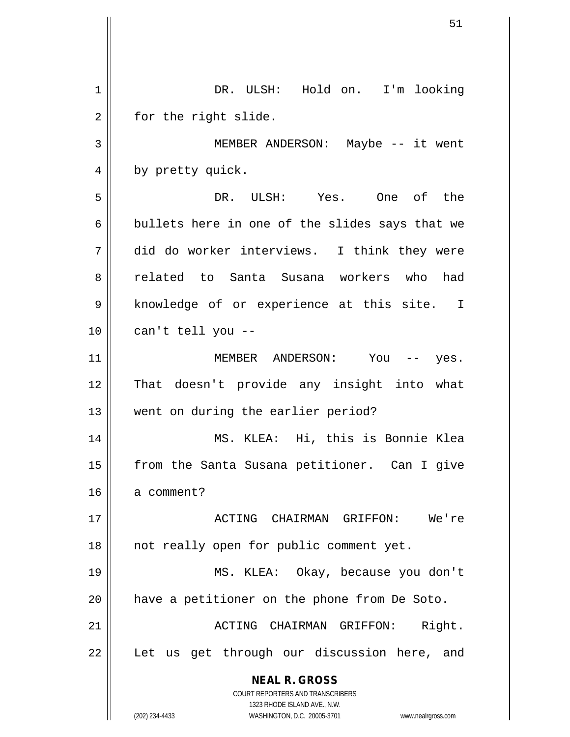**NEAL R. GROSS** COURT REPORTERS AND TRANSCRIBERS 1323 RHODE ISLAND AVE., N.W. (202) 234-4433 WASHINGTON, D.C. 20005-3701 www.nealrgross.com 1 DR. ULSH: Hold on. I'm looking  $2 \parallel$  for the right slide. 3 MEMBER ANDERSON: Maybe -- it went 4 || by pretty quick. 5 DR. ULSH: Yes. One of the 6 bullets here in one of the slides says that we 7 did do worker interviews. I think they were 8 related to Santa Susana workers who had 9 | knowledge of or experience at this site. I  $10$  || can't tell you --11 MEMBER ANDERSON: You -- yes. 12 That doesn't provide any insight into what 13 || went on during the earlier period? 14 MS. KLEA: Hi, this is Bonnie Klea 15 || from the Santa Susana petitioner. Can I give 16 a comment? 17 ACTING CHAIRMAN GRIFFON: We're 18 || not really open for public comment yet. 19 MS. KLEA: Okay, because you don't 20 || have a petitioner on the phone from De Soto. 21 ACTING CHAIRMAN GRIFFON: Right. 22 || Let us get through our discussion here, and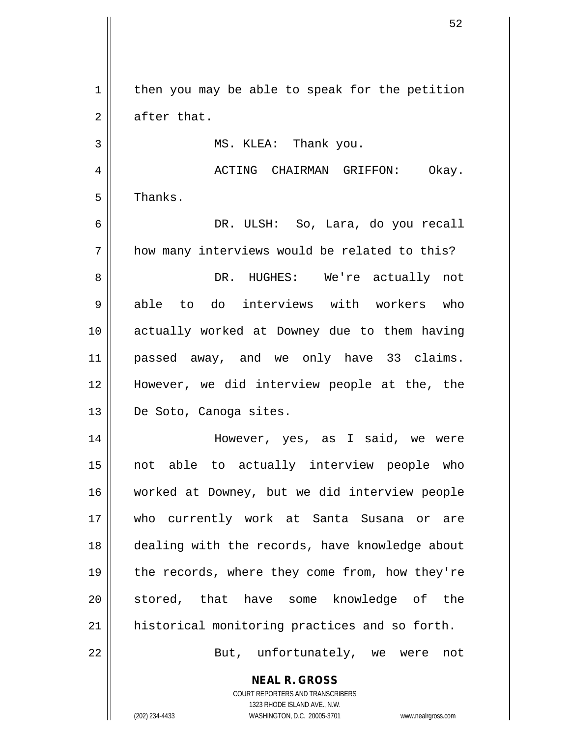**NEAL R. GROSS**  $1 \parallel$  then you may be able to speak for the petition  $2 \parallel$  after that. 3 | MS. KLEA: Thank you. 4 ACTING CHAIRMAN GRIFFON: Okay.  $5 \parallel$  Thanks. 6 DR. ULSH: So, Lara, do you recall  $7$  | how many interviews would be related to this? 8 DR. HUGHES: We're actually not 9 able to do interviews with workers who 10 actually worked at Downey due to them having 11 passed away, and we only have 33 claims. 12 However, we did interview people at the, the 13 || De Soto, Canoga sites. 14 || However, yes, as I said, we were 15 not able to actually interview people who 16 worked at Downey, but we did interview people 17 who currently work at Santa Susana or are 18 dealing with the records, have knowledge about 19 || the records, where they come from, how they're 20 || stored, that have some knowledge of the 21 historical monitoring practices and so forth. 22 || But, unfortunately, we were not

> COURT REPORTERS AND TRANSCRIBERS 1323 RHODE ISLAND AVE., N.W.

(202) 234-4433 WASHINGTON, D.C. 20005-3701 www.nealrgross.com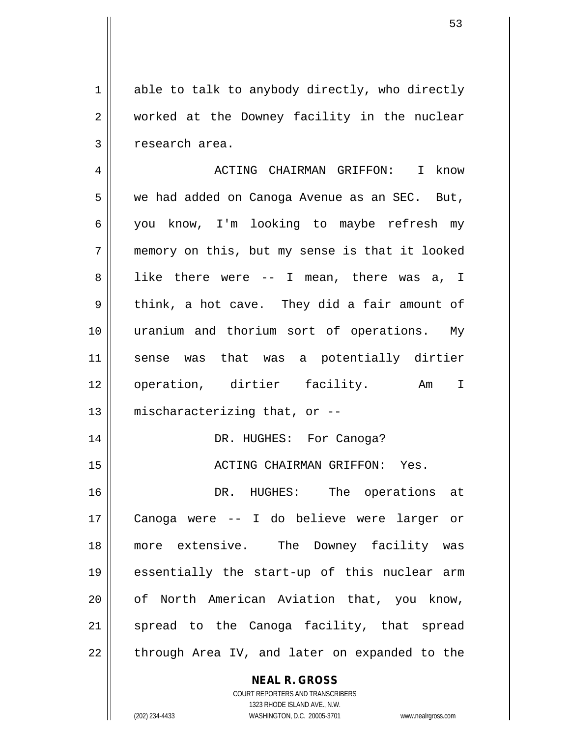$1 \parallel$  able to talk to anybody directly, who directly 2 worked at the Downey facility in the nuclear 3 | research area.

 ACTING CHAIRMAN GRIFFON: I know 5 | we had added on Canoga Avenue as an SEC. But, you know, I'm looking to maybe refresh my memory on this, but my sense is that it looked 8 || like there were -- I mean, there was a, I  $9 \parallel$  think, a hot cave. They did a fair amount of uranium and thorium sort of operations. My sense was that was a potentially dirtier 12 || operation, dirtier facility. Am I | mischaracterizing that, or  $-$  DR. HUGHES: For Canoga? ACTING CHAIRMAN GRIFFON: Yes.

 DR. HUGHES: The operations at Canoga were -- I do believe were larger or more extensive. The Downey facility was essentially the start-up of this nuclear arm 20 || of North American Aviation that, you know, 21 || spread to the Canoga facility, that spread || through Area IV, and later on expanded to the

## **NEAL R. GROSS**

COURT REPORTERS AND TRANSCRIBERS 1323 RHODE ISLAND AVE., N.W. (202) 234-4433 WASHINGTON, D.C. 20005-3701 www.nealrgross.com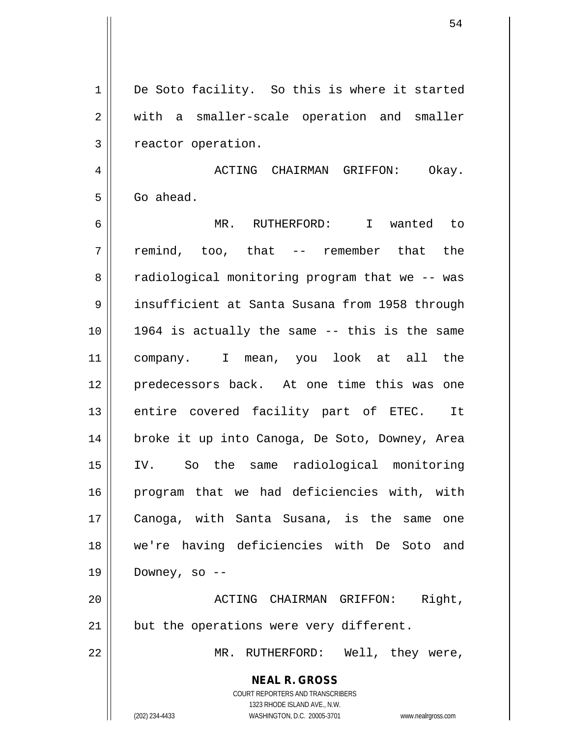**NEAL R. GROSS** COURT REPORTERS AND TRANSCRIBERS 1323 RHODE ISLAND AVE., N.W. (202) 234-4433 WASHINGTON, D.C. 20005-3701 www.nealrgross.com 1 De Soto facility. So this is where it started 2 || with a smaller-scale operation and smaller 3 | reactor operation. 4 ACTING CHAIRMAN GRIFFON: Okay.  $5 \parallel$  Go ahead. 6 MR. RUTHERFORD: I wanted to 7 remind, too, that -- remember that the 8 | radiological monitoring program that we -- was 9 insufficient at Santa Susana from 1958 through  $10$  || 1964 is actually the same  $-$ - this is the same 11 company. I mean, you look at all the 12 predecessors back. At one time this was one 13 || entire covered facility part of ETEC. It 14 broke it up into Canoga, De Soto, Downey, Area 15 IV. So the same radiological monitoring 16 program that we had deficiencies with, with 17 Canoga, with Santa Susana, is the same one 18 we're having deficiencies with De Soto and  $19 \parallel$  Downey, so --20 || ACTING CHAIRMAN GRIFFON: Right,  $21$  | but the operations were very different. 22 || MR. RUTHERFORD: Well, they were,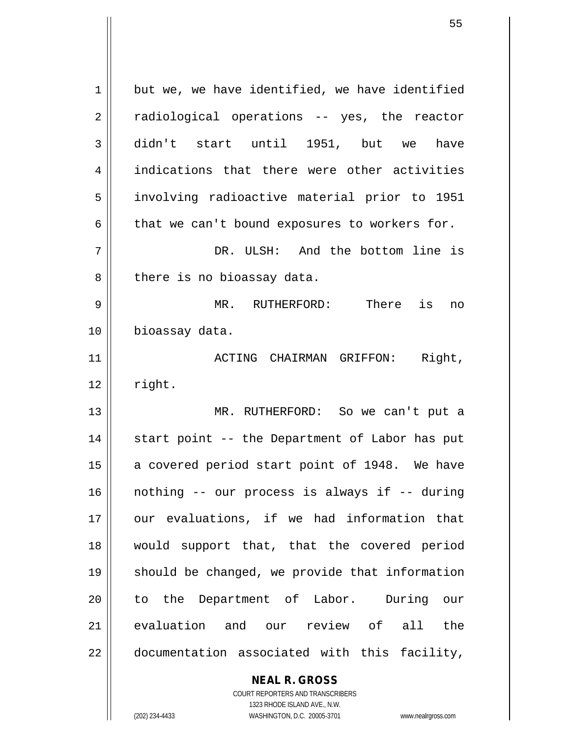| $\mathbf 1$ | but we, we have identified, we have identified |
|-------------|------------------------------------------------|
| 2           | radiological operations -- yes, the reactor    |
| 3           | didn't start until 1951, but we<br>have        |
| 4           | indications that there were other activities   |
| 5           | involving radioactive material prior to 1951   |
| 6           | that we can't bound exposures to workers for.  |
| 7           | DR. ULSH: And the bottom line is               |
| 8           | there is no bioassay data.                     |
| 9           | MR. RUTHERFORD:<br>There is<br>no              |
| 10          | bioassay data.                                 |
| 11          | ACTING CHAIRMAN GRIFFON: Right,                |
| 12          | right.                                         |
| 13          | MR. RUTHERFORD: So we can't put a              |
| 14          | start point -- the Department of Labor has put |
| 15          | a covered period start point of 1948. We have  |
| 16          | nothing -- our process is always if -- during  |
| 17          | our evaluations, if we had information that    |
| 18          | would support that, that the covered period    |
| 19          | should be changed, we provide that information |
| 20          | to the Department of Labor. During our         |
| 21          | evaluation and our review of all the           |
| 22          | documentation associated with this facility,   |
|             | <b>NEAL R. GROSS</b>                           |

 $\mathsf{II}$ 

1323 RHODE ISLAND AVE., N.W. (202) 234-4433 WASHINGTON, D.C. 20005-3701 www.nealrgross.com

COURT REPORTERS AND TRANSCRIBERS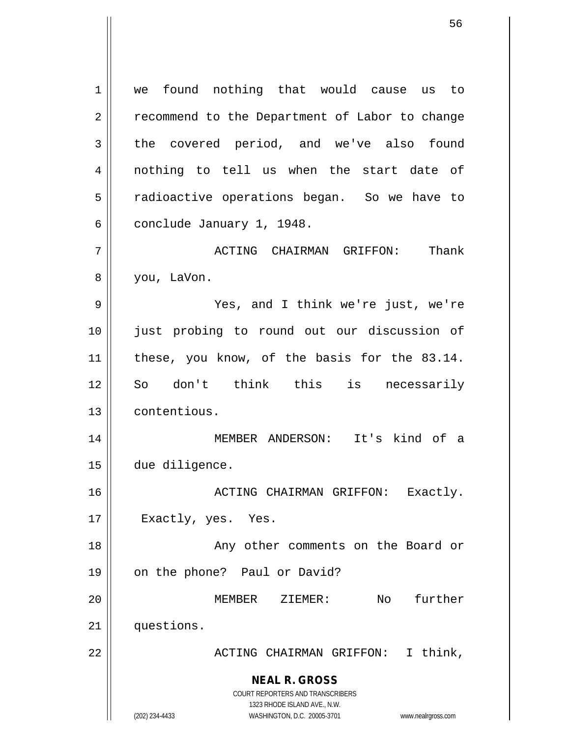**NEAL R. GROSS** COURT REPORTERS AND TRANSCRIBERS 1323 RHODE ISLAND AVE., N.W. (202) 234-4433 WASHINGTON, D.C. 20005-3701 www.nealrgross.com 1 | we found nothing that would cause us to 2 | recommend to the Department of Labor to change  $3 \parallel$  the covered period, and we've also found 4 || nothing to tell us when the start date of 5 | radioactive operations began. So we have to  $6 \parallel$  conclude January 1, 1948. 7 ACTING CHAIRMAN GRIFFON: Thank 8 | you, LaVon. 9 Yes, and I think we're just, we're 10 just probing to round out our discussion of 11 || these, you know, of the basis for the 83.14. 12 || So don't think this is necessarily 13 contentious. 14 MEMBER ANDERSON: It's kind of a 15 due diligence. 16 || ACTING CHAIRMAN GRIFFON: Exactly. 17 || Exactly, yes. Yes. 18 || Any other comments on the Board or 19 || on the phone? Paul or David? 20 MEMBER ZIEMER: No further 21 | questions. 22 || ACTING CHAIRMAN GRIFFON: I think,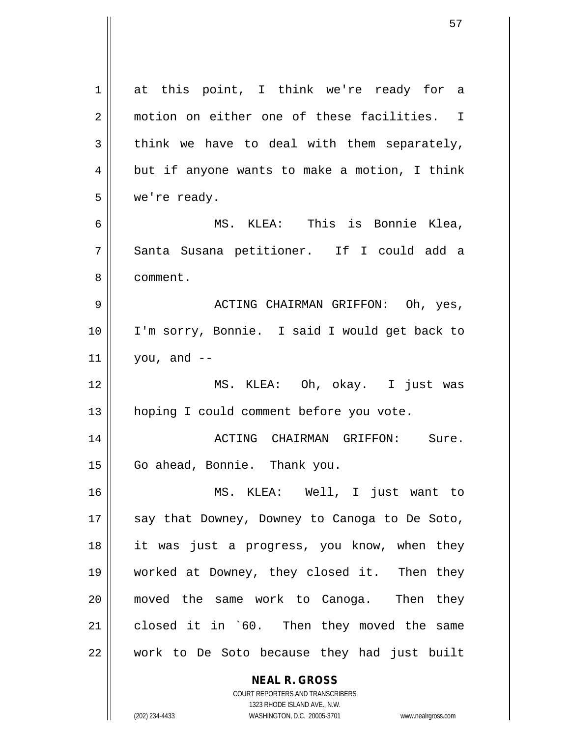**NEAL R. GROSS** 1 at this point, I think we're ready for a 2 | motion on either one of these facilities. I  $3 \parallel$  think we have to deal with them separately,  $4 \parallel$  but if anyone wants to make a motion, I think 5 we're ready. 6 MS. KLEA: This is Bonnie Klea, 7 Santa Susana petitioner. If I could add a 8 ll comment. 9 ACTING CHAIRMAN GRIFFON: Oh, yes, 10 I'm sorry, Bonnie. I said I would get back to  $11$  | you, and  $-$ 12 MS. KLEA: Oh, okay. I just was 13 | hoping I could comment before you vote. 14 ACTING CHAIRMAN GRIFFON: Sure. 15 | Go ahead, Bonnie. Thank you. 16 MS. KLEA: Well, I just want to 17 || say that Downey, Downey to Canoga to De Soto, 18 it was just a progress, you know, when they 19 worked at Downey, they closed it. Then they 20 moved the same work to Canoga. Then they 21 || closed it in `60. Then they moved the same 22 || work to De Soto because they had just built

> COURT REPORTERS AND TRANSCRIBERS 1323 RHODE ISLAND AVE., N.W.

(202) 234-4433 WASHINGTON, D.C. 20005-3701 www.nealrgross.com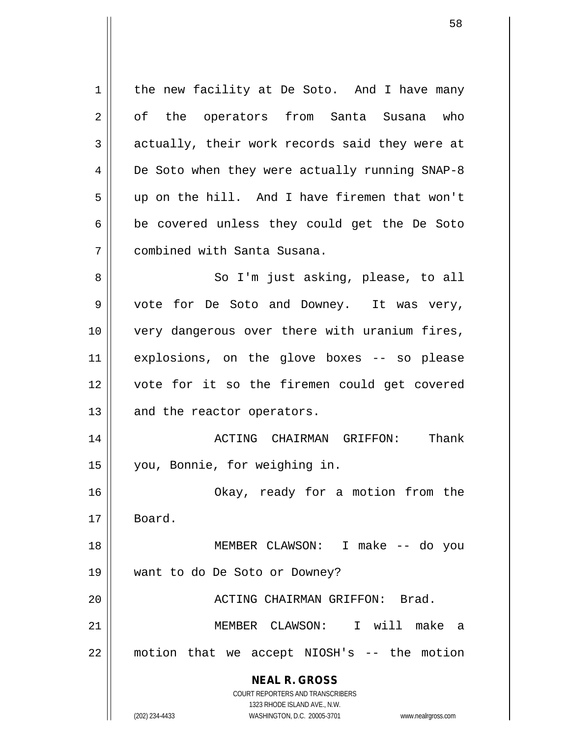**NEAL R. GROSS** COURT REPORTERS AND TRANSCRIBERS 1323 RHODE ISLAND AVE., N.W. (202) 234-4433 WASHINGTON, D.C. 20005-3701 www.nealrgross.com  $1 \parallel$  the new facility at De Soto. And I have many 2 || of the operators from Santa Susana who  $3 \parallel$  actually, their work records said they were at 4 | De Soto when they were actually running SNAP-8 5 up on the hill. And I have firemen that won't  $6 \parallel$  be covered unless they could get the De Soto 7 combined with Santa Susana. 8 || So I'm just asking, please, to all  $9 \parallel$  vote for De Soto and Downey. It was very, 10 || very dangerous over there with uranium fires, 11 explosions, on the glove boxes -- so please 12 vote for it so the firemen could get covered 13 || and the reactor operators. 14 ACTING CHAIRMAN GRIFFON: Thank 15 you, Bonnie, for weighing in. 16 || Chay, ready for a motion from the 17 Board. 18 MEMBER CLAWSON: I make -- do you 19 want to do De Soto or Downey? 20 || ACTING CHAIRMAN GRIFFON: Brad. 21 MEMBER CLAWSON: I will make a 22 motion that we accept NIOSH's -- the motion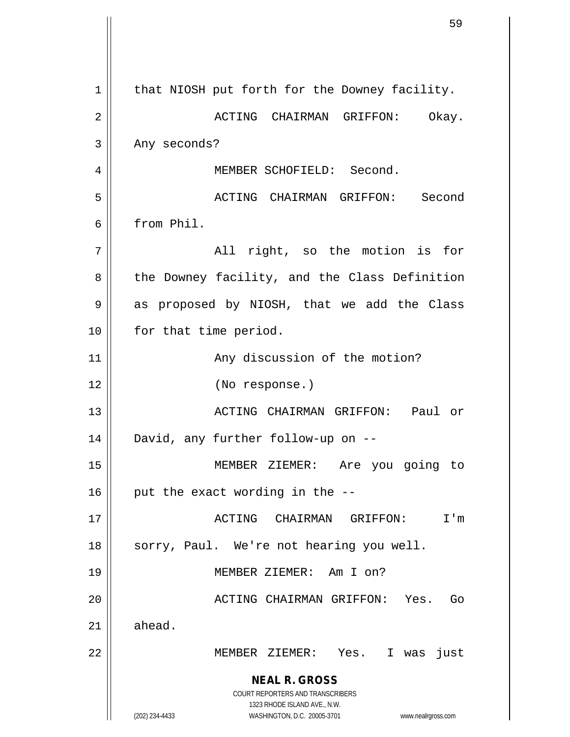**NEAL R. GROSS** COURT REPORTERS AND TRANSCRIBERS 1323 RHODE ISLAND AVE., N.W. (202) 234-4433 WASHINGTON, D.C. 20005-3701 www.nealrgross.com  $1$  | that NIOSH put forth for the Downey facility. 2 ACTING CHAIRMAN GRIFFON: Okay.  $3 \parallel$  Any seconds? 4 || MEMBER SCHOFIELD: Second. 5 ACTING CHAIRMAN GRIFFON: Second 6 from Phil.  $7 \parallel$  all right, so the motion is for 8 || the Downey facility, and the Class Definition 9 || as proposed by NIOSH, that we add the Class 10 || for that time period. 11 | Any discussion of the motion? 12 (No response.) 13 ACTING CHAIRMAN GRIFFON: Paul or 14 David, any further follow-up on -- 15 MEMBER ZIEMER: Are you going to  $16$  | put the exact wording in the  $-$ -17 ACTING CHAIRMAN GRIFFON: I'm 18 || sorry, Paul. We're not hearing you well. 19 MEMBER ZIEMER: Am I on? 20 || ACTING CHAIRMAN GRIFFON: Yes. Go  $21$   $\parallel$  ahead. 22 MEMBER ZIEMER: Yes. I was just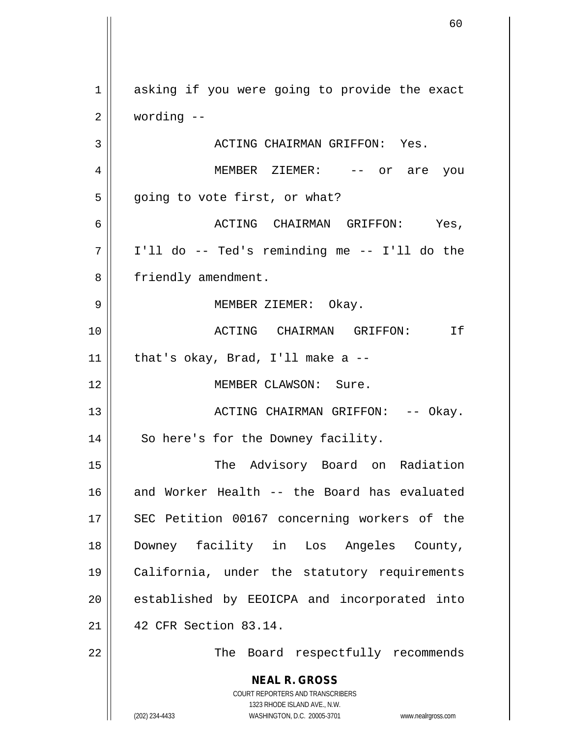**NEAL R. GROSS** COURT REPORTERS AND TRANSCRIBERS 1323 RHODE ISLAND AVE., N.W. (202) 234-4433 WASHINGTON, D.C. 20005-3701 www.nealrgross.com 1 asking if you were going to provide the exact 2 wording -- 3 ACTING CHAIRMAN GRIFFON: Yes. 4 MEMBER ZIEMER: -- or are you  $5 \parallel$  going to vote first, or what? 6 ACTING CHAIRMAN GRIFFON: Yes, 7 I'll do -- Ted's reminding me -- I'll do the 8 | friendly amendment. 9 MEMBER ZIEMER: Okay. 10 ACTING CHAIRMAN GRIFFON: If  $11$  | that's okay, Brad, I'll make a --12 MEMBER CLAWSON: Sure. 13 || ACTING CHAIRMAN GRIFFON: -- Okay. 14 || So here's for the Downey facility. 15 || The Advisory Board on Radiation 16 and Worker Health -- the Board has evaluated 17 || SEC Petition 00167 concerning workers of the 18 Downey facility in Los Angeles County, 19 California, under the statutory requirements 20 || established by EEOICPA and incorporated into 21 42 CFR Section 83.14. 22 || The Board respectfully recommends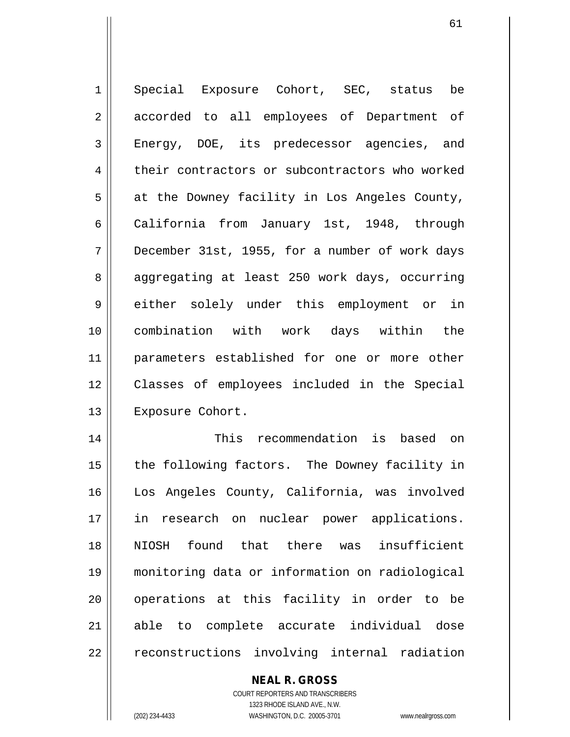1 Special Exposure Cohort, SEC, status be 2 || accorded to all employees of Department of 3 Energy, DOE, its predecessor agencies, and 4 their contractors or subcontractors who worked  $5 \parallel$  at the Downey facility in Los Angeles County, 6 California from January 1st, 1948, through 7 December 31st, 1955, for a number of work days 8 || aggregating at least 250 work days, occurring 9 either solely under this employment or in 10 combination with work days within the 11 || parameters established for one or more other 12 Classes of employees included in the Special 13 | Exposure Cohort. 14 This recommendation is based on

15 || the following factors. The Downey facility in 16 Los Angeles County, California, was involved 17 || in research on nuclear power applications. 18 NIOSH found that there was insufficient 19 monitoring data or information on radiological 20 || operations at this facility in order to be 21 able to complete accurate individual dose 22 | reconstructions involving internal radiation

**NEAL R. GROSS**

COURT REPORTERS AND TRANSCRIBERS 1323 RHODE ISLAND AVE., N.W. (202) 234-4433 WASHINGTON, D.C. 20005-3701 www.nealrgross.com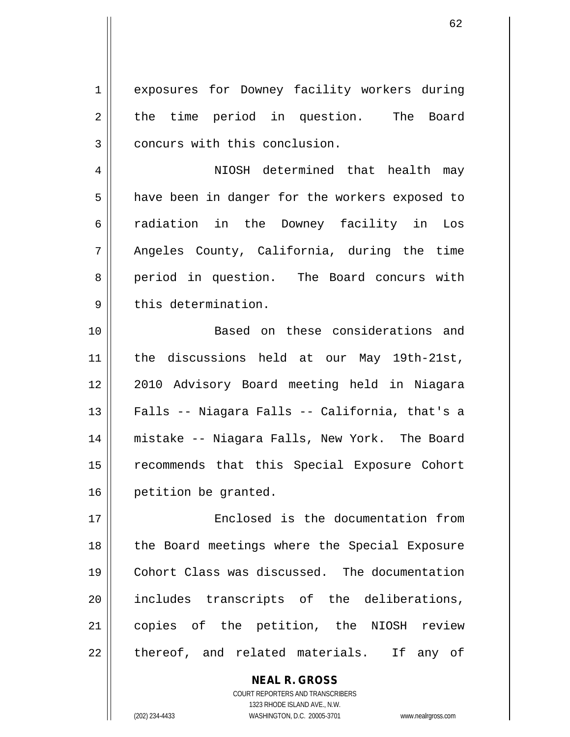1 || exposures for Downey facility workers during 2 || the time period in question. The Board 3 | concurs with this conclusion.

4 NIOSH determined that health may 5 | have been in danger for the workers exposed to 6 || radiation in the Downey facility in Los 7 || Angeles County, California, during the time 8 || period in question. The Board concurs with  $9 \parallel$  this determination.

 Based on these considerations and the discussions held at our May 19th-21st, 12 || 2010 Advisory Board meeting held in Niagara Falls -- Niagara Falls -- California, that's a mistake -- Niagara Falls, New York. The Board 15 | recommends that this Special Exposure Cohort **petition** be granted.

 Enclosed is the documentation from 18 || the Board meetings where the Special Exposure Cohort Class was discussed. The documentation 20 || includes transcripts of the deliberations, copies of the petition, the NIOSH review || thereof, and related materials. If any of

> COURT REPORTERS AND TRANSCRIBERS 1323 RHODE ISLAND AVE., N.W. (202) 234-4433 WASHINGTON, D.C. 20005-3701 www.nealrgross.com

**NEAL R. GROSS**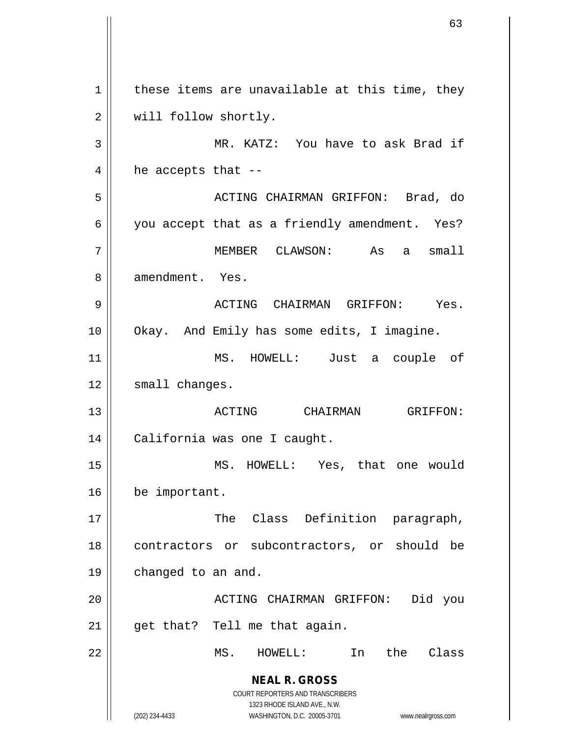**NEAL R. GROSS** COURT REPORTERS AND TRANSCRIBERS 1323 RHODE ISLAND AVE., N.W. (202) 234-4433 WASHINGTON, D.C. 20005-3701 www.nealrgross.com  $1 \parallel$  these items are unavailable at this time, they 2 | will follow shortly. 3 || MR. KATZ: You have to ask Brad if  $4 \parallel$  he accepts that --5 ACTING CHAIRMAN GRIFFON: Brad, do  $6 \parallel$  you accept that as a friendly amendment. Yes? 7 MEMBER CLAWSON: As a small 8 || amendment. Yes. 9 ACTING CHAIRMAN GRIFFON: Yes. 10 | Okay. And Emily has some edits, I imagine. 11 MS. HOWELL: Just a couple of 12 | small changes. 13 ACTING CHAIRMAN GRIFFON: 14 California was one I caught. 15 MS. HOWELL: Yes, that one would 16 | be important. 17 || The Class Definition paragraph, 18 || contractors or subcontractors, or should be 19 | changed to an and. 20 || ACTING CHAIRMAN GRIFFON: Did you  $21$  | get that? Tell me that again. 22 MS. HOWELL: In the Class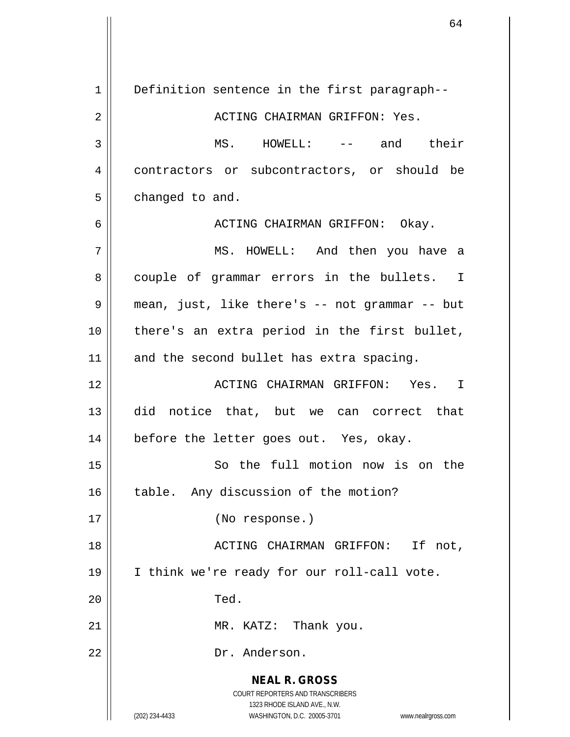**NEAL R. GROSS** COURT REPORTERS AND TRANSCRIBERS 1323 RHODE ISLAND AVE., N.W. (202) 234-4433 WASHINGTON, D.C. 20005-3701 www.nealrgross.com 1 | Definition sentence in the first paragraph--2 ACTING CHAIRMAN GRIFFON: Yes. 3 MS. HOWELL: -- and their 4 contractors or subcontractors, or should be  $5 \parallel$  changed to and. 6 ACTING CHAIRMAN GRIFFON: Okay. 7 MS. HOWELL: And then you have a 8 couple of grammar errors in the bullets. I 9 mean, just, like there's -- not grammar -- but 10 there's an extra period in the first bullet, 11 || and the second bullet has extra spacing. 12 ACTING CHAIRMAN GRIFFON: Yes. I 13 did notice that, but we can correct that 14 || before the letter goes out. Yes, okay. 15 So the full motion now is on the 16 || table. Any discussion of the motion? 17 (No response.) 18 || ACTING CHAIRMAN GRIFFON: If not, 19 || I think we're ready for our roll-call vote. 20 || Ted. 21 || MR. KATZ: Thank you. 22 || Dr. Anderson.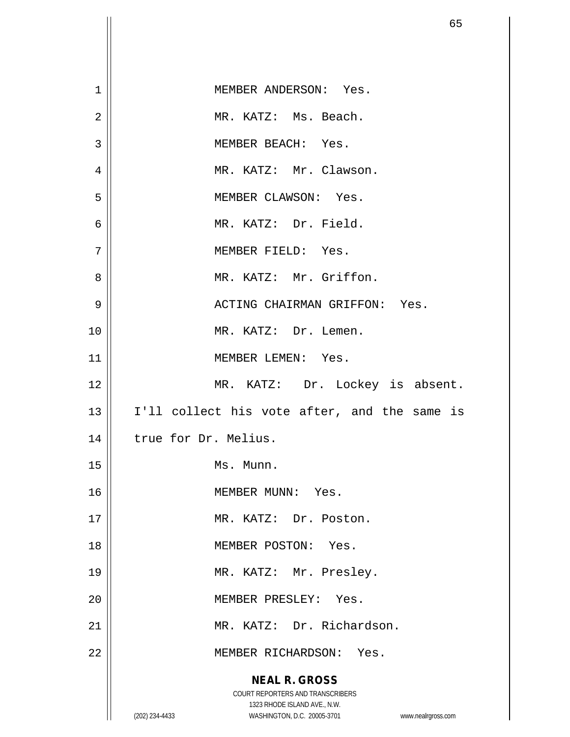|                | 65                                                                                                                                                              |
|----------------|-----------------------------------------------------------------------------------------------------------------------------------------------------------------|
|                |                                                                                                                                                                 |
| $\mathbf{1}$   | MEMBER ANDERSON: Yes.                                                                                                                                           |
| $\overline{2}$ | MR. KATZ: Ms. Beach.                                                                                                                                            |
| 3              | MEMBER BEACH: Yes.                                                                                                                                              |
|                |                                                                                                                                                                 |
| $\overline{4}$ | MR. KATZ: Mr. Clawson.                                                                                                                                          |
| 5              | MEMBER CLAWSON: Yes.                                                                                                                                            |
| $\epsilon$     | MR. KATZ: Dr. Field.                                                                                                                                            |
| 7              | MEMBER FIELD: Yes.                                                                                                                                              |
| 8              | MR. KATZ: Mr. Griffon.                                                                                                                                          |
| 9              | ACTING CHAIRMAN GRIFFON: Yes.                                                                                                                                   |
| 10             | MR. KATZ: Dr. Lemen.                                                                                                                                            |
| 11             | MEMBER LEMEN: Yes.                                                                                                                                              |
| 12             | MR. KATZ: Dr. Lockey is absent.                                                                                                                                 |
| 13             | I'll collect his vote after, and the same is                                                                                                                    |
| 14             | true for Dr. Melius.                                                                                                                                            |
| 15             | Ms. Munn.                                                                                                                                                       |
| 16             | MEMBER MUNN: Yes.                                                                                                                                               |
| 17             | MR. KATZ: Dr. Poston.                                                                                                                                           |
| 18             | MEMBER POSTON: Yes.                                                                                                                                             |
| 19             | MR. KATZ: Mr. Presley.                                                                                                                                          |
| 20             | MEMBER PRESLEY: Yes.                                                                                                                                            |
| 21             | MR. KATZ: Dr. Richardson.                                                                                                                                       |
| 22             | MEMBER RICHARDSON: Yes.                                                                                                                                         |
|                | <b>NEAL R. GROSS</b><br>COURT REPORTERS AND TRANSCRIBERS<br>1323 RHODE ISLAND AVE., N.W.<br>(202) 234-4433<br>WASHINGTON, D.C. 20005-3701<br>www.nealrgross.com |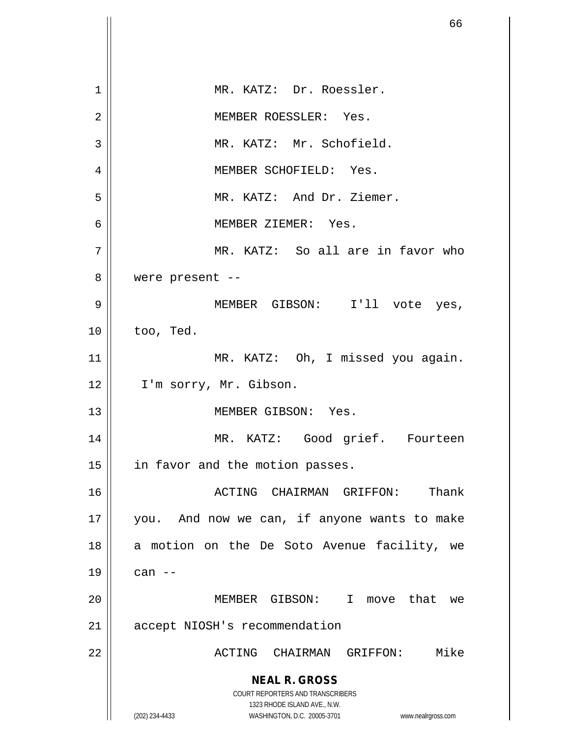|    | 66                                                                      |
|----|-------------------------------------------------------------------------|
|    |                                                                         |
| 1  | MR. KATZ: Dr. Roessler.                                                 |
| 2  | MEMBER ROESSLER: Yes.                                                   |
| 3  | MR. KATZ: Mr. Schofield.                                                |
| 4  | MEMBER SCHOFIELD: Yes.                                                  |
| 5  | MR. KATZ: And Dr. Ziemer.                                               |
| 6  | MEMBER ZIEMER: Yes.                                                     |
| 7  | MR. KATZ: So all are in favor who                                       |
| 8  | were present --                                                         |
| 9  | MEMBER GIBSON: I'll vote yes,                                           |
| 10 | too, Ted.                                                               |
| 11 | MR. KATZ: Oh, I missed you again.                                       |
| 12 | I'm sorry, Mr. Gibson.                                                  |
| 13 | MEMBER GIBSON: Yes.                                                     |
| 14 | MR. KATZ: Good grief. Fourteen                                          |
| 15 | in favor and the motion passes.                                         |
| 16 | Thank<br>ACTING CHAIRMAN GRIFFON:                                       |
| 17 | you. And now we can, if anyone wants to make                            |
| 18 | a motion on the De Soto Avenue facility, we                             |
| 19 | can $--$                                                                |
| 20 | MEMBER GIBSON: I move that we                                           |
| 21 | accept NIOSH's recommendation                                           |
| 22 | Mike<br>ACTING CHAIRMAN GRIFFON:                                        |
|    | <b>NEAL R. GROSS</b>                                                    |
|    | <b>COURT REPORTERS AND TRANSCRIBERS</b><br>1323 RHODE ISLAND AVE., N.W. |
|    | (202) 234-4433<br>WASHINGTON, D.C. 20005-3701<br>www.nealrgross.com     |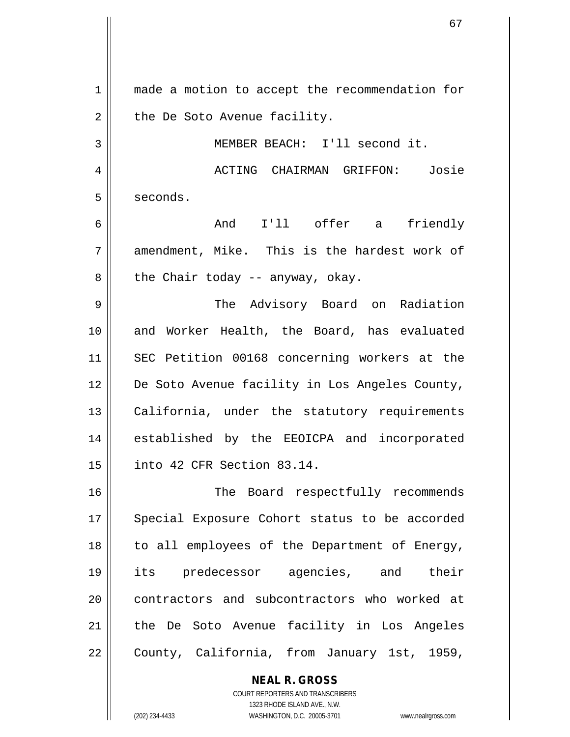1 || made a motion to accept the recommendation for  $2 \parallel$  the De Soto Avenue facility.

3 MEMBER BEACH: I'll second it.

4 ACTING CHAIRMAN GRIFFON: Josie  $5 \parallel$  seconds.

6 And I'll offer a friendly  $7$  || amendment, Mike. This is the hardest work of  $8 \parallel$  the Chair today -- anyway, okay.

9 The Advisory Board on Radiation 10 || and Worker Health, the Board, has evaluated 11 SEC Petition 00168 concerning workers at the 12 De Soto Avenue facility in Los Angeles County, 13 || California, under the statutory requirements 14 || established by the EEOICPA and incorporated 15 into 42 CFR Section 83.14.

16 || The Board respectfully recommends 17 || Special Exposure Cohort status to be accorded 18 || to all employees of the Department of Energy, 19 its predecessor agencies, and their 20 || contractors and subcontractors who worked at 21 || the De Soto Avenue facility in Los Angeles 22 | County, California, from January 1st, 1959,

**NEAL R. GROSS**

COURT REPORTERS AND TRANSCRIBERS 1323 RHODE ISLAND AVE., N.W. (202) 234-4433 WASHINGTON, D.C. 20005-3701 www.nealrgross.com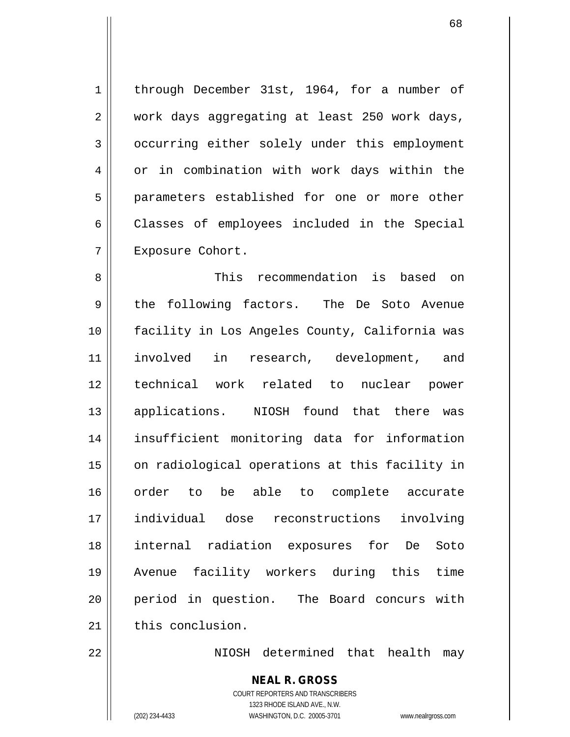1 | through December 31st, 1964, for a number of 2 || work days aggregating at least 250 work days, 3 | occurring either solely under this employment 4 | or in combination with work days within the 5 || parameters established for one or more other 6 Classes of employees included in the Special 7 | Exposure Cohort.

 This recommendation is based on 9 the following factors. The De Soto Avenue facility in Los Angeles County, California was involved in research, development, and technical work related to nuclear power applications. NIOSH found that there was insufficient monitoring data for information 15 || on radiological operations at this facility in order to be able to complete accurate individual dose reconstructions involving internal radiation exposures for De Soto Avenue facility workers during this time period in question. The Board concurs with  $\parallel$  this conclusion.

22 NIOSH determined that health may

**NEAL R. GROSS** COURT REPORTERS AND TRANSCRIBERS

1323 RHODE ISLAND AVE., N.W. (202) 234-4433 WASHINGTON, D.C. 20005-3701 www.nealrgross.com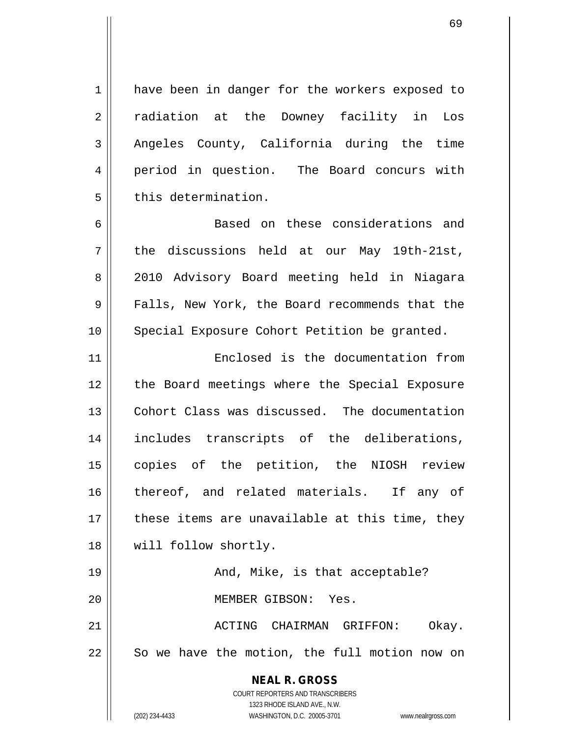1 | have been in danger for the workers exposed to 2 || radiation at the Downey facility in Los 3 Angeles County, California during the time 4 || period in question. The Board concurs with  $5$   $\parallel$  this determination.

6 || Based on these considerations and  $7 \parallel$  the discussions held at our May 19th-21st, 8 || 2010 Advisory Board meeting held in Niagara 9 Falls, New York, the Board recommends that the 10 || Special Exposure Cohort Petition be granted.

11 Enclosed is the documentation from 12 || the Board meetings where the Special Exposure 13 Cohort Class was discussed. The documentation 14 includes transcripts of the deliberations, 15 copies of the petition, the NIOSH review 16 || thereof, and related materials. If any of  $17$   $\parallel$  these items are unavailable at this time, they 18 || will follow shortly.

19 And, Mike, is that acceptable? 20 MEMBER GIBSON: Yes.

21 ACTING CHAIRMAN GRIFFON: Okay.  $22$   $\parallel$  So we have the motion, the full motion now on

> **NEAL R. GROSS** COURT REPORTERS AND TRANSCRIBERS 1323 RHODE ISLAND AVE., N.W. (202) 234-4433 WASHINGTON, D.C. 20005-3701 www.nealrgross.com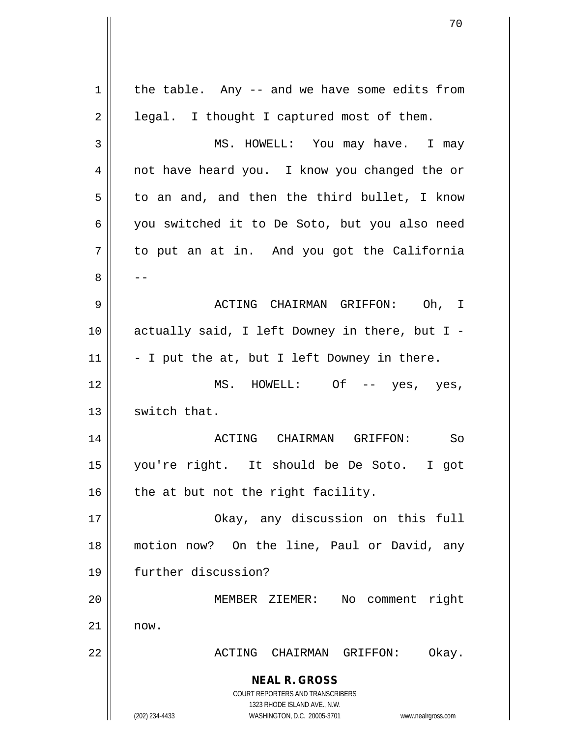|             | 70                                                                                                  |
|-------------|-----------------------------------------------------------------------------------------------------|
|             |                                                                                                     |
|             |                                                                                                     |
| $\mathbf 1$ | the table. Any -- and we have some edits from                                                       |
| 2           | legal. I thought I captured most of them.                                                           |
| 3           | MS. HOWELL: You may have. I may                                                                     |
| 4           | not have heard you. I know you changed the or                                                       |
| 5           | to an and, and then the third bullet, I know                                                        |
| 6           | you switched it to De Soto, but you also need                                                       |
| 7           | to put an at in. And you got the California                                                         |
| 8           |                                                                                                     |
| 9           | ACTING CHAIRMAN GRIFFON: Oh, I                                                                      |
| 10          | actually said, I left Downey in there, but I -                                                      |
| 11          | - I put the at, but I left Downey in there.                                                         |
| 12          | MS. HOWELL: Of<br>$--$ yes, yes,                                                                    |
| 13          | switch that.                                                                                        |
| 14          | <b>ACTING</b><br>CHAIRMAN<br>GRIFFON:<br>So                                                         |
| 15          | you're right. It should be De Soto.<br>I got                                                        |
| 16          | the at but not the right facility.                                                                  |
| 17          | Okay, any discussion on this full                                                                   |
| 18          | motion now? On the line, Paul or David, any                                                         |
| 19          | further discussion?                                                                                 |
| 20          | No comment right<br>MEMBER ZIEMER:                                                                  |
| 21          | now.                                                                                                |
| 22          | ACTING CHAIRMAN GRIFFON:<br>Okay.                                                                   |
|             | <b>NEAL R. GROSS</b>                                                                                |
|             | <b>COURT REPORTERS AND TRANSCRIBERS</b>                                                             |
|             | 1323 RHODE ISLAND AVE., N.W.<br>(202) 234-4433<br>WASHINGTON, D.C. 20005-3701<br>www.nealrgross.com |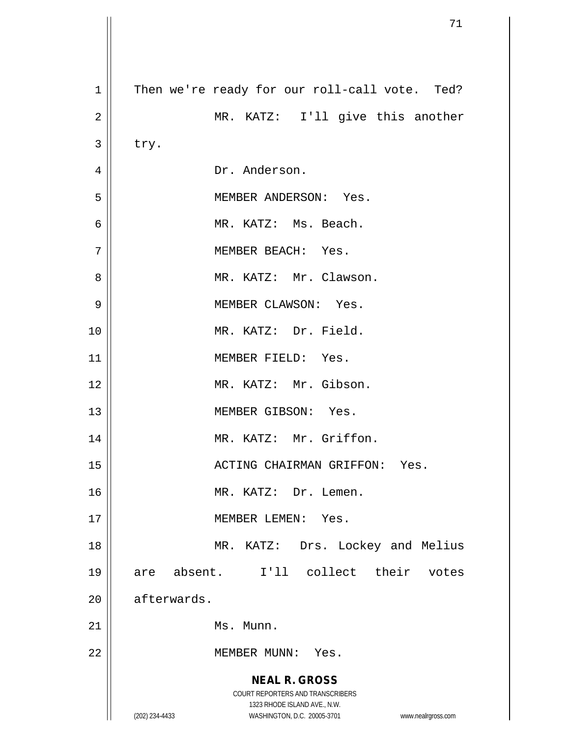|                | 71                                                                  |
|----------------|---------------------------------------------------------------------|
|                |                                                                     |
| $\mathbf 1$    | Then we're ready for our roll-call vote. Ted?                       |
| $\sqrt{2}$     | MR. KATZ: I'll give this another                                    |
| 3              | try.                                                                |
| $\overline{4}$ | Dr. Anderson.                                                       |
| 5              | MEMBER ANDERSON: Yes.                                               |
| 6              | MR. KATZ: Ms. Beach.                                                |
| 7              | MEMBER BEACH: Yes.                                                  |
| 8              | MR. KATZ: Mr. Clawson.                                              |
| 9              | MEMBER CLAWSON: Yes.                                                |
| 10             | MR. KATZ: Dr. Field.                                                |
| 11             | MEMBER FIELD: Yes.                                                  |
| 12             | MR. KATZ: Mr. Gibson.                                               |
| 13             | MEMBER GIBSON: Yes.                                                 |
| 14             | MR. KATZ: Mr. Griffon.                                              |
| 15             | ACTING CHAIRMAN GRIFFON: Yes.                                       |
| 16             | MR. KATZ: Dr. Lemen.                                                |
| 17             | MEMBER LEMEN: Yes.                                                  |
| 18             | MR. KATZ: Drs. Lockey and Melius                                    |
| 19             | are absent. I'll collect their<br>votes                             |
| 20             | afterwards.                                                         |
| 21             | Ms. Munn.                                                           |
| 22             | MEMBER MUNN: Yes.                                                   |
|                | <b>NEAL R. GROSS</b>                                                |
|                | COURT REPORTERS AND TRANSCRIBERS                                    |
|                | 1323 RHODE ISLAND AVE., N.W.                                        |
|                | (202) 234-4433<br>WASHINGTON, D.C. 20005-3701<br>www.nealrgross.com |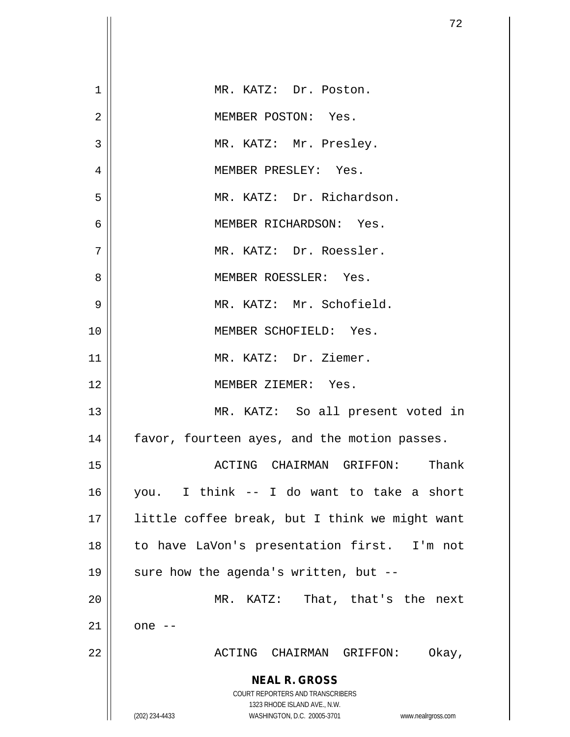|             | 72                                                                                                  |
|-------------|-----------------------------------------------------------------------------------------------------|
|             |                                                                                                     |
| $\mathbf 1$ | MR. KATZ: Dr. Poston.                                                                               |
| 2           | MEMBER POSTON: Yes.                                                                                 |
|             |                                                                                                     |
| 3           | MR. KATZ: Mr. Presley.                                                                              |
| 4           | MEMBER PRESLEY: Yes.                                                                                |
| 5           | MR. KATZ: Dr. Richardson.                                                                           |
| 6           | MEMBER RICHARDSON: Yes.                                                                             |
| 7           | MR. KATZ: Dr. Roessler.                                                                             |
| 8           | MEMBER ROESSLER: Yes.                                                                               |
| 9           | MR. KATZ: Mr. Schofield.                                                                            |
| 10          | MEMBER SCHOFIELD: Yes.                                                                              |
| 11          | MR. KATZ: Dr. Ziemer.                                                                               |
| 12          | MEMBER ZIEMER: Yes.                                                                                 |
| 13          | MR. KATZ: So all present voted in                                                                   |
| 14          | favor, fourteen ayes, and the motion passes.                                                        |
| 15          | Thank<br>ACTING CHAIRMAN GRIFFON:                                                                   |
| 16          | you. I think -- I do want to take a short                                                           |
| 17          | little coffee break, but I think we might want                                                      |
| 18          | to have LaVon's presentation first. I'm not                                                         |
| 19          | sure how the agenda's written, but --                                                               |
| 20          | That, that's the next<br>MR. KATZ:                                                                  |
| 21          | one $--$                                                                                            |
| 22          | ACTING CHAIRMAN GRIFFON:<br>Okay,                                                                   |
|             | <b>NEAL R. GROSS</b>                                                                                |
|             | <b>COURT REPORTERS AND TRANSCRIBERS</b>                                                             |
|             | 1323 RHODE ISLAND AVE., N.W.<br>(202) 234-4433<br>WASHINGTON, D.C. 20005-3701<br>www.nealrgross.com |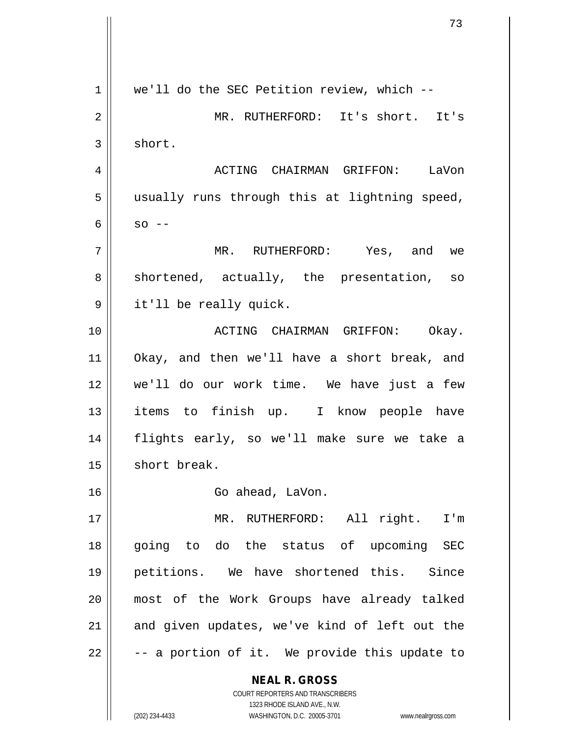**NEAL R. GROSS** COURT REPORTERS AND TRANSCRIBERS 1323 RHODE ISLAND AVE., N.W. 1 | we'll do the SEC Petition review, which --2 MR. RUTHERFORD: It's short. It's  $3 \parallel$  short. 4 ACTING CHAIRMAN GRIFFON: LaVon 5 || usually runs through this at lightning speed,  $6 \parallel$  so  $-$ 7 MR. RUTHERFORD: Yes, and we  $8 \parallel$  shortened, actually, the presentation, so 9 it'll be really quick. 10 ACTING CHAIRMAN GRIFFON: Okay. 11 Okay, and then we'll have a short break, and 12 we'll do our work time. We have just a few 13 || items to finish up. I know people have 14 flights early, so we'll make sure we take a 15 | short break. 16 || Go ahead, LaVon. 17 || MR. RUTHERFORD: All right. I'm 18 going to do the status of upcoming SEC 19 petitions. We have shortened this. Since 20 most of the Work Groups have already talked  $21$  and given updates, we've kind of left out the  $22 \parallel$  -- a portion of it. We provide this update to

(202) 234-4433 WASHINGTON, D.C. 20005-3701 www.nealrgross.com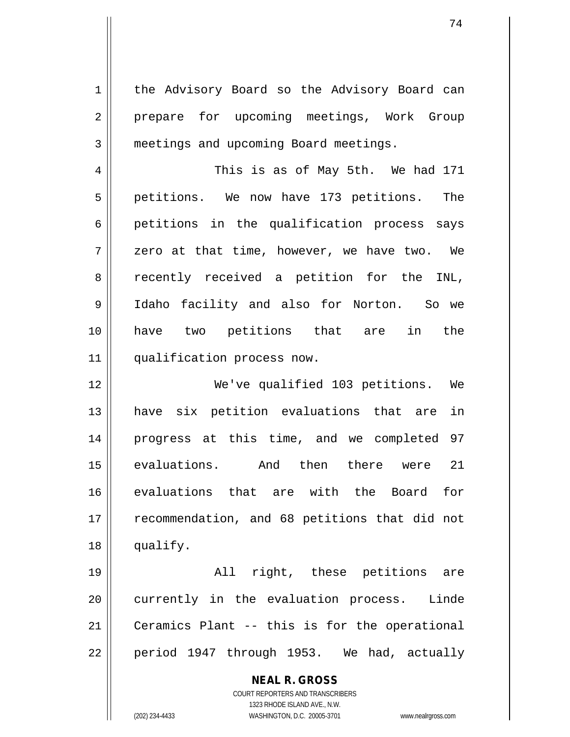1 | the Advisory Board so the Advisory Board can 2 || prepare for upcoming meetings, Work Group 3 **meetings and upcoming Board meetings.** 

4 || This is as of May 5th. We had 171 5 || petitions. We now have 173 petitions. The 6 || petitions in the qualification process says 7 zero at that time, however, we have two. We 8 recently received a petition for the INL, 9 Idaho facility and also for Norton. So we 10 have two petitions that are in the 11 | qualification process now.

 We've qualified 103 petitions. We have six petition evaluations that are in progress at this time, and we completed 97 evaluations. And then there were 21 evaluations that are with the Board for 17 || recommendation, and 68 petitions that did not 18 | qualify.

19 All right, these petitions are 20 || currently in the evaluation process. Linde 21 || Ceramics Plant -- this is for the operational  $22 \parallel$  period 1947 through 1953. We had, actually

> **NEAL R. GROSS** COURT REPORTERS AND TRANSCRIBERS 1323 RHODE ISLAND AVE., N.W. (202) 234-4433 WASHINGTON, D.C. 20005-3701 www.nealrgross.com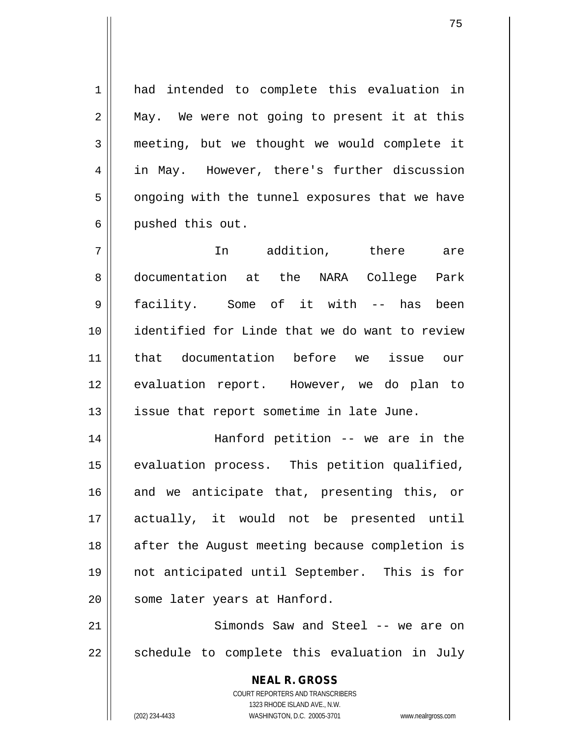1 had intended to complete this evaluation in  $2 \parallel$  May. We were not going to present it at this 3 meeting, but we thought we would complete it 4 || in May. However, there's further discussion  $5 \parallel$  ongoing with the tunnel exposures that we have 6 || pushed this out.

 In addition, there are documentation at the NARA College Park 9 || facility. Some of it with -- has been identified for Linde that we do want to review that documentation before we issue our evaluation report. However, we do plan to || issue that report sometime in late June.

 Hanford petition -- we are in the evaluation process. This petition qualified, and we anticipate that, presenting this, or actually, it would not be presented until 18 || after the August meeting because completion is not anticipated until September. This is for 20 | some later years at Hanford.

21 || Simonds Saw and Steel -- we are on  $22$  || schedule to complete this evaluation in July

> **NEAL R. GROSS** COURT REPORTERS AND TRANSCRIBERS 1323 RHODE ISLAND AVE., N.W. (202) 234-4433 WASHINGTON, D.C. 20005-3701 www.nealrgross.com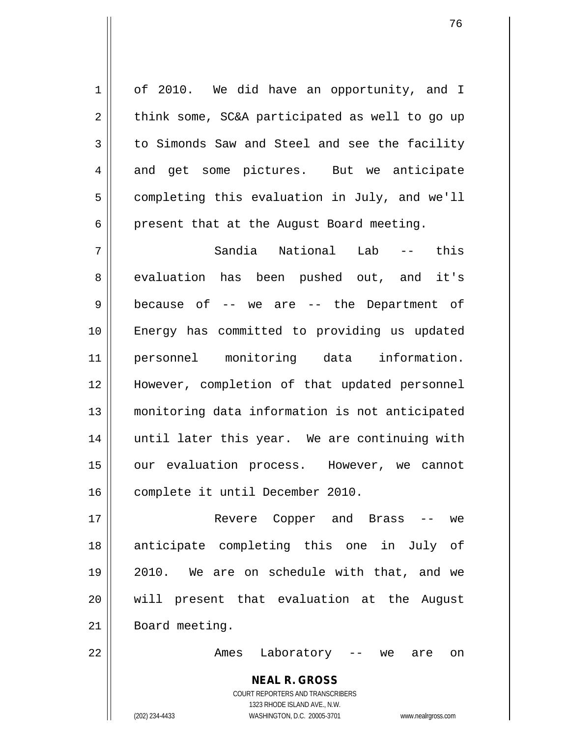1 | of 2010. We did have an opportunity, and I  $2 \parallel$  think some, SC&A participated as well to go up  $3 \parallel$  to Simonds Saw and Steel and see the facility 4 and get some pictures. But we anticipate  $5 \parallel$  completing this evaluation in July, and we'll  $6 \parallel$  present that at the August Board meeting.

7 Sandia National Lab -- this 8 evaluation has been pushed out, and it's  $9 \parallel$  because of -- we are -- the Department of 10 Energy has committed to providing us updated 11 personnel monitoring data information. 12 However, completion of that updated personnel 13 monitoring data information is not anticipated 14 || until later this year. We are continuing with 15 || our evaluation process. However, we cannot 16 complete it until December 2010.

 Revere Copper and Brass -- we anticipate completing this one in July of 2010. We are on schedule with that, and we will present that evaluation at the August 21 | Board meeting.

22 Ames Laboratory -- we are on

## **NEAL R. GROSS**

COURT REPORTERS AND TRANSCRIBERS 1323 RHODE ISLAND AVE., N.W. (202) 234-4433 WASHINGTON, D.C. 20005-3701 www.nealrgross.com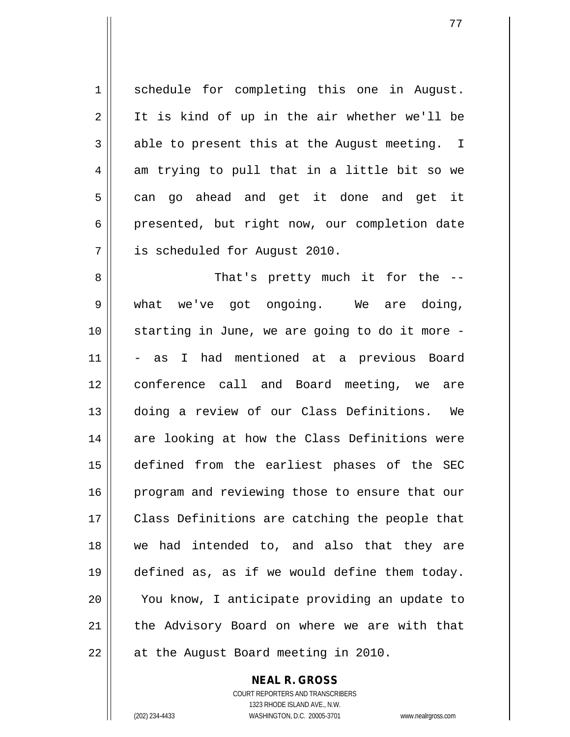1 Schedule for completing this one in August. 2 || It is kind of up in the air whether we'll be  $3 \parallel$  able to present this at the August meeting. I  $4 \parallel$  am trying to pull that in a little bit so we  $5 \parallel$  can go ahead and get it done and get it  $6 \parallel$  presented, but right now, our completion date 7 is scheduled for August 2010.

8 || That's pretty much it for the --9 what we've got ongoing. We are doing, 10 starting in June, we are going to do it more - 11 - as I had mentioned at a previous Board 12 conference call and Board meeting, we are 13 doing a review of our Class Definitions. We 14 are looking at how the Class Definitions were 15 defined from the earliest phases of the SEC 16 || program and reviewing those to ensure that our 17 || Class Definitions are catching the people that 18 we had intended to, and also that they are 19 defined as, as if we would define them today. 20 || You know, I anticipate providing an update to 21 || the Advisory Board on where we are with that  $22$  || at the August Board meeting in 2010.

**NEAL R. GROSS**

COURT REPORTERS AND TRANSCRIBERS 1323 RHODE ISLAND AVE., N.W. (202) 234-4433 WASHINGTON, D.C. 20005-3701 www.nealrgross.com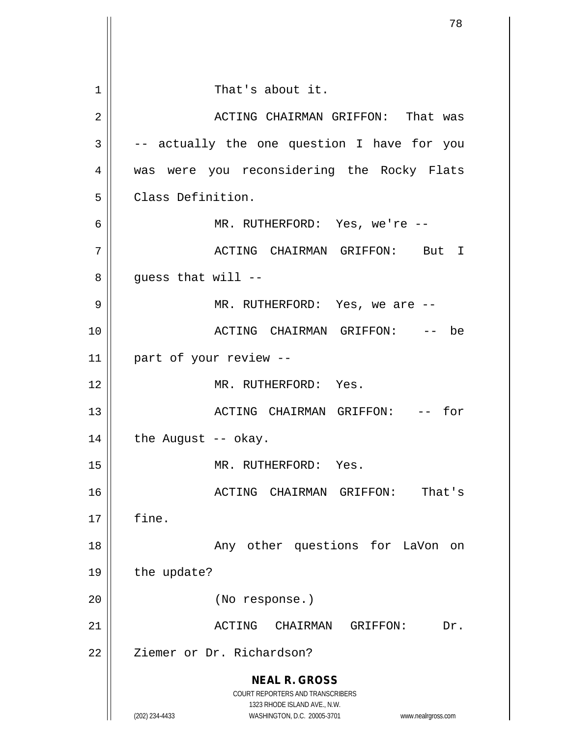**NEAL R. GROSS** COURT REPORTERS AND TRANSCRIBERS 1323 RHODE ISLAND AVE., N.W. (202) 234-4433 WASHINGTON, D.C. 20005-3701 www.nealrgross.com 1 || That's about it. 2 ACTING CHAIRMAN GRIFFON: That was  $3 \parallel$  -- actually the one question I have for you 4 was were you reconsidering the Rocky Flats 5 | Class Definition. 6 MR. RUTHERFORD: Yes, we're -- 7 ACTING CHAIRMAN GRIFFON: But I  $8 \parallel$  guess that will --9 MR. RUTHERFORD: Yes, we are -- 10 ACTING CHAIRMAN GRIFFON: -- be 11 part of your review -- 12 MR. RUTHERFORD: Yes. 13 ACTING CHAIRMAN GRIFFON: -- for  $14$  | the August -- okay. 15 || MR. RUTHERFORD: Yes. 16 ACTING CHAIRMAN GRIFFON: That's  $17 \parallel$  fine. 18 || Any other questions for LaVon on  $19 \parallel$  the update? 20 (No response.) 21 ACTING CHAIRMAN GRIFFON: Dr. 22 | Ziemer or Dr. Richardson?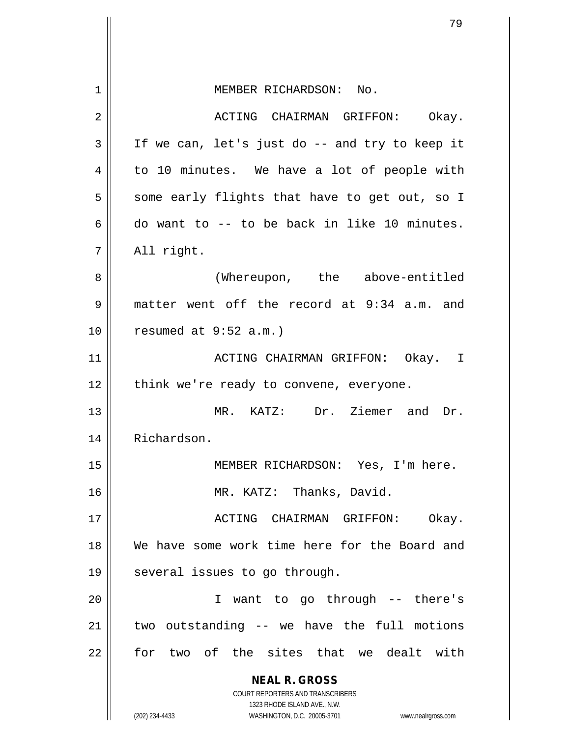|    | 79                                                                  |
|----|---------------------------------------------------------------------|
|    |                                                                     |
| 1  | MEMBER RICHARDSON: No.                                              |
| 2  | ACTING CHAIRMAN GRIFFON:<br>Okay.                                   |
| 3  | If we can, let's just do -- and try to keep it                      |
| 4  | to 10 minutes. We have a lot of people with                         |
| 5  | some early flights that have to get out, so I                       |
| 6  | do want to -- to be back in like 10 minutes.                        |
| 7  | All right.                                                          |
| 8  | (Whereupon, the above-entitled                                      |
| 9  | matter went off the record at 9:34 a.m. and                         |
| 10 | resumed at $9:52$ a.m.)                                             |
| 11 | ACTING CHAIRMAN GRIFFON: Okay. I                                    |
| 12 | think we're ready to convene, everyone.                             |
| 13 | MR. KATZ:<br>Dr. Ziemer and<br>Dr.                                  |
| 14 | Richardson.                                                         |
| 15 | MEMBER RICHARDSON: Yes, I'm here.                                   |
| 16 | MR. KATZ: Thanks, David.                                            |
| 17 | ACTING CHAIRMAN GRIFFON:<br>Okay.                                   |
| 18 | We have some work time here for the Board and                       |
| 19 | several issues to go through.                                       |
| 20 | I want to go through -- there's                                     |
| 21 | two outstanding -- we have the full motions                         |
| 22 | for two of the sites that we dealt with                             |
|    | <b>NEAL R. GROSS</b>                                                |
|    | COURT REPORTERS AND TRANSCRIBERS<br>1323 RHODE ISLAND AVE., N.W.    |
|    | (202) 234-4433<br>WASHINGTON, D.C. 20005-3701<br>www.nealrgross.com |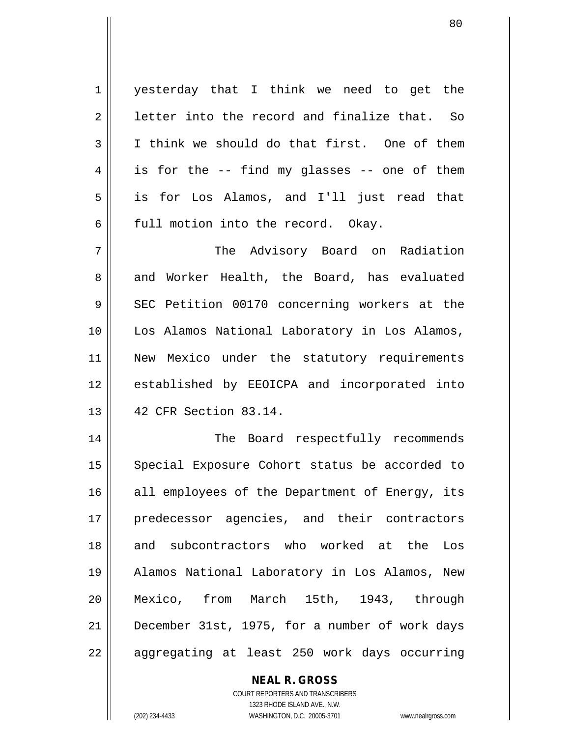1 || yesterday that I think we need to get the  $2 \parallel$  letter into the record and finalize that. So  $3 \parallel$  I think we should do that first. One of them  $4 \parallel$  is for the -- find my glasses -- one of them 5 is for Los Alamos, and I'll just read that 6  $\parallel$  full motion into the record. Okay. 7 The Advisory Board on Radiation

8 and Worker Health, the Board, has evaluated 9 SEC Petition 00170 concerning workers at the 10 Los Alamos National Laboratory in Los Alamos, 11 || New Mexico under the statutory requirements 12 || established by EEOICPA and incorporated into 13 42 CFR Section 83.14.

14 || The Board respectfully recommends 15 || Special Exposure Cohort status be accorded to  $16$  all employees of the Department of Energy, its 17 predecessor agencies, and their contractors 18 || and subcontractors who worked at the Los 19 Alamos National Laboratory in Los Alamos, New 20 Mexico, from March 15th, 1943, through 21 December 31st, 1975, for a number of work days 22 || aggregating at least 250 work days occurring

> **NEAL R. GROSS** COURT REPORTERS AND TRANSCRIBERS 1323 RHODE ISLAND AVE., N.W. (202) 234-4433 WASHINGTON, D.C. 20005-3701 www.nealrgross.com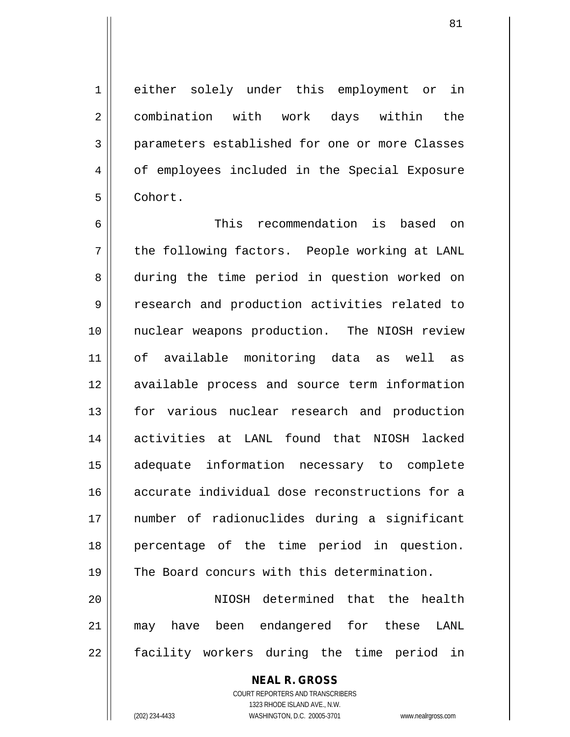1 either solely under this employment or in 2 combination with work days within the 3 parameters established for one or more Classes 4 || of employees included in the Special Exposure 5 Cohort.

6 This recommendation is based on 7 || the following factors. People working at LANL 8 during the time period in question worked on 9 || research and production activities related to 10 nuclear weapons production. The NIOSH review 11 of available monitoring data as well as 12 available process and source term information 13 || for various nuclear research and production 14 activities at LANL found that NIOSH lacked 15 adequate information necessary to complete 16 accurate individual dose reconstructions for a 17 number of radionuclides during a significant 18 percentage of the time period in question. 19 The Board concurs with this determination. 20 || NIOSH determined that the health

21 may have been endangered for these LANL 22 || facility workers during the time period in

> **NEAL R. GROSS** COURT REPORTERS AND TRANSCRIBERS

1323 RHODE ISLAND AVE., N.W. (202) 234-4433 WASHINGTON, D.C. 20005-3701 www.nealrgross.com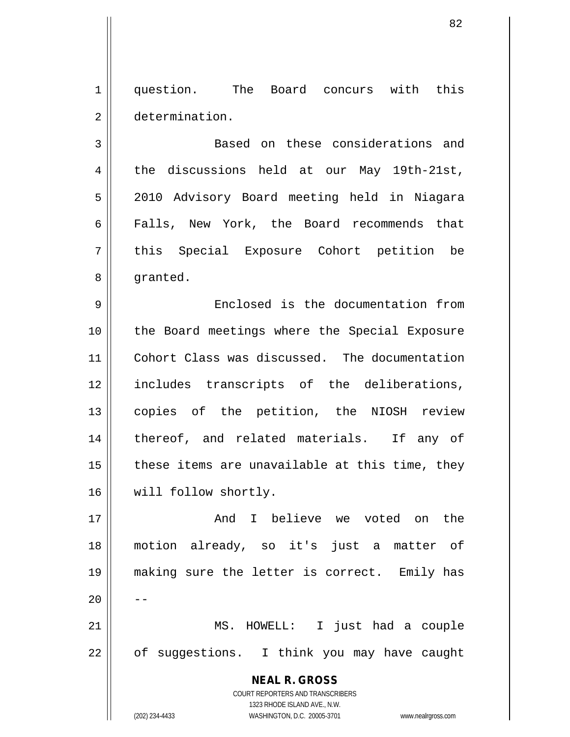1 question. The Board concurs with this 2 determination.

3 || Based on these considerations and 4 the discussions held at our May 19th-21st, 5 2010 Advisory Board meeting held in Niagara 6 || Falls, New York, the Board recommends that 7 || this Special Exposure Cohort petition be 8 | granted.

 Enclosed is the documentation from the Board meetings where the Special Exposure Cohort Class was discussed. The documentation includes transcripts of the deliberations, copies of the petition, the NIOSH review 14 || thereof, and related materials. If any of | these items are unavailable at this time, they 16 | will follow shortly.

 And I believe we voted on the motion already, so it's just a matter of making sure the letter is correct. Emily has  $20$  MS. HOWELL: I just had a couple | of suggestions. I think you may have caught

> COURT REPORTERS AND TRANSCRIBERS 1323 RHODE ISLAND AVE., N.W. (202) 234-4433 WASHINGTON, D.C. 20005-3701 www.nealrgross.com

**NEAL R. GROSS**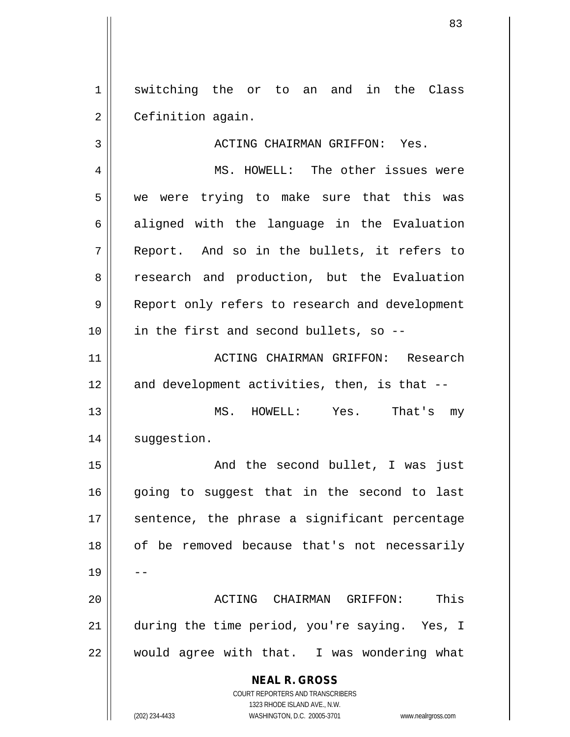1 switching the or to an and in the Class 2 | Cefinition again.

3 ACTING CHAIRMAN GRIFFON: Yes.

4 MS. HOWELL: The other issues were 5 || we were trying to make sure that this was  $6 \parallel$  aligned with the language in the Evaluation 7 || Report. And so in the bullets, it refers to 8 || research and production, but the Evaluation 9 || Report only refers to research and development  $10$  | in the first and second bullets, so --

11 || ACTING CHAIRMAN GRIFFON: Research  $12$  and development activities, then, is that  $-$ 

13 MS. HOWELL: Yes. That's my 14 | suggestion.

15 And the second bullet, I was just 16 going to suggest that in the second to last 17 || sentence, the phrase a significant percentage 18 || of be removed because that's not necessarily 19 20 ACTING CHAIRMAN GRIFFON: This 21 during the time period, you're saying. Yes, I

 $22$  | would agree with that. I was wondering what

**NEAL R. GROSS** COURT REPORTERS AND TRANSCRIBERS 1323 RHODE ISLAND AVE., N.W. (202) 234-4433 WASHINGTON, D.C. 20005-3701 www.nealrgross.com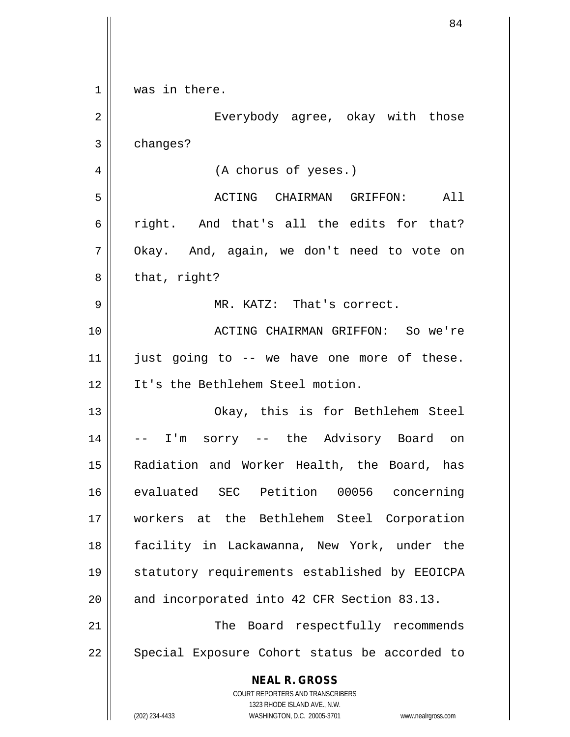|                | 84                                                                                               |
|----------------|--------------------------------------------------------------------------------------------------|
|                |                                                                                                  |
| 1              | was in there.                                                                                    |
| $\overline{2}$ | Everybody agree, okay with those                                                                 |
| 3              | changes?                                                                                         |
| 4              | (A chorus of yeses.)                                                                             |
| 5              | ACTING CHAIRMAN GRIFFON:<br>All                                                                  |
| 6              | right. And that's all the edits for that?                                                        |
| 7              | Okay. And, again, we don't need to vote on                                                       |
| 8              | that, right?                                                                                     |
| 9              | MR. KATZ: That's correct.                                                                        |
| 10             | ACTING CHAIRMAN GRIFFON: So we're                                                                |
| 11             | just going to -- we have one more of these.                                                      |
| 12             | It's the Bethlehem Steel motion.                                                                 |
| 13             | Okay, this is for Bethlehem Steel                                                                |
| 14             | I'm sorry -- the Advisory Board on                                                               |
| 15             | Radiation and Worker Health, the Board, has                                                      |
| 16             | evaluated SEC Petition 00056 concerning                                                          |
| 17             | workers at the Bethlehem Steel Corporation                                                       |
| 18             | facility in Lackawanna, New York, under the                                                      |
| 19             | statutory requirements established by EEOICPA                                                    |
| 20             | and incorporated into 42 CFR Section 83.13.                                                      |
| 21             | Board respectfully recommends<br>The                                                             |
| 22             | Special Exposure Cohort status be accorded to                                                    |
|                | <b>NEAL R. GROSS</b><br><b>COURT REPORTERS AND TRANSCRIBERS</b>                                  |
|                | 1323 RHODE ISLAND AVE., N.W.<br>(202) 234-4433<br>WASHINGTON, D.C. 20005-3701 www.nealrgross.com |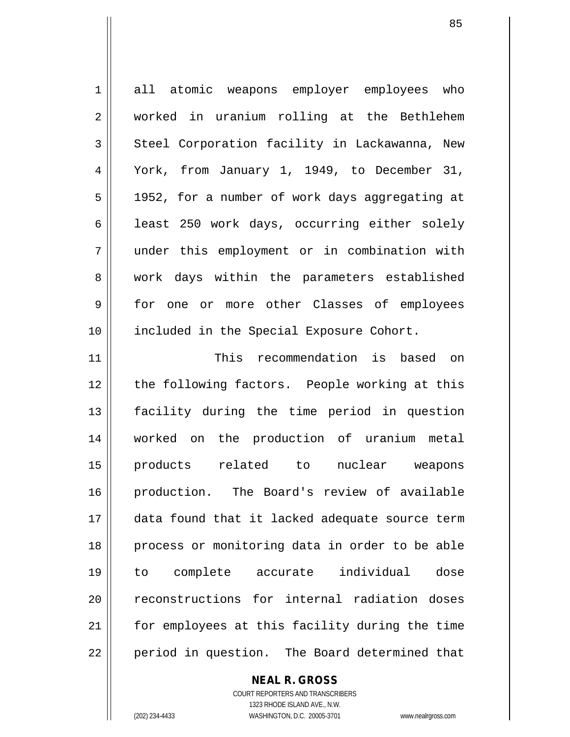1 all atomic weapons employer employees who 2 worked in uranium rolling at the Bethlehem 3 Steel Corporation facility in Lackawanna, New 4 York, from January 1, 1949, to December 31, 5 | 1952, for a number of work days aggregating at 6 | least 250 work days, occurring either solely 7 under this employment or in combination with 8 work days within the parameters established 9 for one or more other Classes of employees 10 || included in the Special Exposure Cohort. 11 This recommendation is based on 12 || the following factors. People working at this 13 facility during the time period in question 14 worked on the production of uranium metal 15 products related to nuclear weapons 16 production. The Board's review of available 17 data found that it lacked adequate source term 18 || process or monitoring data in order to be able 19 to complete accurate individual dose 20 || reconstructions for internal radiation doses 21 | for employees at this facility during the time  $22$  || period in question. The Board determined that

**NEAL R. GROSS**

COURT REPORTERS AND TRANSCRIBERS 1323 RHODE ISLAND AVE., N.W. (202) 234-4433 WASHINGTON, D.C. 20005-3701 www.nealrgross.com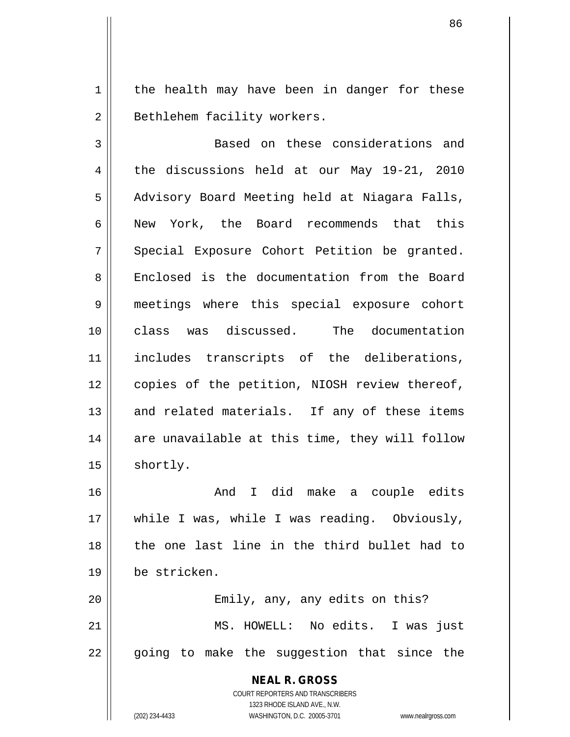$1 \parallel$  the health may have been in danger for these 2 | Bethlehem facility workers.

3 || Based on these considerations and 4 the discussions held at our May 19-21, 2010 5 | Advisory Board Meeting held at Niagara Falls, 6 || New York, the Board recommends that this  $7 \parallel$  Special Exposure Cohort Petition be granted. 8 Enclosed is the documentation from the Board 9 meetings where this special exposure cohort 10 class was discussed. The documentation 11 includes transcripts of the deliberations, 12 || copies of the petition, NIOSH review thereof,  $13$  and related materials. If any of these items  $14$  are unavailable at this time, they will follow  $15$  shortly. 16 And I did make a couple edits 17 || while I was, while I was reading. Obviously, 18 the one last line in the third bullet had to

20 || Emily, any, any edits on this? 21 MS. HOWELL: No edits. I was just  $22$  || going to make the suggestion that since the

> **NEAL R. GROSS** COURT REPORTERS AND TRANSCRIBERS 1323 RHODE ISLAND AVE., N.W. (202) 234-4433 WASHINGTON, D.C. 20005-3701 www.nealrgross.com

19 be stricken.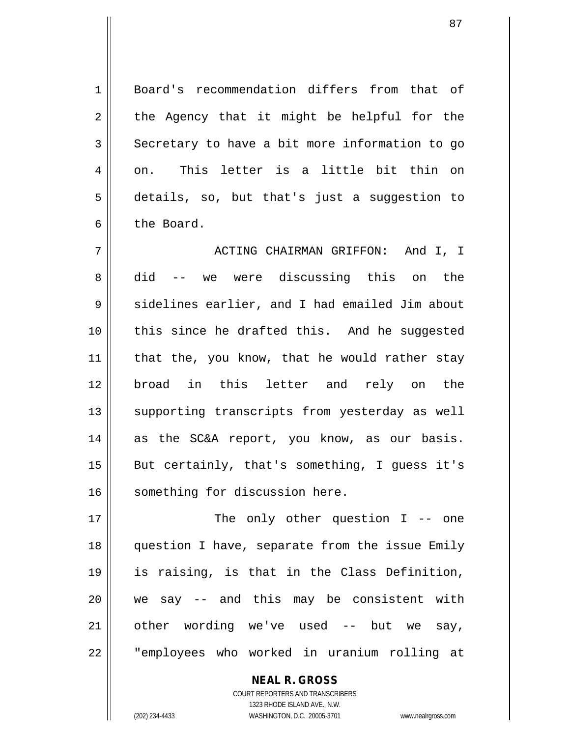1 Board's recommendation differs from that of  $2 \parallel$  the Agency that it might be helpful for the  $3$  Secretary to have a bit more information to go  $4 \parallel$  on. This letter is a little bit thin on 5 details, so, but that's just a suggestion to 6 l the Board.

7 ACTING CHAIRMAN GRIFFON: And I, I 8 did -- we were discussing this on the  $9 \parallel$  sidelines earlier, and I had emailed Jim about 10 || this since he drafted this. And he suggested  $11$  | that the, you know, that he would rather stay 12 broad in this letter and rely on the 13 || supporting transcripts from yesterday as well 14 || as the SC&A report, you know, as our basis. 15 || But certainly, that's something, I guess it's 16 | something for discussion here.

17 || The only other question I -- one 18 question I have, separate from the issue Emily 19 is raising, is that in the Class Definition, 20 we say -- and this may be consistent with 21 || other wording we've used -- but we say, 22 || "employees who worked in uranium rolling at

> COURT REPORTERS AND TRANSCRIBERS 1323 RHODE ISLAND AVE., N.W. (202) 234-4433 WASHINGTON, D.C. 20005-3701 www.nealrgross.com

**NEAL R. GROSS**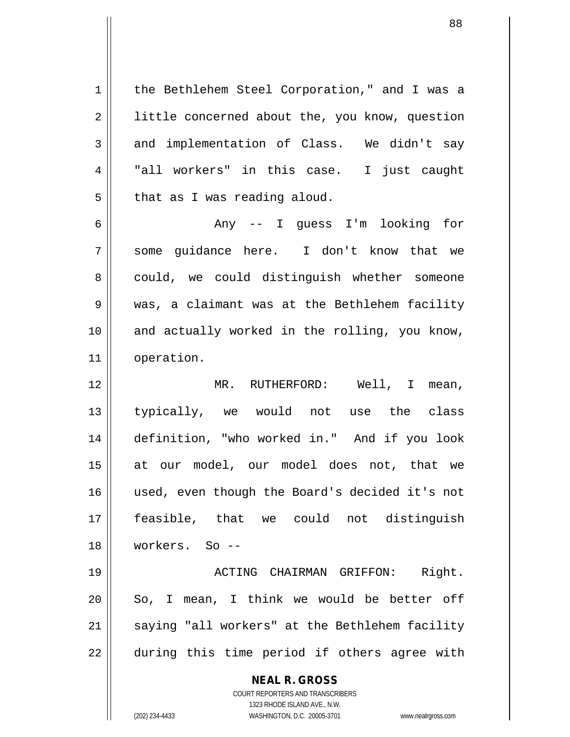**NEAL R. GROSS** COURT REPORTERS AND TRANSCRIBERS 1323 RHODE ISLAND AVE., N.W. 1 | the Bethlehem Steel Corporation," and I was a 2 | little concerned about the, you know, question  $3 \parallel$  and implementation of Class. We didn't say 4 || "all workers" in this case. I just caught  $5 \parallel$  that as I was reading aloud. 6 Any -- I guess I'm looking for 7 some guidance here. I don't know that we 8 could, we could distinguish whether someone 9 was, a claimant was at the Bethlehem facility 10 and actually worked in the rolling, you know, 11 || operation. 12 MR. RUTHERFORD: Well, I mean, 13 typically, we would not use the class 14 definition, "who worked in." And if you look 15 at our model, our model does not, that we 16 used, even though the Board's decided it's not 17 feasible, that we could not distinguish 18 workers. So -- 19 ACTING CHAIRMAN GRIFFON: Right.  $20$  So, I mean, I think we would be better off 21 || saying "all workers" at the Bethlehem facility  $22 \parallel$  during this time period if others agree with

(202) 234-4433 WASHINGTON, D.C. 20005-3701 www.nealrgross.com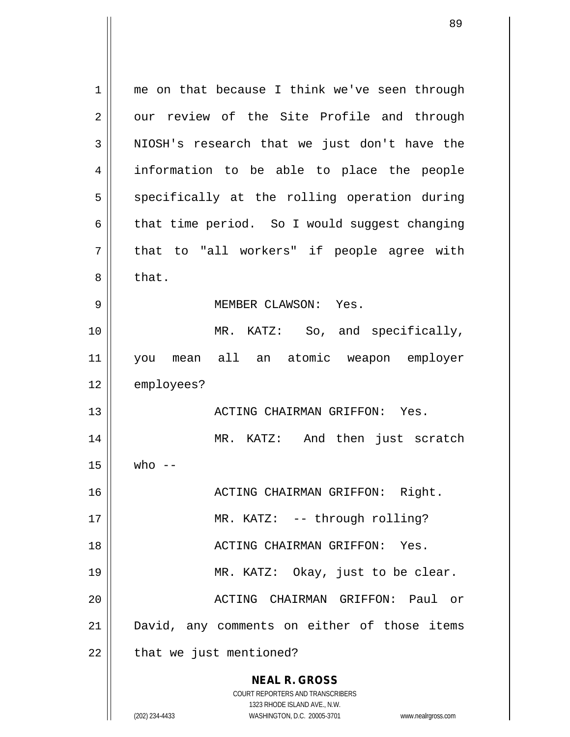**NEAL R. GROSS** COURT REPORTERS AND TRANSCRIBERS 1323 RHODE ISLAND AVE., N.W. 1 || me on that because I think we've seen through 2 | our review of the Site Profile and through  $3 \parallel$  NIOSH's research that we just don't have the 4 information to be able to place the people  $5$  specifically at the rolling operation during  $6 \parallel$  that time period. So I would suggest changing  $7 ||$  that to "all workers" if people agree with  $8 \parallel$  that. 9 MEMBER CLAWSON: Yes. 10 MR. KATZ: So, and specifically, 11 you mean all an atomic weapon employer 12 | employees? 13 ACTING CHAIRMAN GRIFFON: Yes. 14 || MR. KATZ: And then just scratch  $15 \parallel \quad$  who --16 || ACTING CHAIRMAN GRIFFON: Right. 17 || MR. KATZ: -- through rolling? 18 ACTING CHAIRMAN GRIFFON: Yes. 19 MR. KATZ: Okay, just to be clear. 20 || ACTING CHAIRMAN GRIFFON: Paul or 21 David, any comments on either of those items  $22$  | that we just mentioned?

(202) 234-4433 WASHINGTON, D.C. 20005-3701 www.nealrgross.com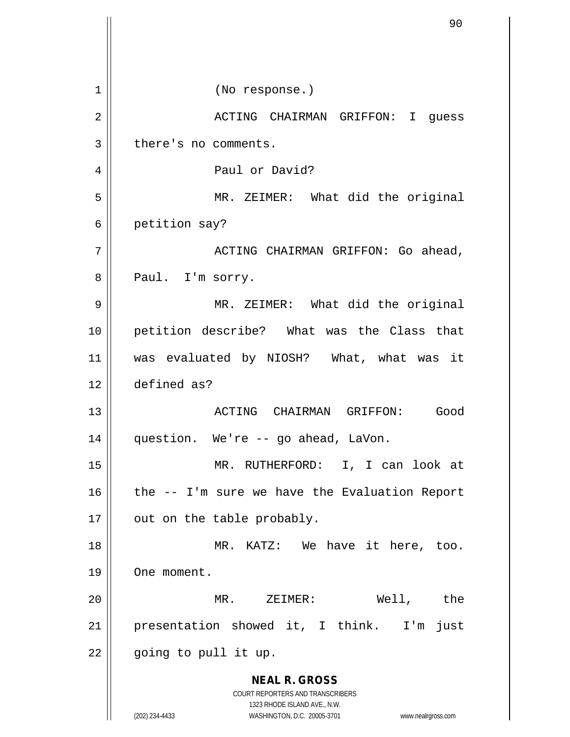**NEAL R. GROSS** COURT REPORTERS AND TRANSCRIBERS 1323 RHODE ISLAND AVE., N.W. (202) 234-4433 WASHINGTON, D.C. 20005-3701 www.nealrgross.com 1 || (No response.) 2 ACTING CHAIRMAN GRIFFON: I guess 3 | there's no comments. 4 | Paul or David? 5 MR. ZEIMER: What did the original 6 | petition say? 7 ACTING CHAIRMAN GRIFFON: Go ahead, 8 || Paul. I'm sorry. 9 MR. ZEIMER: What did the original 10 petition describe? What was the Class that 11 was evaluated by NIOSH? What, what was it 12 defined as? 13 ACTING CHAIRMAN GRIFFON: Good 14 || question. We're -- go ahead, LaVon. 15 MR. RUTHERFORD: I, I can look at 16  $\parallel$  the -- I'm sure we have the Evaluation Report  $17$  | out on the table probably. 18 || MR. KATZ: We have it here, too. 19 | One moment. 20 MR. ZEIMER: Well, the 21 || presentation showed it, I think. I'm just  $22$  || going to pull it up.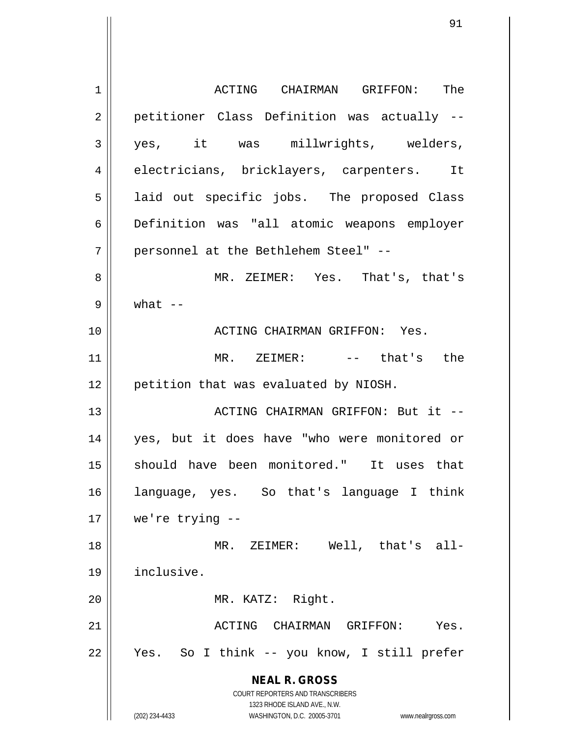**NEAL R. GROSS** COURT REPORTERS AND TRANSCRIBERS 1323 RHODE ISLAND AVE., N.W. (202) 234-4433 WASHINGTON, D.C. 20005-3701 www.nealrgross.com 1 ACTING CHAIRMAN GRIFFON: The 2 || petitioner Class Definition was actually --3 yes, it was millwrights, welders, 4 electricians, bricklayers, carpenters. It 5 || laid out specific jobs. The proposed Class 6 Definition was "all atomic weapons employer 7 personnel at the Bethlehem Steel" -- 8 MR. ZEIMER: Yes. That's, that's  $9 \parallel$  what  $-$ 10 ACTING CHAIRMAN GRIFFON: Yes. 11 MR. ZEIMER: -- that's the 12 || petition that was evaluated by NIOSH. 13 ACTING CHAIRMAN GRIFFON: But it -- 14 yes, but it does have "who were monitored or 15 || should have been monitored." It uses that 16 language, yes. So that's language I think 17 we're trying -- 18 || MR. ZEIMER: Well, that's all-19 inclusive. 20 || MR. KATZ: Right. 21 ACTING CHAIRMAN GRIFFON: Yes. 22 Yes. So I think -- you know, I still prefer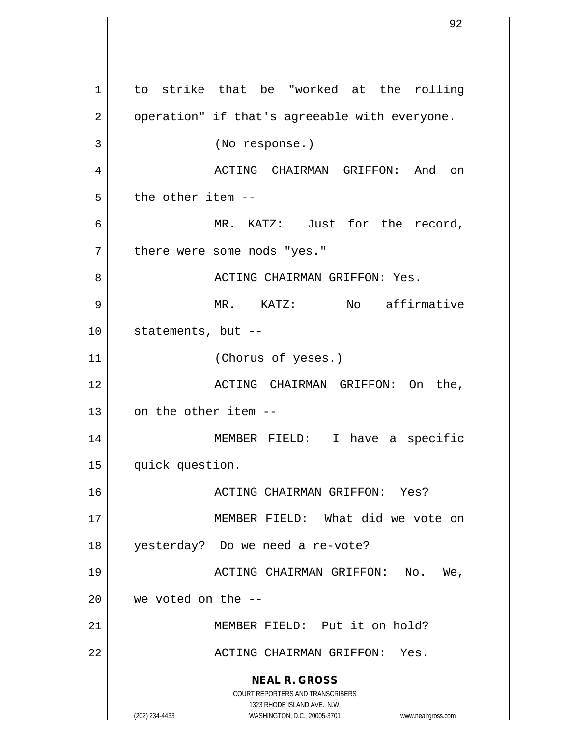**NEAL R. GROSS** COURT REPORTERS AND TRANSCRIBERS 1323 RHODE ISLAND AVE., N.W. (202) 234-4433 WASHINGTON, D.C. 20005-3701 www.nealrgross.com 1 to strike that be "worked at the rolling  $2 \parallel$  operation" if that's agreeable with everyone. 3 (No response.) 4 ACTING CHAIRMAN GRIFFON: And on  $5 \parallel$  the other item --6 MR. KATZ: Just for the record, 7 || there were some nods "yes." 8 ACTING CHAIRMAN GRIFFON: Yes. 9 MR. KATZ: No affirmative 10 || statements, but --11 || (Chorus of yeses.) 12 ACTING CHAIRMAN GRIFFON: On the,  $13$  |  $\alpha$  on the other item --14 MEMBER FIELD: I have a specific 15 | quick question. 16 ACTING CHAIRMAN GRIFFON: Yes? 17 MEMBER FIELD: What did we vote on 18 yesterday? Do we need a re-vote? 19 ACTING CHAIRMAN GRIFFON: No. We,  $20$  | we voted on the  $-$ 21 MEMBER FIELD: Put it on hold? 22 ACTING CHAIRMAN GRIFFON: Yes.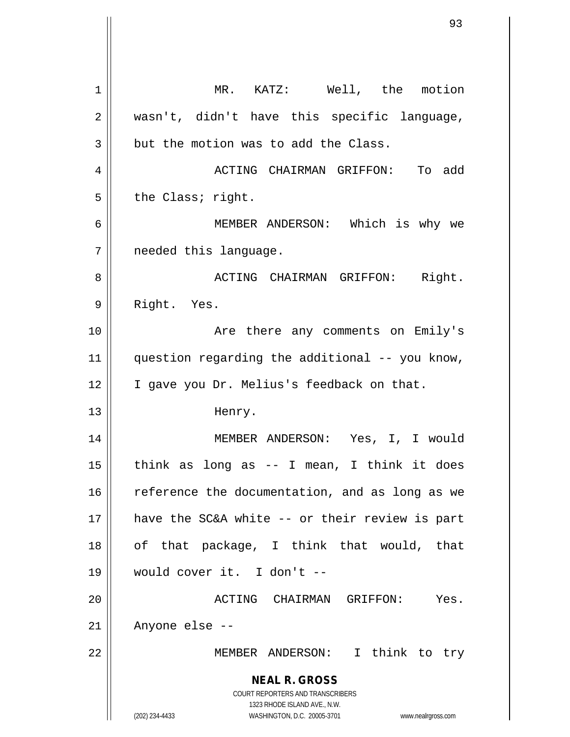**NEAL R. GROSS** COURT REPORTERS AND TRANSCRIBERS 1323 RHODE ISLAND AVE., N.W. (202) 234-4433 WASHINGTON, D.C. 20005-3701 www.nealrgross.com 1 | MR. KATZ: Well, the motion 2 || wasn't, didn't have this specific language,  $3 \parallel$  but the motion was to add the Class. 4 ACTING CHAIRMAN GRIFFON: To add  $5$  | the Class; right. 6 MEMBER ANDERSON: Which is why we 7 | needed this language. 8 ACTING CHAIRMAN GRIFFON: Right. 9 || Right. Yes. 10 || The Same Comments on Emily's 11 || question regarding the additional -- you know, 12 | I gave you Dr. Melius's feedback on that. 13 | Henry. 14 MEMBER ANDERSON: Yes, I, I would  $15$  || think as long as -- I mean, I think it does 16 || reference the documentation, and as long as we 17 have the SC&A white -- or their review is part 18 || of that package, I think that would, that 19 would cover it. I don't -- 20 ACTING CHAIRMAN GRIFFON: Yes.  $21$  | Anyone else --22 MEMBER ANDERSON: I think to try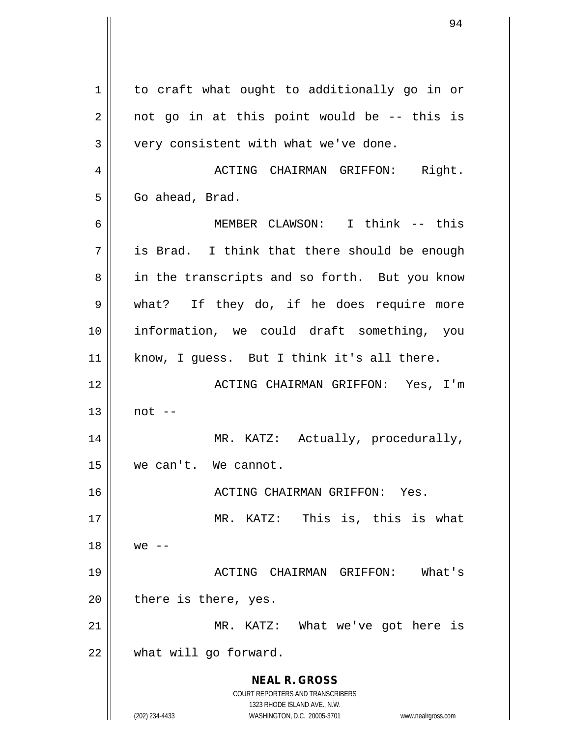**NEAL R. GROSS** COURT REPORTERS AND TRANSCRIBERS 1323 RHODE ISLAND AVE., N.W. (202) 234-4433 WASHINGTON, D.C. 20005-3701 www.nealrgross.com 1 | to craft what ought to additionally go in or  $2 \parallel$  not go in at this point would be -- this is  $3 \parallel$  very consistent with what we've done. 4 ACTING CHAIRMAN GRIFFON: Right. 5 | Go ahead, Brad. 6 MEMBER CLAWSON: I think -- this  $7 \parallel$  is Brad. I think that there should be enough 8 || in the transcripts and so forth. But you know 9 || what? If they do, if he does require more 10 information, we could draft something, you 11 || know, I guess. But I think it's all there. 12 ACTING CHAIRMAN GRIFFON: Yes, I'm  $13 \parallel$  not  $-$ 14 | MR. KATZ: Actually, procedurally, 15 we can't. We cannot. 16 ACTING CHAIRMAN GRIFFON: Yes. 17 || MR. KATZ: This is, this is what  $18 \parallel$  we  $-$ 19 ACTING CHAIRMAN GRIFFON: What's  $20$  || there is there, yes. 21 || MR. KATZ: What we've got here is 22 | what will go forward.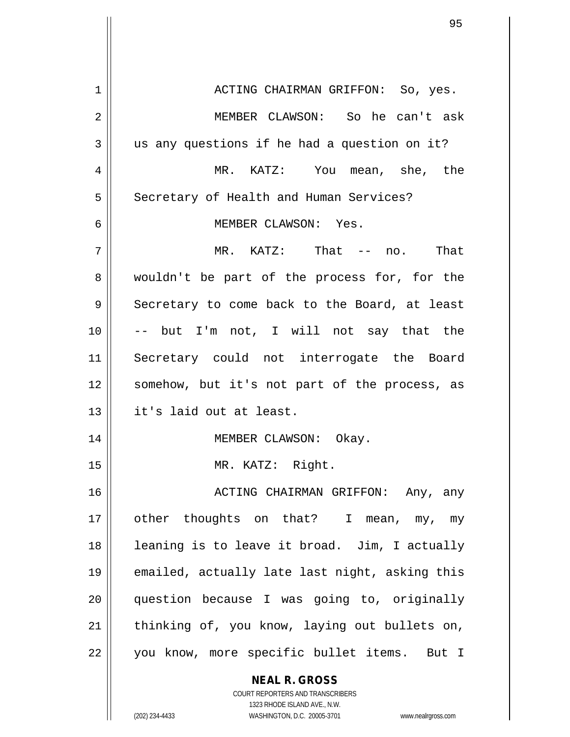**NEAL R. GROSS** 1 ACTING CHAIRMAN GRIFFON: So, yes. 2 MEMBER CLAWSON: So he can't ask  $3 \parallel$  us any questions if he had a question on it? 4 MR. KATZ: You mean, she, the 5 | Secretary of Health and Human Services? 6 MEMBER CLAWSON: Yes.  $7 \parallel$  MR. KATZ: That -- no. That 8 wouldn't be part of the process for, for the  $9 \parallel$  Secretary to come back to the Board, at least 10 -- but I'm not, I will not say that the 11 Secretary could not interrogate the Board 12 || somehow, but it's not part of the process, as 13 it's laid out at least. 14 || MEMBER CLAWSON: Okay. 15 || MR. KATZ: Right. 16 || ACTING CHAIRMAN GRIFFON: Any, any 17 || other thoughts on that? I mean, my, my 18 || leaning is to leave it broad. Jim, I actually 19 emailed, actually late last night, asking this 20 question because I was going to, originally  $21$  | thinking of, you know, laying out bullets on, 22 || you know, more specific bullet items. But I

> COURT REPORTERS AND TRANSCRIBERS 1323 RHODE ISLAND AVE., N.W.

(202) 234-4433 WASHINGTON, D.C. 20005-3701 www.nealrgross.com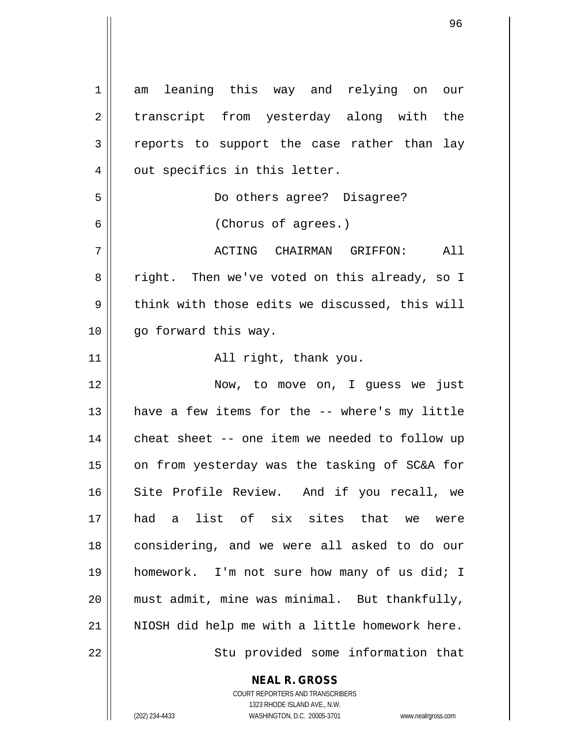1 am leaning this way and relying on our 2 transcript from yesterday along with the 3 reports to support the case rather than lay 4 || out specifics in this letter. 5 Do others agree? Disagree? 6 (Chorus of agrees.) 7 ACTING CHAIRMAN GRIFFON: All 8 || right. Then we've voted on this already, so I  $9 \parallel$  think with those edits we discussed, this will 10 || go forward this way. 11 || **All right, thank you.** 12 || Now, to move on, I guess we just 13 || have a few items for the -- where's my little 14 || cheat sheet -- one item we needed to follow up 15 || on from yesterday was the tasking of SC&A for 16 Site Profile Review. And if you recall, we 17 had a list of six sites that we were 18 || considering, and we were all asked to do our 19 homework. I'm not sure how many of us did; I 20 must admit, mine was minimal. But thankfully,  $21$  | NIOSH did help me with a little homework here. 22 || Stu provided some information that

**NEAL R. GROSS**

COURT REPORTERS AND TRANSCRIBERS 1323 RHODE ISLAND AVE., N.W. (202) 234-4433 WASHINGTON, D.C. 20005-3701 www.nealrgross.com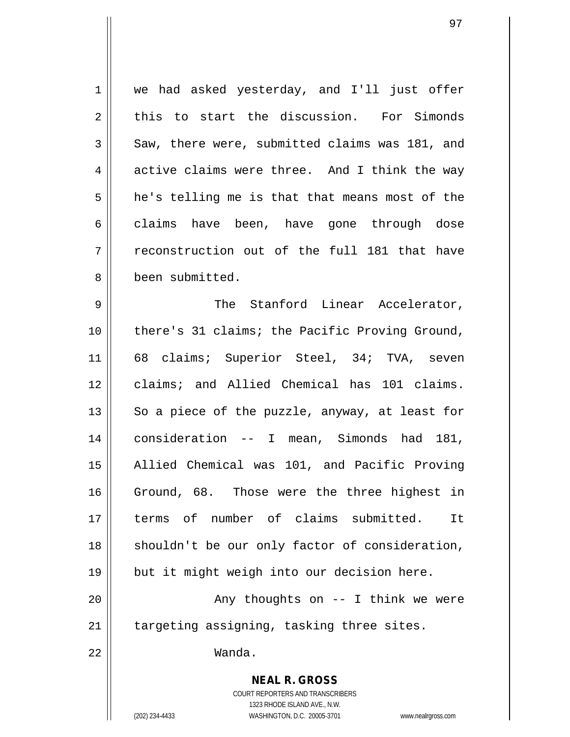**NEAL R. GROSS** 1 || we had asked yesterday, and I'll just offer  $2 \parallel$  this to start the discussion. For Simonds  $3 \parallel$  Saw, there were, submitted claims was 181, and  $4 \parallel$  active claims were three. And I think the way  $5 \parallel$  he's telling me is that that means most of the 6 claims have been, have gone through dose  $7$   $\parallel$  reconstruction out of the full 181 that have 8 been submitted. 9 The Stanford Linear Accelerator, 10 || there's 31 claims; the Pacific Proving Ground, 11 || 68 claims; Superior Steel, 34; TVA, seven 12 claims; and Allied Chemical has 101 claims. 13  $\parallel$  So a piece of the puzzle, anyway, at least for 14 consideration -- I mean, Simonds had 181, 15 || Allied Chemical was 101, and Pacific Proving 16 Ground, 68. Those were the three highest in 17 || terms of number of claims submitted. It 18 || shouldn't be our only factor of consideration, 19 but it might weigh into our decision here. 20 || Any thoughts on -- I think we were  $21$  | targeting assigning, tasking three sites. 22 Wanda.

> COURT REPORTERS AND TRANSCRIBERS 1323 RHODE ISLAND AVE., N.W.

(202) 234-4433 WASHINGTON, D.C. 20005-3701 www.nealrgross.com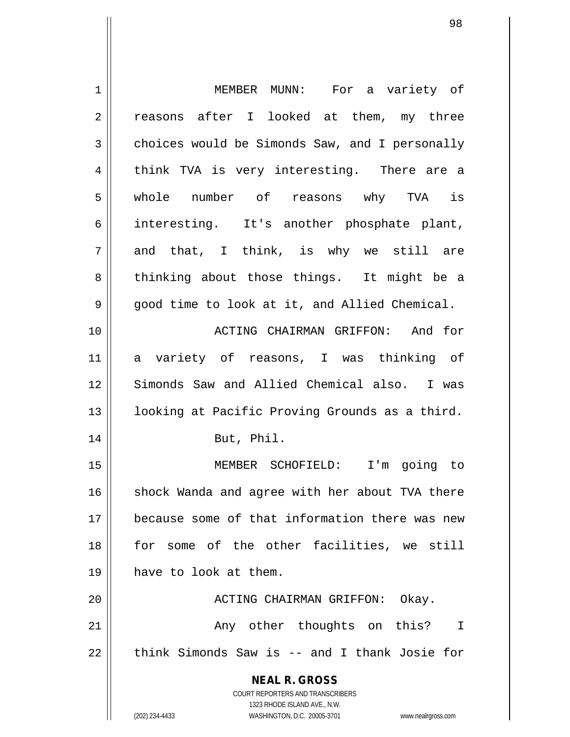| $\mathbf 1$    | MEMBER MUNN: For a variety of                                           |
|----------------|-------------------------------------------------------------------------|
| $\overline{2}$ | reasons after I looked at them, my three                                |
| 3              | choices would be Simonds Saw, and I personally                          |
| 4              | think TVA is very interesting. There are a                              |
| 5              | whole number of reasons why TVA is                                      |
| 6              | interesting. It's another phosphate plant,                              |
| 7              | and that, I think, is why we still are                                  |
| 8              | thinking about those things. It might be a                              |
| 9              | good time to look at it, and Allied Chemical.                           |
| 10             | ACTING CHAIRMAN GRIFFON: And for                                        |
| 11             | a variety of reasons, I was thinking of                                 |
| 12             | Simonds Saw and Allied Chemical also. I was                             |
| 13             | looking at Pacific Proving Grounds as a third.                          |
| 14             | But, Phil.                                                              |
| 15             | MEMBER SCHOFIELD: I'm going to                                          |
| 16             | shock Wanda and agree with her about TVA there                          |
| 17             | because some of that information there was new                          |
| 18             | for some of the other facilities, we still                              |
| 19             | have to look at them.                                                   |
| 20             | ACTING CHAIRMAN GRIFFON: Okay.                                          |
| 21             | Any other thoughts on this?<br>$\mathbf I$                              |
| 22             | think Simonds Saw is -- and I thank Josie for                           |
|                |                                                                         |
|                | <b>NEAL R. GROSS</b>                                                    |
|                | <b>COURT REPORTERS AND TRANSCRIBERS</b><br>1323 RHODE ISLAND AVE., N.W. |
|                | (202) 234-4433<br>WASHINGTON, D.C. 20005-3701<br>www.nealrgross.com     |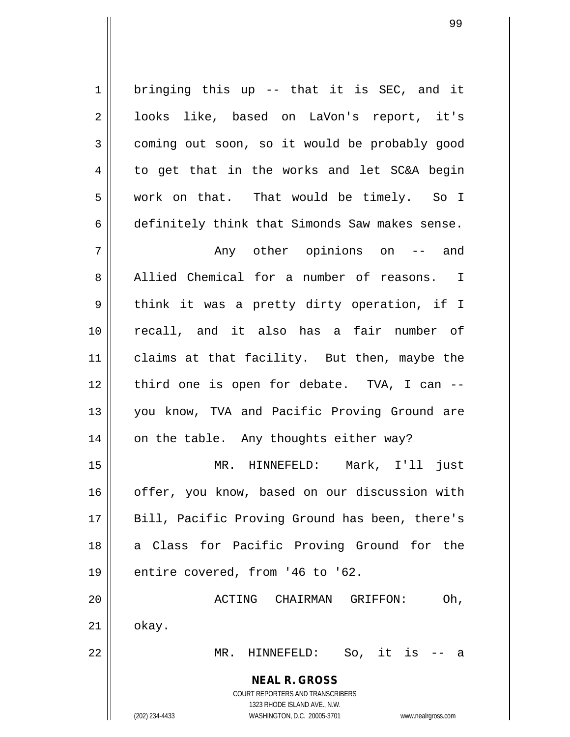$1 \parallel$  bringing this up -- that it is SEC, and it 2 || looks like, based on LaVon's report, it's 3 coming out soon, so it would be probably good  $4 \parallel$  to get that in the works and let SC&A begin 5 | work on that. That would be timely. So I 6 definitely think that Simonds Saw makes sense. 7 Any other opinions on -- and

8 Allied Chemical for a number of reasons. I  $9 \parallel$  think it was a pretty dirty operation, if I 10 recall, and it also has a fair number of 11 || claims at that facility. But then, maybe the 12 || third one is open for debate. TVA, I can --13 || you know, TVA and Pacific Proving Ground are  $14$  on the table. Any thoughts either way?

15 MR. HINNEFELD: Mark, I'll just 16 || offer, you know, based on our discussion with 17 || Bill, Pacific Proving Ground has been, there's 18 || a Class for Pacific Proving Ground for the  $19$  || entire covered, from '46 to '62.

20 ACTING CHAIRMAN GRIFFON: Oh,  $21$   $\parallel$  okay.

22 MR. HINNEFELD: So, it is -- a

**NEAL R. GROSS** COURT REPORTERS AND TRANSCRIBERS

1323 RHODE ISLAND AVE., N.W.

(202) 234-4433 WASHINGTON, D.C. 20005-3701 www.nealrgross.com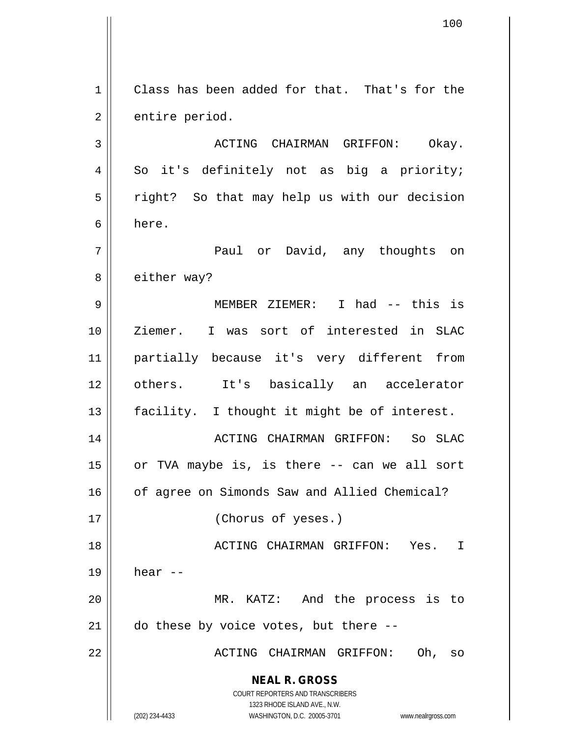**NEAL R. GROSS** COURT REPORTERS AND TRANSCRIBERS 1323 RHODE ISLAND AVE., N.W. (202) 234-4433 WASHINGTON, D.C. 20005-3701 www.nealrgross.com 1 | Class has been added for that. That's for the  $2 \parallel$  entire period. 3 ACTING CHAIRMAN GRIFFON: Okay.  $4 \parallel$  So it's definitely not as big a priority;  $5 \parallel$  right? So that may help us with our decision 6 here. 7 Paul or David, any thoughts on 8 || either way? 9 || MEMBER ZIEMER: I had -- this is 10 Ziemer. I was sort of interested in SLAC 11 partially because it's very different from 12 others. It's basically an accelerator 13 || facility. I thought it might be of interest. 14 ACTING CHAIRMAN GRIFFON: So SLAC 15 or TVA maybe is, is there -- can we all sort 16 | of agree on Simonds Saw and Allied Chemical? 17 || (Chorus of yeses.) 18 ACTING CHAIRMAN GRIFFON: Yes. I  $19 \parallel$  hear  $-$ 20 MR. KATZ: And the process is to  $21$   $\parallel$  do these by voice votes, but there --22 ACTING CHAIRMAN GRIFFON: Oh, so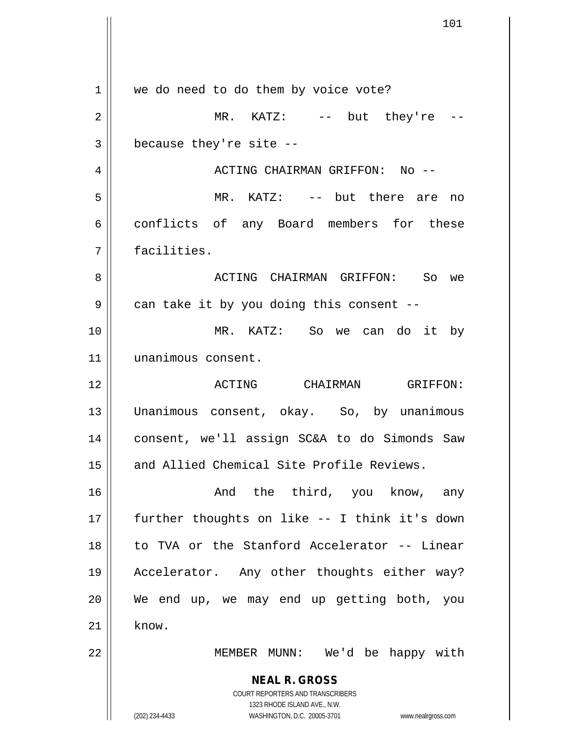**NEAL R. GROSS** COURT REPORTERS AND TRANSCRIBERS 1323 RHODE ISLAND AVE., N.W. (202) 234-4433 WASHINGTON, D.C. 20005-3701 www.nealrgross.com 1 || we do need to do them by voice vote?  $2 \parallel$  MR. KATZ:  $-$  but they're | because they're site  $-$  ACTING CHAIRMAN GRIFFON: No -- MR. KATZ: -- but there are no 6 conflicts of any Board members for these facilities. ACTING CHAIRMAN GRIFFON: So we  $9 \parallel$  can take it by you doing this consent -- MR. KATZ: So we can do it by unanimous consent. ACTING CHAIRMAN GRIFFON: Unanimous consent, okay. So, by unanimous consent, we'll assign SC&A to do Simonds Saw 15 || and Allied Chemical Site Profile Reviews. And the third, you know, any further thoughts on like -- I think it's down to TVA or the Stanford Accelerator -- Linear Accelerator. Any other thoughts either way? We end up, we may end up getting both, you know. MEMBER MUNN: We'd be happy with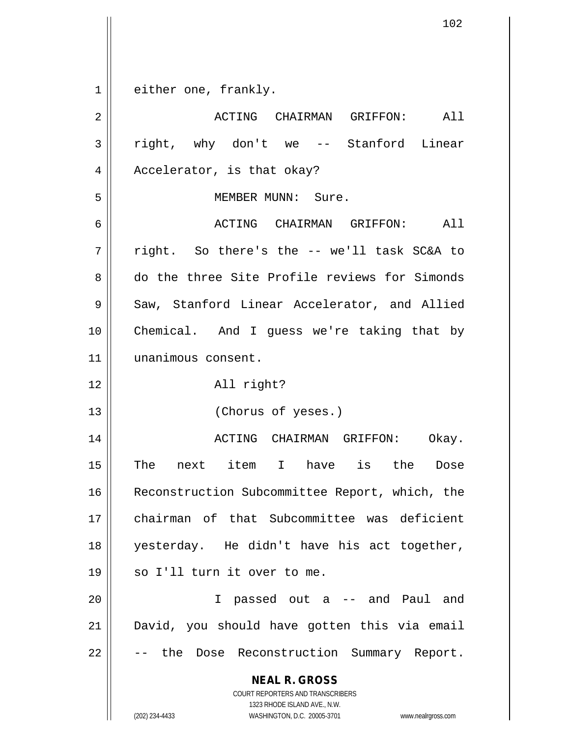either one, frankly.

| $\overline{2}$ | ACTING CHAIRMAN GRIFFON:<br>All                                                                                                                                 |
|----------------|-----------------------------------------------------------------------------------------------------------------------------------------------------------------|
| 3              | right, why don't we -- Stanford Linear                                                                                                                          |
| 4              | Accelerator, is that okay?                                                                                                                                      |
| 5              | MEMBER MUNN: Sure.                                                                                                                                              |
| 6              | ACTING CHAIRMAN GRIFFON: All                                                                                                                                    |
| 7              | right. So there's the -- we'll task SC&A to                                                                                                                     |
| 8              | do the three Site Profile reviews for Simonds                                                                                                                   |
| $\mathsf 9$    | Saw, Stanford Linear Accelerator, and Allied                                                                                                                    |
| 10             | Chemical. And I guess we're taking that by                                                                                                                      |
| 11             | unanimous consent.                                                                                                                                              |
| 12             | All right?                                                                                                                                                      |
| 13             | (Chorus of yeses.)                                                                                                                                              |
| 14             | ACTING CHAIRMAN GRIFFON:<br>Okay.                                                                                                                               |
| 15             | The next item I have is the<br>Dose                                                                                                                             |
| 16             | Reconstruction Subcommittee Report, which, the                                                                                                                  |
| 17             | chairman of that Subcommittee was deficient                                                                                                                     |
| 18             | yesterday. He didn't have his act together,                                                                                                                     |
| 19             | so I'll turn it over to me.                                                                                                                                     |
| 20             | I passed out a -- and Paul and                                                                                                                                  |
| 21             | David, you should have gotten this via email                                                                                                                    |
| 22             | Dose Reconstruction Summary Report.<br>-- the                                                                                                                   |
|                | <b>NEAL R. GROSS</b><br>COURT REPORTERS AND TRANSCRIBERS<br>1323 RHODE ISLAND AVE., N.W.<br>WASHINGTON, D.C. 20005-3701<br>(202) 234-4433<br>www.nealrgross.com |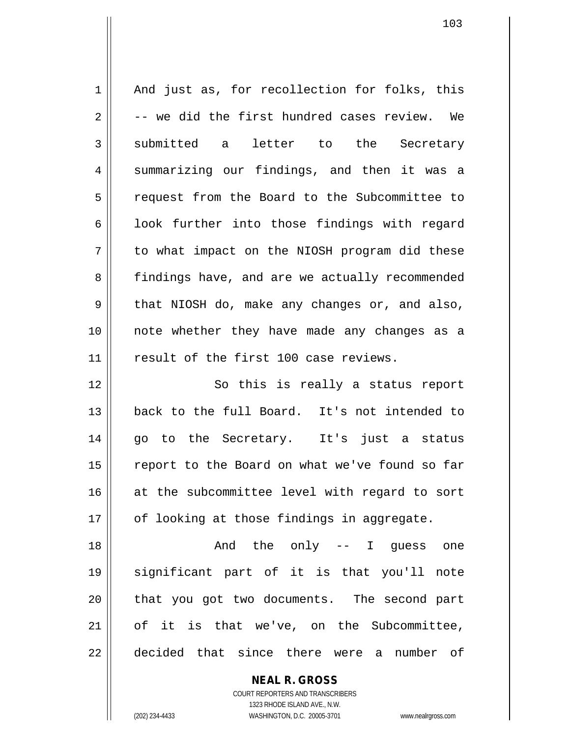| $\mathbf 1$ | And just as, for recollection for folks, this  |
|-------------|------------------------------------------------|
| 2           | -- we did the first hundred cases review. We   |
| 3           | submitted a letter to the Secretary            |
| 4           | summarizing our findings, and then it was a    |
| 5           | request from the Board to the Subcommittee to  |
| 6           | look further into those findings with regard   |
| 7           | to what impact on the NIOSH program did these  |
| 8           | findings have, and are we actually recommended |
| 9           | that NIOSH do, make any changes or, and also,  |
| 10          | note whether they have made any changes as a   |
| 11          | result of the first 100 case reviews.          |
| 12          | So this is really a status report              |
| 13          | back to the full Board. It's not intended to   |
| 14          | go to the Secretary. It's just a status        |
| 15          | report to the Board on what we've found so far |
| 16          | at the subcommittee level with regard to sort  |
| 17          | of looking at those findings in aggregate.     |
| 18          | And the only -- I guess one                    |
| 19          | significant part of it is that you'll note     |
| 20          | that you got two documents. The second part    |
| 21          | of it is that we've, on the Subcommittee,      |
| 22          | decided that since there were a<br>number of   |

**NEAL R. GROSS** COURT REPORTERS AND TRANSCRIBERS

1323 RHODE ISLAND AVE., N.W.

(202) 234-4433 WASHINGTON, D.C. 20005-3701 www.nealrgross.com

 $\mathsf{II}$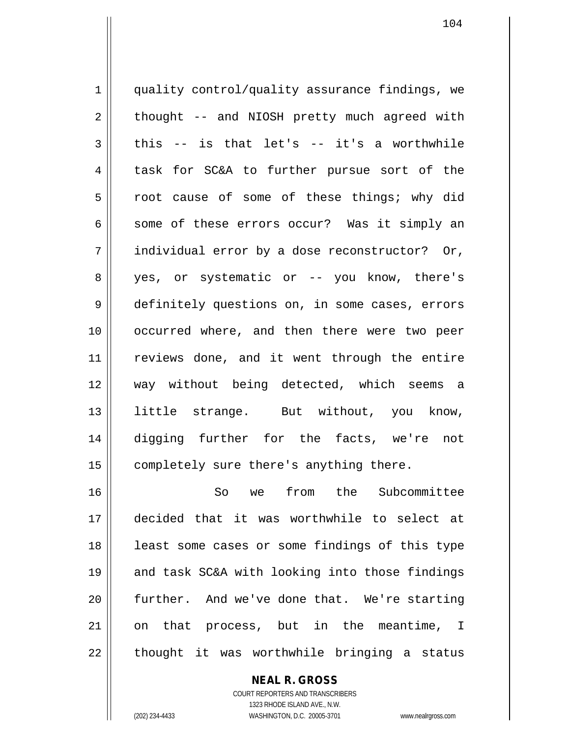1 | quality control/quality assurance findings, we  $2 \parallel$  thought -- and NIOSH pretty much agreed with  $3 \parallel$  this -- is that let's -- it's a worthwhile 4 task for SC&A to further pursue sort of the 5 || root cause of some of these things; why did 6  $\parallel$  some of these errors occur? Was it simply an  $7 \parallel$  individual error by a dose reconstructor? Or, 8 yes, or systematic or -- you know, there's 9 definitely questions on, in some cases, errors 10 occurred where, and then there were two peer 11 || reviews done, and it went through the entire 12 way without being detected, which seems a 13 little strange. But without, you know, 14 digging further for the facts, we're not 15 | completely sure there's anything there. 16 So we from the Subcommittee

17 decided that it was worthwhile to select at 18 || least some cases or some findings of this type 19 || and task SC&A with looking into those findings 20 further. And we've done that. We're starting 21 || on that process, but in the meantime, I  $22$  || thought it was worthwhile bringing a status

## **NEAL R. GROSS**

COURT REPORTERS AND TRANSCRIBERS 1323 RHODE ISLAND AVE., N.W. (202) 234-4433 WASHINGTON, D.C. 20005-3701 www.nealrgross.com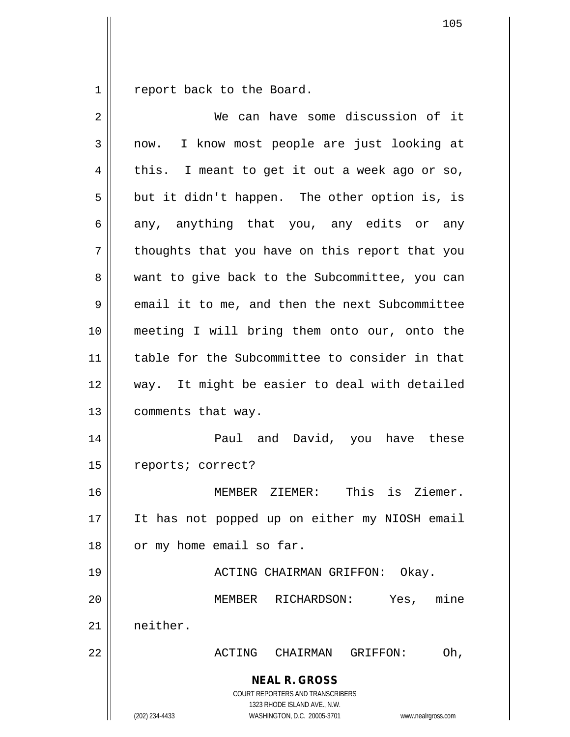$1 \parallel$  report back to the Board.

| $\overline{2}$ | We can have some discussion of it                                                                                                                               |
|----------------|-----------------------------------------------------------------------------------------------------------------------------------------------------------------|
| 3              | I know most people are just looking at<br>now.                                                                                                                  |
| 4              | this. I meant to get it out a week ago or so,                                                                                                                   |
| 5              | but it didn't happen. The other option is, is                                                                                                                   |
| 6              | any, anything that you, any edits or any                                                                                                                        |
| 7              | thoughts that you have on this report that you                                                                                                                  |
| 8              | want to give back to the Subcommittee, you can                                                                                                                  |
| 9              | email it to me, and then the next Subcommittee                                                                                                                  |
| 10             | meeting I will bring them onto our, onto the                                                                                                                    |
| 11             | table for the Subcommittee to consider in that                                                                                                                  |
| 12             | way. It might be easier to deal with detailed                                                                                                                   |
| 13             | comments that way.                                                                                                                                              |
| 14             | Paul and David, you have these                                                                                                                                  |
| 15             | reports; correct?                                                                                                                                               |
| 16             | This is Ziemer.<br>MEMBER ZIEMER:                                                                                                                               |
| 17             | It has not popped up on either my NIOSH email                                                                                                                   |
| 18             | or my home email so far.                                                                                                                                        |
| 19             | ACTING CHAIRMAN GRIFFON: Okay.                                                                                                                                  |
| 20             | Yes,<br>mine<br>MEMBER<br>RICHARDSON:                                                                                                                           |
| 21             | neither.                                                                                                                                                        |
| 22             | ACTING CHAIRMAN<br>Oh,<br>GRIFFON:                                                                                                                              |
|                | <b>NEAL R. GROSS</b><br>COURT REPORTERS AND TRANSCRIBERS<br>1323 RHODE ISLAND AVE., N.W.<br>(202) 234-4433<br>WASHINGTON, D.C. 20005-3701<br>www.nealrgross.com |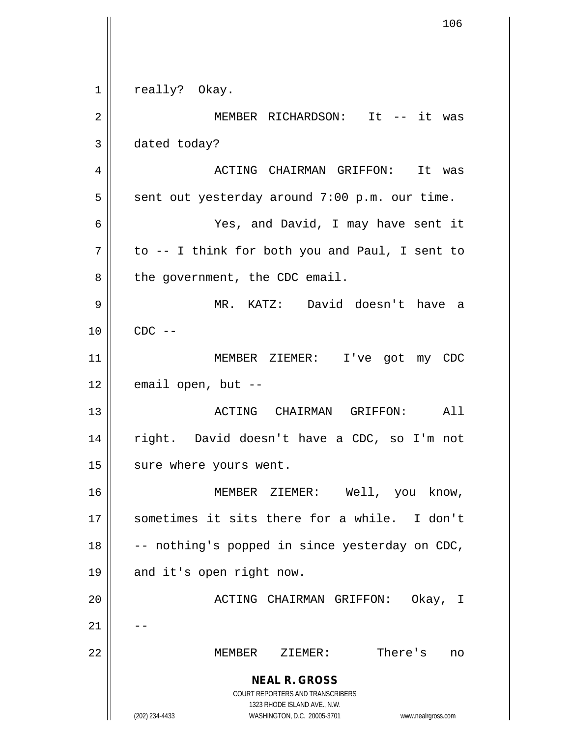**NEAL R. GROSS** COURT REPORTERS AND TRANSCRIBERS 1323 RHODE ISLAND AVE., N.W. (202) 234-4433 WASHINGTON, D.C. 20005-3701 www.nealrgross.com 1 || really? Okay. 2 || MEMBER RICHARDSON: It -- it was 3 dated today? 4 ACTING CHAIRMAN GRIFFON: It was  $5 \parallel$  sent out yesterday around 7:00 p.m. our time. 6 Yes, and David, I may have sent it  $7 \parallel$  to -- I think for both you and Paul, I sent to  $8 \parallel$  the government, the CDC email. 9 MR. KATZ: David doesn't have a  $10 \parallel$  CDC  $-$ 11 MEMBER ZIEMER: I've got my CDC  $12$  | email open, but  $-$ 13 ACTING CHAIRMAN GRIFFON: All 14 right. David doesn't have a CDC, so I'm not 15 | sure where yours went. 16 MEMBER ZIEMER: Well, you know, 17 sometimes it sits there for a while. I don't  $18$   $\vert$  -- nothing's popped in since yesterday on CDC, 19 || and it's open right now. 20 ACTING CHAIRMAN GRIFFON: Okay, I  $21$ 22 MEMBER ZIEMER: There's no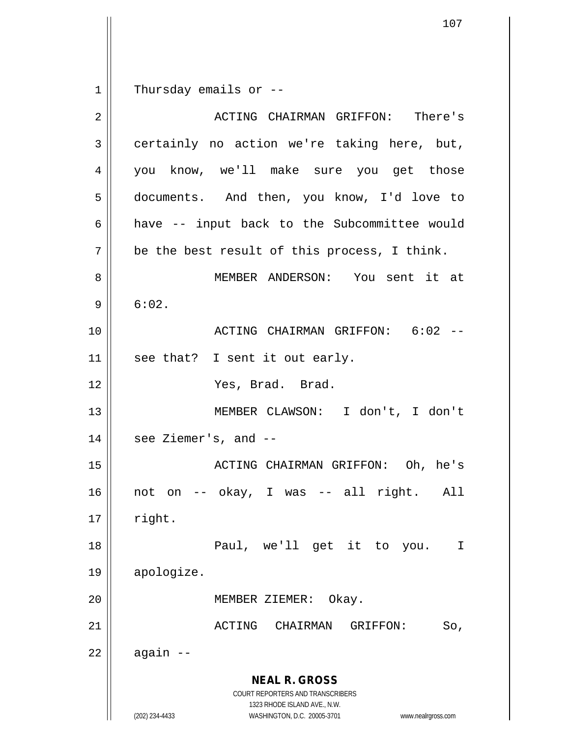$1 \parallel$  Thursday emails or --

| $\overline{2}$ | ACTING CHAIRMAN GRIFFON: There's                                                                |
|----------------|-------------------------------------------------------------------------------------------------|
| 3              | certainly no action we're taking here, but,                                                     |
| 4              | you know, we'll make sure you get those                                                         |
| 5              | documents. And then, you know, I'd love to                                                      |
| 6              | have -- input back to the Subcommittee would                                                    |
| 7              | be the best result of this process, I think.                                                    |
| 8              | MEMBER ANDERSON: You sent it at                                                                 |
| 9              | 6:02.                                                                                           |
| 10             | ACTING CHAIRMAN GRIFFON: 6:02 --                                                                |
| 11             | see that? I sent it out early.                                                                  |
| 12             | Yes, Brad. Brad.                                                                                |
| 13             | MEMBER CLAWSON: I don't, I don't                                                                |
| 14             | see Ziemer's, and --                                                                            |
| 15             | ACTING CHAIRMAN GRIFFON: Oh, he's                                                               |
| 16             | not on -- okay, I was -- all right. All                                                         |
| 17             | right.                                                                                          |
| 18             | Paul, we'll get it to you.<br>I                                                                 |
| 19             | apologize.                                                                                      |
| 20             | Okay.<br>MEMBER ZIEMER:                                                                         |
| 21             | <b>ACTING</b><br>CHAIRMAN<br>GRIFFON:<br>So,                                                    |
| 22             | again --                                                                                        |
|                | <b>NEAL R. GROSS</b><br><b>COURT REPORTERS AND TRANSCRIBERS</b><br>1323 RHODE ISLAND AVE., N.W. |
|                | (202) 234-4433<br>WASHINGTON, D.C. 20005-3701<br>www.nealrgross.com                             |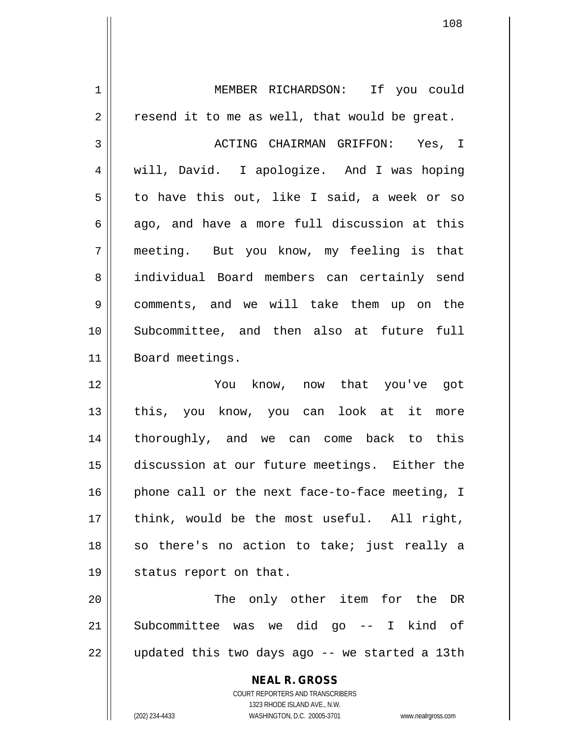1 || MEMBER RICHARDSON: If you could  $2 \parallel$  resend it to me as well, that would be great. 3 ACTING CHAIRMAN GRIFFON: Yes, I 4 || will, David. I apologize. And I was hoping 5 to have this out, like I said, a week or so  $6 \parallel$  ago, and have a more full discussion at this 7 meeting. But you know, my feeling is that 8 || individual Board members can certainly send 9 | comments, and we will take them up on the 10 Subcommittee, and then also at future full 11 || Board meetings. 12 You know, now that you've got 13 || this, you know, you can look at it more 14 thoroughly, and we can come back to this 15 discussion at our future meetings. Either the  $16$  | phone call or the next face-to-face meeting, I  $17$  || think, would be the most useful. All right,  $18$  so there's no action to take; just really a 19 || status report on that. 20 || The only other item for the DR 21 Subcommittee was we did go -- I kind of  $22 \parallel$  updated this two days ago -- we started a 13th

> **NEAL R. GROSS** COURT REPORTERS AND TRANSCRIBERS 1323 RHODE ISLAND AVE., N.W.

(202) 234-4433 WASHINGTON, D.C. 20005-3701 www.nealrgross.com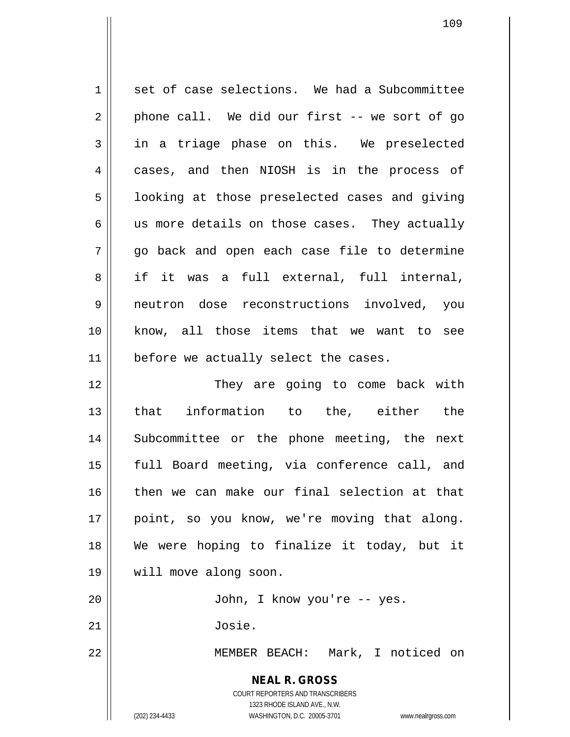**NEAL R. GROSS** COURT REPORTERS AND TRANSCRIBERS 1323 RHODE ISLAND AVE., N.W. (202) 234-4433 WASHINGTON, D.C. 20005-3701 www.nealrgross.com 1 set of case selections. We had a Subcommittee  $2 \parallel$  phone call. We did our first -- we sort of go 3 in a triage phase on this. We preselected 4 cases, and then NIOSH is in the process of  $5 \parallel$  looking at those preselected cases and giving  $6 \parallel$  us more details on those cases. They actually  $7 \parallel$  go back and open each case file to determine 8 if it was a full external, full internal, 9 neutron dose reconstructions involved, you 10 know, all those items that we want to see  $11$  | before we actually select the cases. 12 They are going to come back with 13 || that information to the, either the 14 || Subcommittee or the phone meeting, the next 15 || full Board meeting, via conference call, and 16 then we can make our final selection at that 17 || point, so you know, we're moving that along. 18 We were hoping to finalize it today, but it 19 will move along soon. 20 John, I know you're -- yes. 21 Josie. 22 MEMBER BEACH: Mark, I noticed on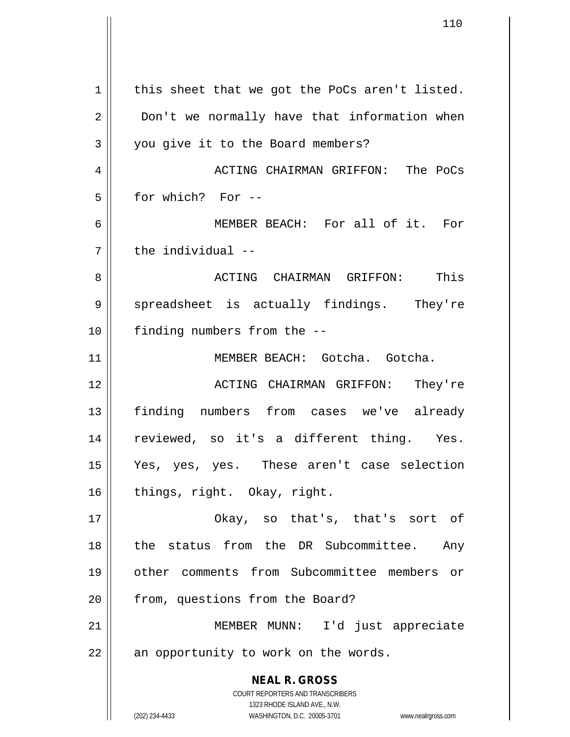**NEAL R. GROSS** COURT REPORTERS AND TRANSCRIBERS 1323 RHODE ISLAND AVE., N.W. (202) 234-4433 WASHINGTON, D.C. 20005-3701 www.nealrgross.com  $1 \parallel$  this sheet that we got the PoCs aren't listed. 2 | Don't we normally have that information when 3 || you give it to the Board members? 4 ACTING CHAIRMAN GRIFFON: The PoCs  $5 \parallel$  for which? For --6 MEMBER BEACH: For all of it. For  $7$   $\parallel$  the individual --8 ACTING CHAIRMAN GRIFFON: This  $9 \parallel$  spreadsheet is actually findings. They're 10 || finding numbers from the --11 MEMBER BEACH: Gotcha. Gotcha. 12 ACTING CHAIRMAN GRIFFON: They're 13 finding numbers from cases we've already 14 || reviewed, so it's a different thing. Yes. 15 Yes, yes, yes. These aren't case selection 16 | things, right. Okay, right. 17 Okay, so that's, that's sort of 18 || the status from the DR Subcommittee. Any 19 other comments from Subcommittee members or 20 | from, questions from the Board? 21 MEMBER MUNN: I'd just appreciate  $22$  || an opportunity to work on the words.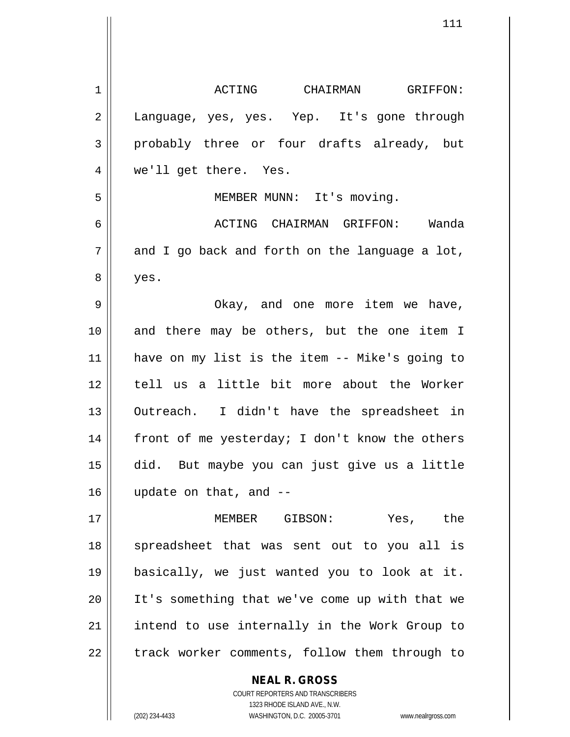| 1  | ACTING CHAIRMAN GRIFFON:                       |
|----|------------------------------------------------|
| 2  | Language, yes, yes. Yep. It's gone through     |
| 3  | probably three or four drafts already, but     |
| 4  | we'll get there. Yes.                          |
| 5  | MEMBER MUNN: It's moving.                      |
| 6  | ACTING CHAIRMAN GRIFFON: Wanda                 |
| 7  | and I go back and forth on the language a lot, |
| 8  | yes.                                           |
| 9  | Okay, and one more item we have,               |
| 10 | and there may be others, but the one item I    |
| 11 | have on my list is the item -- Mike's going to |
| 12 | tell us a little bit more about the Worker     |
| 13 | Outreach. I didn't have the spreadsheet in     |
| 14 | front of me yesterday; I don't know the others |
| 15 | did. But maybe you can just give us a little   |
| 16 | update on that, and --                         |
| 17 | MEMBER GIBSON: Yes, the                        |
| 18 | spreadsheet that was sent out to you all is    |
| 19 | basically, we just wanted you to look at it.   |
| 20 | It's something that we've come up with that we |
| 21 | intend to use internally in the Work Group to  |
| 22 | track worker comments, follow them through to  |
|    | <b>NEAL R. GROSS</b>                           |

COURT REPORTERS AND TRANSCRIBERS 1323 RHODE ISLAND AVE., N.W.

 $\mathsf{II}$ 

(202) 234-4433 WASHINGTON, D.C. 20005-3701 www.nealrgross.com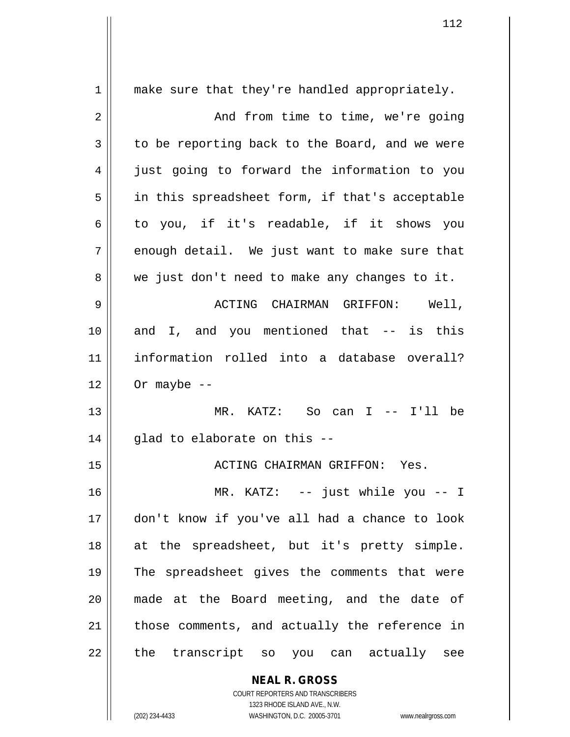| $1\,$          | make sure that they're handled appropriately.                                                       |
|----------------|-----------------------------------------------------------------------------------------------------|
| $\mathbf 2$    | And from time to time, we're going                                                                  |
| 3              | to be reporting back to the Board, and we were                                                      |
| $\overline{4}$ | just going to forward the information to you                                                        |
| 5              | in this spreadsheet form, if that's acceptable                                                      |
| 6              | to you, if it's readable, if it shows you                                                           |
| 7              | enough detail. We just want to make sure that                                                       |
| 8              | we just don't need to make any changes to it.                                                       |
| 9              | ACTING CHAIRMAN GRIFFON: Well,                                                                      |
| 10             | and I, and you mentioned that -- is this                                                            |
| 11             | information rolled into a database overall?                                                         |
| 12             | Or maybe $--$                                                                                       |
| 13             | MR. KATZ: So can I -- I'll be                                                                       |
| 14             | glad to elaborate on this --                                                                        |
| 15             | ACTING CHAIRMAN GRIFFON: Yes.                                                                       |
| 16             | MR. KATZ: -- just while you -- I                                                                    |
| 17             | don't know if you've all had a chance to look                                                       |
| 18             | at the spreadsheet, but it's pretty simple.                                                         |
| 19             | The spreadsheet gives the comments that were                                                        |
| 20             | made at the Board meeting, and the date of                                                          |
| 21             | those comments, and actually the reference in                                                       |
| 22             | the transcript so you can actually see                                                              |
|                | <b>NEAL R. GROSS</b>                                                                                |
|                | COURT REPORTERS AND TRANSCRIBERS                                                                    |
|                | 1323 RHODE ISLAND AVE., N.W.<br>(202) 234-4433<br>WASHINGTON, D.C. 20005-3701<br>www.nealrgross.com |
|                |                                                                                                     |

 $\mathsf{I}$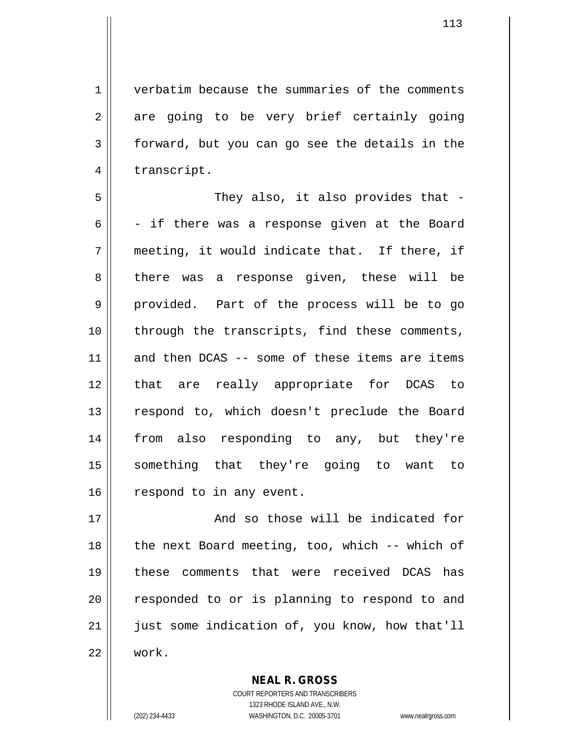1 verbatim because the summaries of the comments 2 are going to be very brief certainly going 3 forward, but you can go see the details in the 4 | transcript.

5 They also, it also provides that - 6  $\vert$  - if there was a response given at the Board  $7 \parallel$  meeting, it would indicate that. If there, if 8 || there was a response given, these will be 9 || provided. Part of the process will be to go 10 || through the transcripts, find these comments, 11 and then DCAS -- some of these items are items 12 that are really appropriate for DCAS to 13 || respond to, which doesn't preclude the Board 14 from also responding to any, but they're 15 something that they're going to want to 16 | respond to in any event.

17 || The Solomon and so those will be indicated for 18  $\parallel$  the next Board meeting, too, which -- which of 19 these comments that were received DCAS has 20 || responded to or is planning to respond to and 21 || just some indication of, you know, how that'll 22 work.

> COURT REPORTERS AND TRANSCRIBERS 1323 RHODE ISLAND AVE., N.W. (202) 234-4433 WASHINGTON, D.C. 20005-3701 www.nealrgross.com

**NEAL R. GROSS**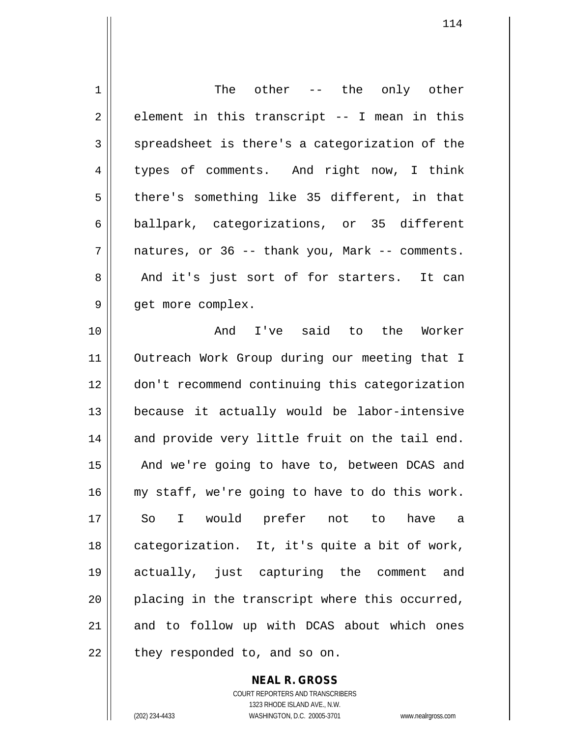| 1  | The other -- the only other                        |
|----|----------------------------------------------------|
| 2  | element in this transcript -- I mean in this       |
| 3  | spreadsheet is there's a categorization of the     |
| 4  | types of comments. And right now, I think          |
| 5  | there's something like 35 different, in that       |
| 6  | ballpark, categorizations, or 35 different         |
| 7  | natures, or 36 -- thank you, Mark -- comments.     |
| 8  | And it's just sort of for starters. It can         |
| 9  | get more complex.                                  |
| 10 | And I've said to the Worker                        |
| 11 | Outreach Work Group during our meeting that I      |
| 12 | don't recommend continuing this categorization     |
| 13 | because it actually would be labor-intensive       |
| 14 | and provide very little fruit on the tail end.     |
| 15 | And we're going to have to, between DCAS and       |
| 16 | my staff, we're going to have to do this work.     |
| 17 | I would prefer not to<br>have<br>So<br>$\mathsf a$ |
| 18 | categorization. It, it's quite a bit of work,      |
| 19 | actually, just capturing the comment and           |
| 20 | placing in the transcript where this occurred,     |
| 21 | and to follow up with DCAS about which ones        |
| 22 | they responded to, and so on.                      |

COURT REPORTERS AND TRANSCRIBERS 1323 RHODE ISLAND AVE., N.W. (202) 234-4433 WASHINGTON, D.C. 20005-3701 www.nealrgross.com

**NEAL R. GROSS**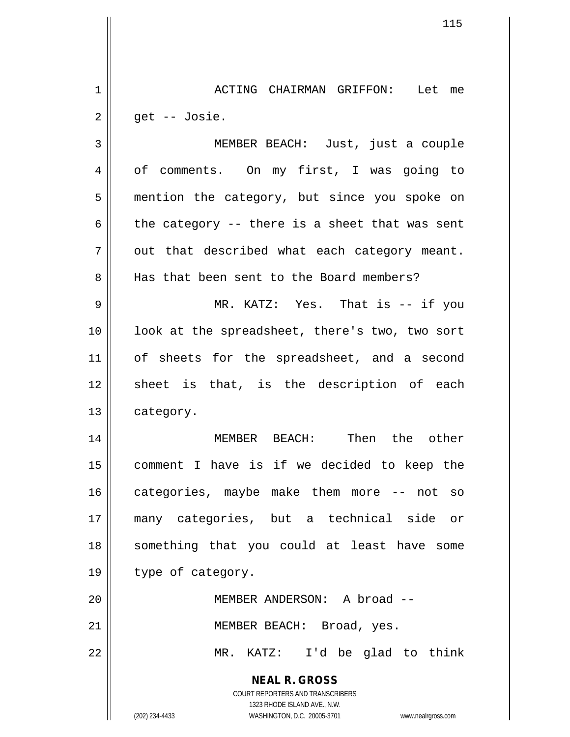1 ACTING CHAIRMAN GRIFFON: Let me  $2 \parallel$  get -- Josie.

**NEAL R. GROSS** 3 MEMBER BEACH: Just, just a couple 4 | of comments. On my first, I was going to 5 || mention the category, but since you spoke on 6 the category -- there is a sheet that was sent  $7 \parallel$  out that described what each category meant. 8 || Has that been sent to the Board members? 9 MR. KATZ: Yes. That is -- if you 10 || look at the spreadsheet, there's two, two sort 11 || of sheets for the spreadsheet, and a second 12 || sheet is that, is the description of each 13 | category. 14 MEMBER BEACH: Then the other 15 comment I have is if we decided to keep the 16 || categories, maybe make them more -- not so 17 many categories, but a technical side or 18 || something that you could at least have some 19 || type of category. 20 MEMBER ANDERSON: A broad -- 21 || MEMBER BEACH: Broad, yes. 22 MR. KATZ: I'd be glad to think

> COURT REPORTERS AND TRANSCRIBERS 1323 RHODE ISLAND AVE., N.W.

(202) 234-4433 WASHINGTON, D.C. 20005-3701 www.nealrgross.com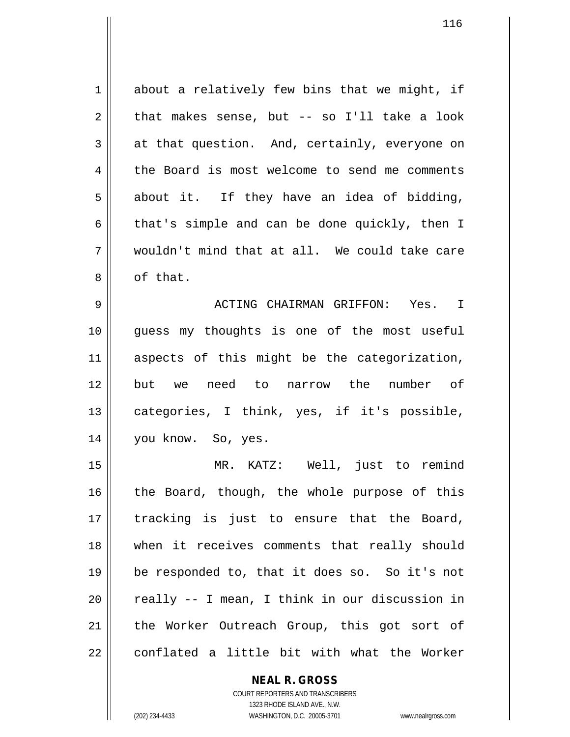$1 \parallel$  about a relatively few bins that we might, if  $2 \parallel$  that makes sense, but -- so I'll take a look  $3 \parallel$  at that question. And, certainly, everyone on 4 the Board is most welcome to send me comments  $5 \parallel$  about it. If they have an idea of bidding, 6 that's simple and can be done quickly, then I 7 wouldn't mind that at all. We could take care 8 | of that. 9 ACTING CHAIRMAN GRIFFON: Yes. I 10 guess my thoughts is one of the most useful 11 aspects of this might be the categorization, 12 but we need to narrow the number of 13 || categories, I think, yes, if it's possible, 14 you know. So, yes. 15 MR. KATZ: Well, just to remind  $16$  | the Board, though, the whole purpose of this 17 || tracking is just to ensure that the Board,

 when it receives comments that really should be responded to, that it does so. So it's not || really  $-$  I mean, I think in our discussion in 21 || the Worker Outreach Group, this got sort of conflated a little bit with what the Worker

> COURT REPORTERS AND TRANSCRIBERS 1323 RHODE ISLAND AVE., N.W. (202) 234-4433 WASHINGTON, D.C. 20005-3701 www.nealrgross.com

**NEAL R. GROSS**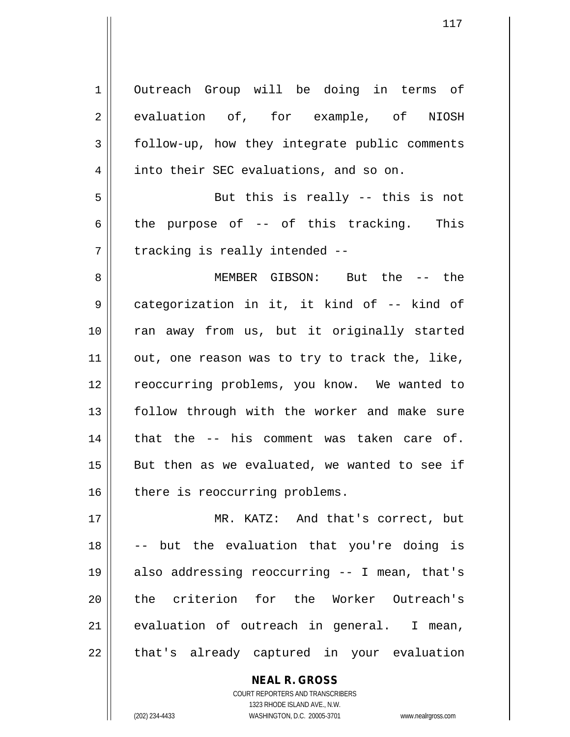1 | Outreach Group will be doing in terms of 2 evaluation of, for example, of NIOSH 3 | follow-up, how they integrate public comments 4 | into their SEC evaluations, and so on.  $5 \parallel$  But this is really -- this is not 6 the purpose of  $-$  of this tracking. This  $7$  | tracking is really intended  $-$ 8 MEMBER GIBSON: But the -- the 9 categorization in it, it kind of -- kind of 10 || ran away from us, but it originally started

 $11$  | out, one reason was to try to track the, like, 12 || reoccurring problems, you know. We wanted to 13 || follow through with the worker and make sure  $14$  | that the  $-$  his comment was taken care of.  $15$  || But then as we evaluated, we wanted to see if 16 there is reoccurring problems.

 MR. KATZ: And that's correct, but -- but the evaluation that you're doing is also addressing reoccurring -- I mean, that's 20 the criterion for the Worker Outreach's evaluation of outreach in general. I mean, || that's already captured in your evaluation

> COURT REPORTERS AND TRANSCRIBERS 1323 RHODE ISLAND AVE., N.W. (202) 234-4433 WASHINGTON, D.C. 20005-3701 www.nealrgross.com

**NEAL R. GROSS**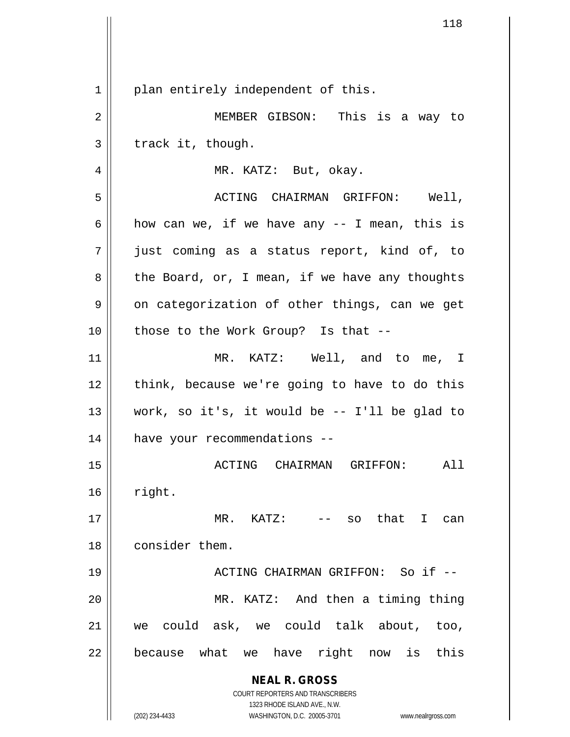|    | 118                                                                 |
|----|---------------------------------------------------------------------|
|    |                                                                     |
|    |                                                                     |
| 1  | plan entirely independent of this.                                  |
| 2  | MEMBER GIBSON: This is a way to                                     |
| 3  | track it, though.                                                   |
| 4  | MR. KATZ: But, okay.                                                |
| 5  | Well,<br>ACTING CHAIRMAN GRIFFON:                                   |
| 6  | how can we, if we have any -- I mean, this is                       |
| 7  | just coming as a status report, kind of, to                         |
| 8  | the Board, or, I mean, if we have any thoughts                      |
| 9  | on categorization of other things, can we get                       |
| 10 | those to the Work Group? Is that --                                 |
| 11 | MR. KATZ: Well, and to me, I                                        |
| 12 | think, because we're going to have to do this                       |
| 13 | work, so it's, it would be -- I'll be glad to                       |
| 14 | have your recommendations --                                        |
| 15 | ACTING CHAIRMAN GRIFFON:<br>All                                     |
| 16 | right.                                                              |
| 17 | MR. KATZ:<br>-- so that I<br>can                                    |
| 18 | consider them.                                                      |
| 19 | ACTING CHAIRMAN GRIFFON: So if --                                   |
| 20 | MR. KATZ: And then a timing thing                                   |
| 21 | could ask, we could talk about,<br>too,<br>we                       |
| 22 | because what we have right now<br>is<br>this                        |
|    | <b>NEAL R. GROSS</b>                                                |
|    | COURT REPORTERS AND TRANSCRIBERS<br>1323 RHODE ISLAND AVE., N.W.    |
|    | (202) 234-4433<br>WASHINGTON, D.C. 20005-3701<br>www.nealrgross.com |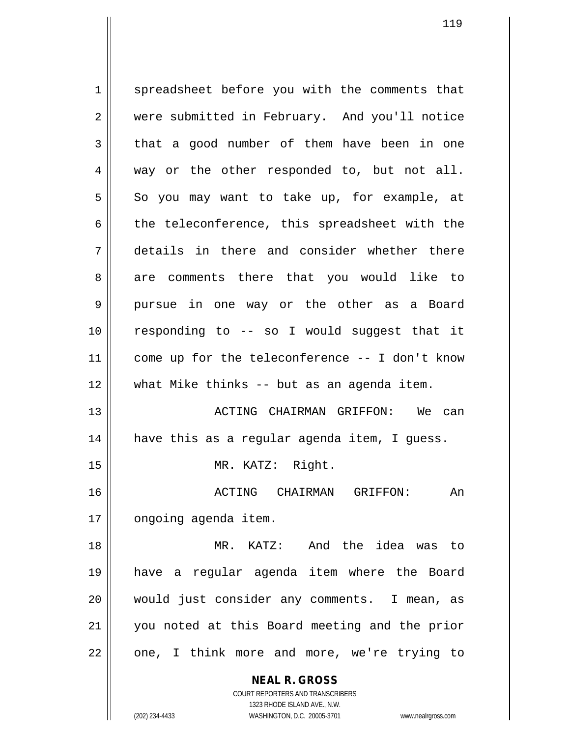**NEAL R. GROSS** COURT REPORTERS AND TRANSCRIBERS 1 spreadsheet before you with the comments that 2 were submitted in February. And you'll notice  $3 \parallel$  that a good number of them have been in one 4 way or the other responded to, but not all.  $5 \parallel$  So you may want to take up, for example, at  $6 \parallel$  the teleconference, this spreadsheet with the 7 details in there and consider whether there 8 are comments there that you would like to 9 pursue in one way or the other as a Board 10 responding to -- so I would suggest that it 11 come up for the teleconference -- I don't know 12 what Mike thinks -- but as an agenda item. 13 ACTING CHAIRMAN GRIFFON: We can 14 have this as a regular agenda item, I guess. 15 || MR. KATZ: Right. 16 ACTING CHAIRMAN GRIFFON: An 17 | ongoing agenda item. 18 MR. KATZ: And the idea was to 19 have a regular agenda item where the Board 20 would just consider any comments. I mean, as 21 you noted at this Board meeting and the prior 22 || one, I think more and more, we're trying to

1323 RHODE ISLAND AVE., N.W. (202) 234-4433 WASHINGTON, D.C. 20005-3701 www.nealrgross.com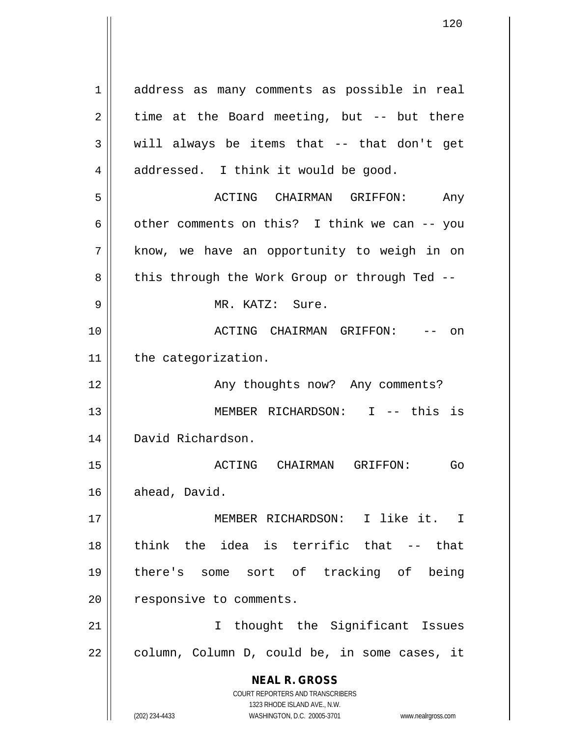**NEAL R. GROSS** COURT REPORTERS AND TRANSCRIBERS 1323 RHODE ISLAND AVE., N.W. 1 address as many comments as possible in real  $2 \parallel$  time at the Board meeting, but -- but there  $3 \parallel$  will always be items that -- that don't get  $4 \parallel$  addressed. I think it would be good. 5 ACTING CHAIRMAN GRIFFON: Any 6 |  $\sigma$  other comments on this? I think we can -- you 7 || know, we have an opportunity to weigh in on 8 || this through the Work Group or through Ted --9 MR. KATZ: Sure. 10 ACTING CHAIRMAN GRIFFON: -- on 11 | the categorization. 12 || Any thoughts now? Any comments? 13 MEMBER RICHARDSON: I -- this is 14 David Richardson. 15 ACTING CHAIRMAN GRIFFON: Go 16 ahead, David. 17 MEMBER RICHARDSON: I like it. I 18 think the idea is terrific that -- that 19 there's some sort of tracking of being 20 | responsive to comments. 21 || Thought the Significant Issues  $22$  | column, Column D, could be, in some cases, it

(202) 234-4433 WASHINGTON, D.C. 20005-3701 www.nealrgross.com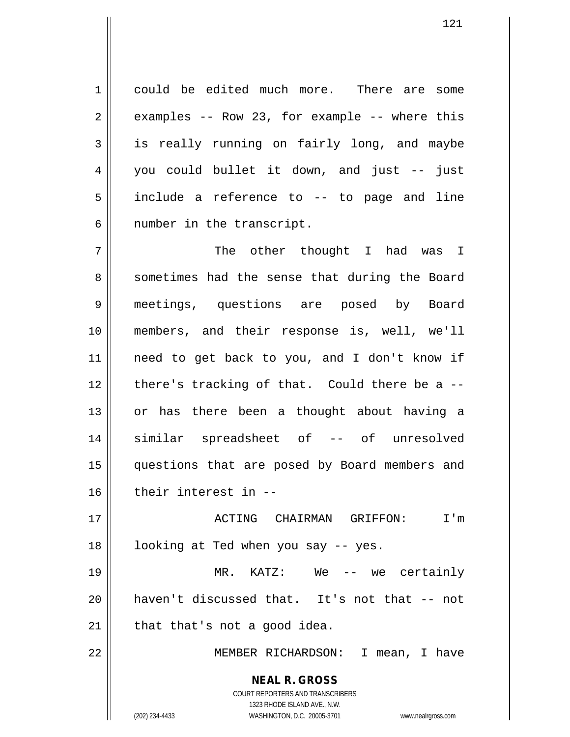1 could be edited much more. There are some  $2 \parallel$  examples -- Row 23, for example -- where this  $3 \parallel$  is really running on fairly long, and maybe 4 you could bullet it down, and just -- just 5 || include a reference to -- to page and line  $6$  || number in the transcript.

 The other thought I had was I 8 || sometimes had the sense that during the Board meetings, questions are posed by Board members, and their response is, well, we'll need to get back to you, and I don't know if | there's tracking of that. Could there be a  $-$ 13 || or has there been a thought about having a similar spreadsheet of -- of unresolved questions that are posed by Board members and their interest in --

 ACTING CHAIRMAN GRIFFON: I'm | looking at Ted when you say  $-$  yes. MR. KATZ: We -- we certainly haven't discussed that. It's not that -- not

 $21$  || that that's not a good idea.

22 MEMBER RICHARDSON: I mean, I have

**NEAL R. GROSS** COURT REPORTERS AND TRANSCRIBERS 1323 RHODE ISLAND AVE., N.W.

(202) 234-4433 WASHINGTON, D.C. 20005-3701 www.nealrgross.com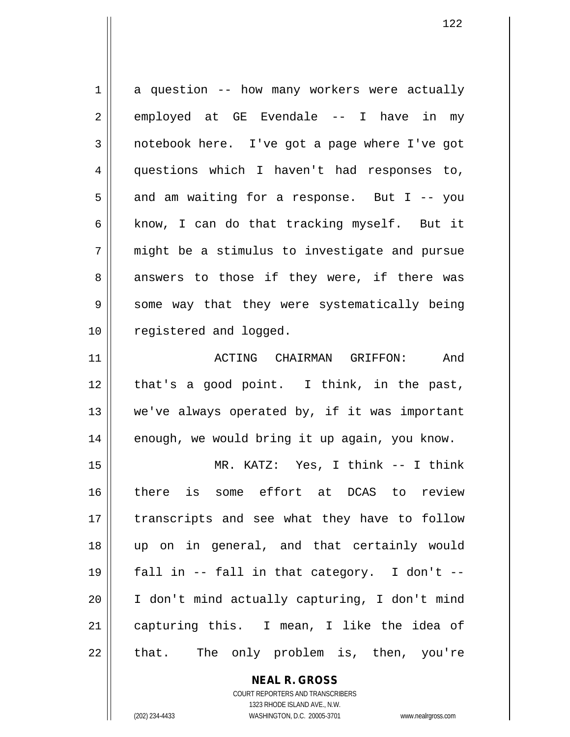| $\mathbf 1$ | a question -- how many workers were actually  |
|-------------|-----------------------------------------------|
| 2           | employed at GE Evendale -- I have in my       |
| 3           | notebook here. I've got a page where I've got |
| 4           | questions which I haven't had responses to,   |
| 5           | and am waiting for a response. But I -- you   |
| 6           | know, I can do that tracking myself. But it   |
| 7           | might be a stimulus to investigate and pursue |
| 8           | answers to those if they were, if there was   |
| 9           | some way that they were systematically being  |
| 10          | registered and logged.                        |
| 11          | ACTING CHAIRMAN GRIFFON:<br>And               |
| 12          | that's a good point. I think, in the past,    |
| 13          | we've always operated by, if it was important |
| 14          | enough, we would bring it up again, you know. |
| 15          | MR. KATZ: Yes, I think -- I think             |
| 16          | is some effort at DCAS to review<br>there     |
| 17          | transcripts and see what they have to follow  |
| 18          | up on in general, and that certainly would    |
| 19          | fall in -- fall in that category. I don't --  |
| 20          | I don't mind actually capturing, I don't mind |
| 21          | capturing this. I mean, I like the idea of    |
| 22          | The only problem is, then, you're<br>that.    |

**NEAL R. GROSS** COURT REPORTERS AND TRANSCRIBERS 1323 RHODE ISLAND AVE., N.W.

 $\mathsf{II}$ 

(202) 234-4433 WASHINGTON, D.C. 20005-3701 www.nealrgross.com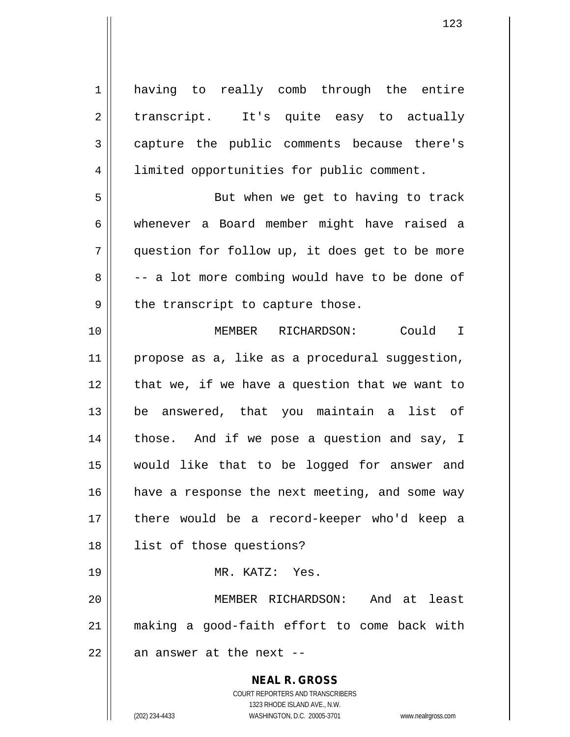**NEAL R. GROSS** COURT REPORTERS AND TRANSCRIBERS 1323 RHODE ISLAND AVE., N.W. 1 || having to really comb through the entire 2 || transcript. It's quite easy to actually 3 capture the public comments because there's 4 | limited opportunities for public comment. 5 || But when we get to having to track 6 whenever a Board member might have raised a 7 question for follow up, it does get to be more  $8 \parallel$  -- a lot more combing would have to be done of  $9 \parallel$  the transcript to capture those. 10 MEMBER RICHARDSON: Could I 11 || propose as a, like as a procedural suggestion,  $12$  | that we, if we have a question that we want to 13 be answered, that you maintain a list of  $14$  | those. And if we pose a question and say, I 15 would like that to be logged for answer and 16 || have a response the next meeting, and some way 17 || there would be a record-keeper who'd keep a 18 list of those questions? 19 MR. KATZ: Yes. 20 MEMBER RICHARDSON: And at least 21 making a good-faith effort to come back with  $22$  || an answer at the next --

(202) 234-4433 WASHINGTON, D.C. 20005-3701 www.nealrgross.com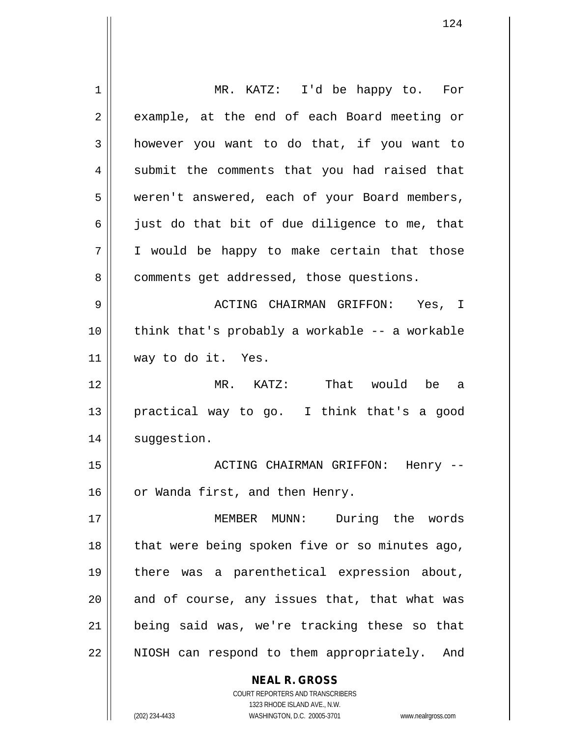**NEAL R. GROSS** 1 MR. KATZ: I'd be happy to. For 2 || example, at the end of each Board meeting or 3 **h** however you want to do that, if you want to  $4 \parallel$  submit the comments that you had raised that 5 | weren't answered, each of your Board members,  $6 \parallel$  just do that bit of due diligence to me, that  $7 \parallel$  I would be happy to make certain that those 8 | comments get addressed, those questions. 9 ACTING CHAIRMAN GRIFFON: Yes, I  $10$  | think that's probably a workable -- a workable 11 way to do it. Yes. 12 MR. KATZ: That would be a 13 practical way to go. I think that's a good 14 | suggestion. 15 ACTING CHAIRMAN GRIFFON: Henry -- 16 | or Wanda first, and then Henry. 17 MEMBER MUNN: During the words 18 || that were being spoken five or so minutes ago, 19 there was a parenthetical expression about, 20 || and of course, any issues that, that what was 21 being said was, we're tracking these so that 22 || NIOSH can respond to them appropriately. And

1323 RHODE ISLAND AVE., N.W. (202) 234-4433 WASHINGTON, D.C. 20005-3701 www.nealrgross.com

COURT REPORTERS AND TRANSCRIBERS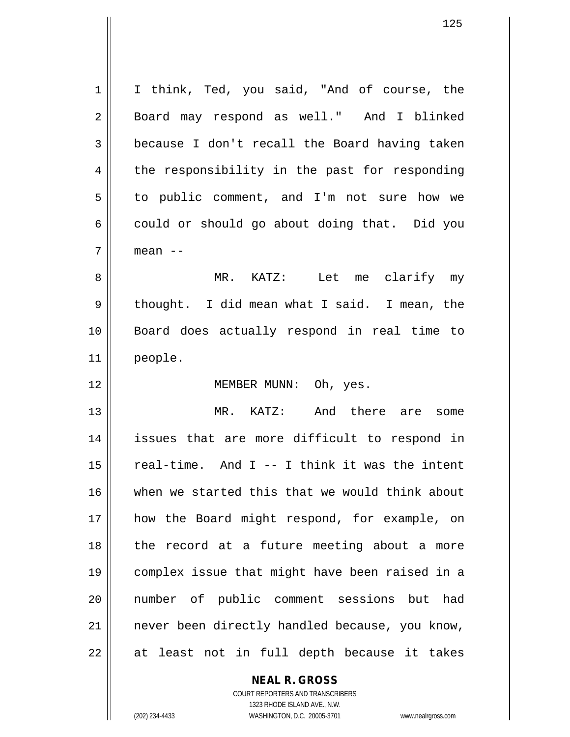1 || I think, Ted, you said, "And of course, the 2 || Board may respond as well." And I blinked 3 because I don't recall the Board having taken  $4 \parallel$  the responsibility in the past for responding 5 | to public comment, and I'm not sure how we  $6 \parallel$  could or should go about doing that. Did you  $7 \parallel$  mean  $-$ 8 MR. KATZ: Let me clarify my 9 || thought. I did mean what I said. I mean, the 10 Board does actually respond in real time to 11 people. 12 || MEMBER MUNN: Oh, yes. 13 || MR. KATZ: And there are some 14 issues that are more difficult to respond in  $15$  | real-time. And I -- I think it was the intent 16 when we started this that we would think about 17 how the Board might respond, for example, on 18 || the record at a future meeting about a more

 complex issue that might have been raised in a number of public comment sessions but had 21 || never been directly handled because, you know, || at least not in full depth because it takes

> **NEAL R. GROSS** COURT REPORTERS AND TRANSCRIBERS

1323 RHODE ISLAND AVE., N.W. (202) 234-4433 WASHINGTON, D.C. 20005-3701 www.nealrgross.com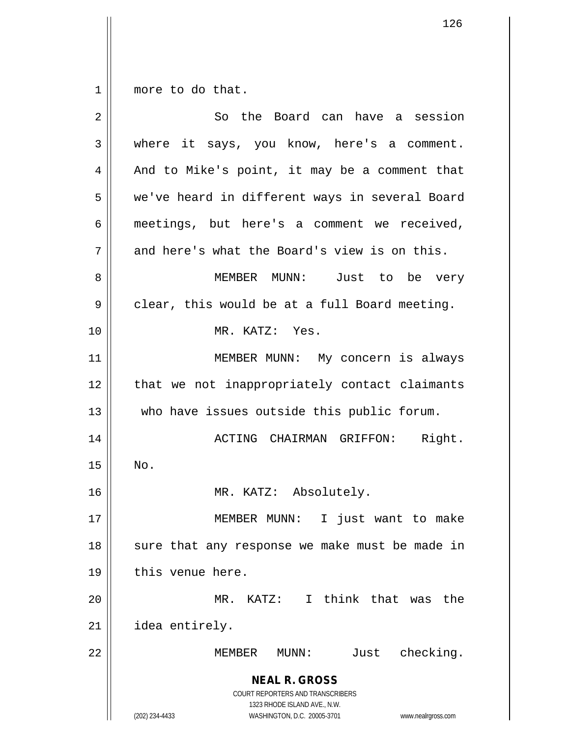$1 \parallel$  more to do that.

| 2  | So the Board can have a session                                                                                                                                 |
|----|-----------------------------------------------------------------------------------------------------------------------------------------------------------------|
| 3  | where it says, you know, here's a comment.                                                                                                                      |
| 4  | And to Mike's point, it may be a comment that                                                                                                                   |
| 5  | we've heard in different ways in several Board                                                                                                                  |
| 6  | meetings, but here's a comment we received,                                                                                                                     |
| 7  | and here's what the Board's view is on this.                                                                                                                    |
| 8  | MEMBER MUNN: Just to be very                                                                                                                                    |
| 9  | clear, this would be at a full Board meeting.                                                                                                                   |
| 10 | MR. KATZ: Yes.                                                                                                                                                  |
| 11 | MEMBER MUNN: My concern is always                                                                                                                               |
| 12 | that we not inappropriately contact claimants                                                                                                                   |
| 13 | who have issues outside this public forum.                                                                                                                      |
| 14 | ACTING CHAIRMAN GRIFFON: Right.                                                                                                                                 |
| 15 | No.                                                                                                                                                             |
| 16 | MR. KATZ: Absolutely.                                                                                                                                           |
| 17 | MEMBER MUNN: I just want to make                                                                                                                                |
| 18 | sure that any response we make must be made in                                                                                                                  |
| 19 | this venue here.                                                                                                                                                |
| 20 | MR. KATZ: I think that was the                                                                                                                                  |
| 21 | idea entirely.                                                                                                                                                  |
| 22 | Just checking.<br>MEMBER MUNN:                                                                                                                                  |
|    | <b>NEAL R. GROSS</b><br>COURT REPORTERS AND TRANSCRIBERS<br>1323 RHODE ISLAND AVE., N.W.<br>(202) 234-4433<br>WASHINGTON, D.C. 20005-3701<br>www.nealrgross.com |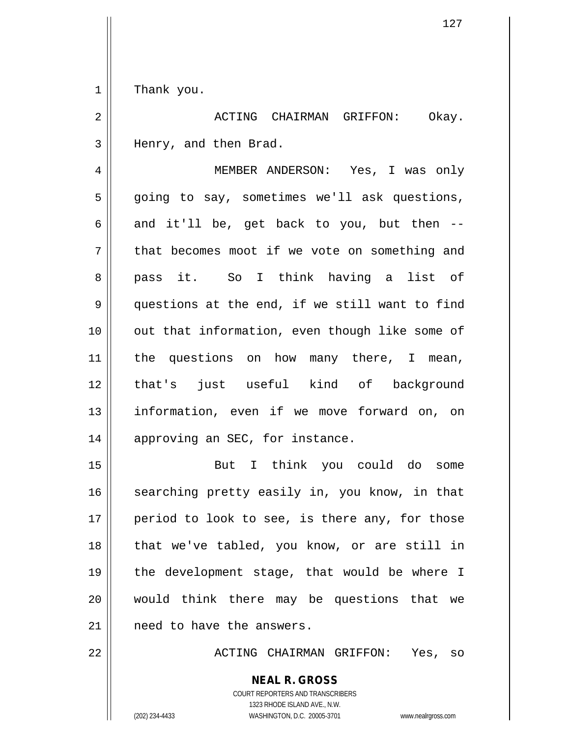1 || Thank you.

2 ACTING CHAIRMAN GRIFFON: Okay. 3 || Henry, and then Brad.

4 MEMBER ANDERSON: Yes, I was only  $5 \parallel$  going to say, sometimes we'll ask questions,  $6 \parallel$  and it'll be, get back to you, but then --7 || that becomes moot if we vote on something and 8 || pass it. So I think having a list of 9 questions at the end, if we still want to find 10 || out that information, even though like some of 11 || the questions on how many there, I mean, 12 that's just useful kind of background 13 information, even if we move forward on, on 14 || approving an SEC, for instance.

 But I think you could do some 16 || searching pretty easily in, you know, in that | period to look to see, is there any, for those || that we've tabled, you know, or are still in the development stage, that would be where I would think there may be questions that we 21 || need to have the answers.

22 ACTING CHAIRMAN GRIFFON: Yes, so

COURT REPORTERS AND TRANSCRIBERS 1323 RHODE ISLAND AVE., N.W. (202) 234-4433 WASHINGTON, D.C. 20005-3701 www.nealrgross.com

**NEAL R. GROSS**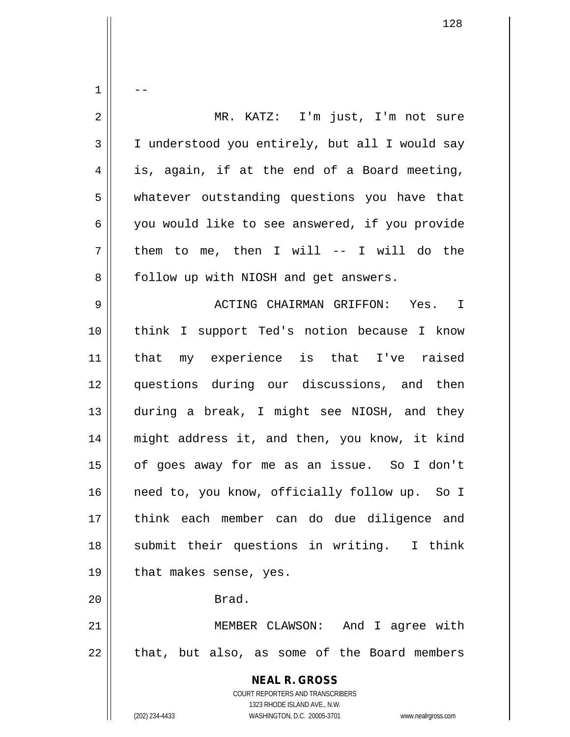**NEAL R. GROSS** COURT REPORTERS AND TRANSCRIBERS 1323 RHODE ISLAND AVE., N.W. (202) 234-4433 WASHINGTON, D.C. 20005-3701 www.nealrgross.com  $1 \parallel - -$ 2 MR. KATZ: I'm just, I'm not sure 3 I understood you entirely, but all I would say  $4 \parallel$  is, again, if at the end of a Board meeting, 5 whatever outstanding questions you have that 6 || you would like to see answered, if you provide  $7 \parallel$  them to me, then I will -- I will do the 8 | follow up with NIOSH and get answers. 9 ACTING CHAIRMAN GRIFFON: Yes. I 10 think I support Ted's notion because I know 11 that my experience is that I've raised 12 questions during our discussions, and then 13 during a break, I might see NIOSH, and they 14 might address it, and then, you know, it kind 15 of goes away for me as an issue. So I don't 16 || need to, you know, officially follow up. So I 17 think each member can do due diligence and 18 || submit their questions in writing. I think 19 || that makes sense, yes. 20 || Brad. 21 MEMBER CLAWSON: And I agree with  $22$  || that, but also, as some of the Board members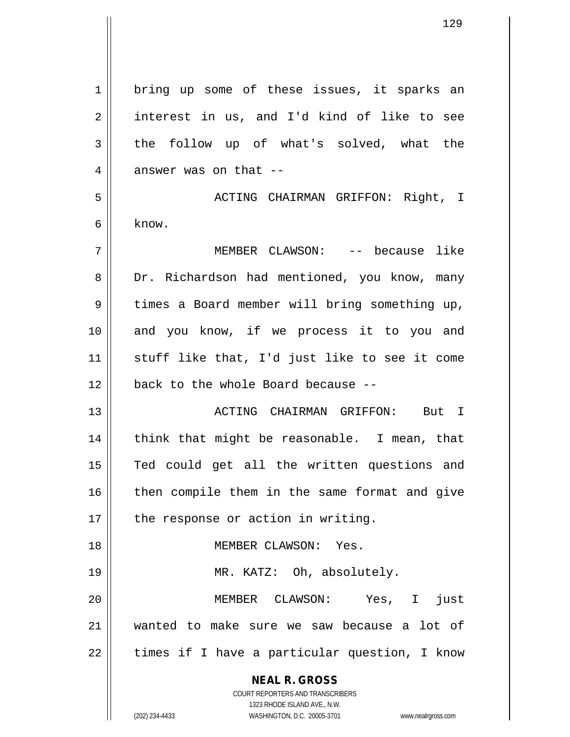| $\mathbf 1$    | bring up some of these issues, it sparks an                         |
|----------------|---------------------------------------------------------------------|
| $\overline{2}$ | interest in us, and I'd kind of like to see                         |
| 3              | the follow up of what's solved, what the                            |
| 4              | answer was on that --                                               |
| 5              | ACTING CHAIRMAN GRIFFON: Right, I                                   |
| 6              | know.                                                               |
| 7              | MEMBER CLAWSON: -- because like                                     |
| 8              | Dr. Richardson had mentioned, you know, many                        |
| 9              | times a Board member will bring something up,                       |
| 10             | and you know, if we process it to you and                           |
| 11             | stuff like that, I'd just like to see it come                       |
| 12             | back to the whole Board because --                                  |
| 13             | ACTING CHAIRMAN GRIFFON: But I                                      |
| 14             | think that might be reasonable. I mean, that                        |
| 15             | Ted could get all the written questions and                         |
| 16             | then compile them in the same format and give                       |
| 17             | the response or action in writing.                                  |
| 18             | MEMBER CLAWSON: Yes.                                                |
| 19             | MR. KATZ: Oh, absolutely.                                           |
| 20             | MEMBER CLAWSON: Yes, I<br>just                                      |
|                |                                                                     |
| 21             | wanted to make sure we saw because a lot of                         |
| 22             | times if I have a particular question, I know                       |
|                | <b>NEAL R. GROSS</b>                                                |
|                | COURT REPORTERS AND TRANSCRIBERS<br>1323 RHODE ISLAND AVE., N.W.    |
|                | (202) 234-4433<br>WASHINGTON, D.C. 20005-3701<br>www.nealrgross.com |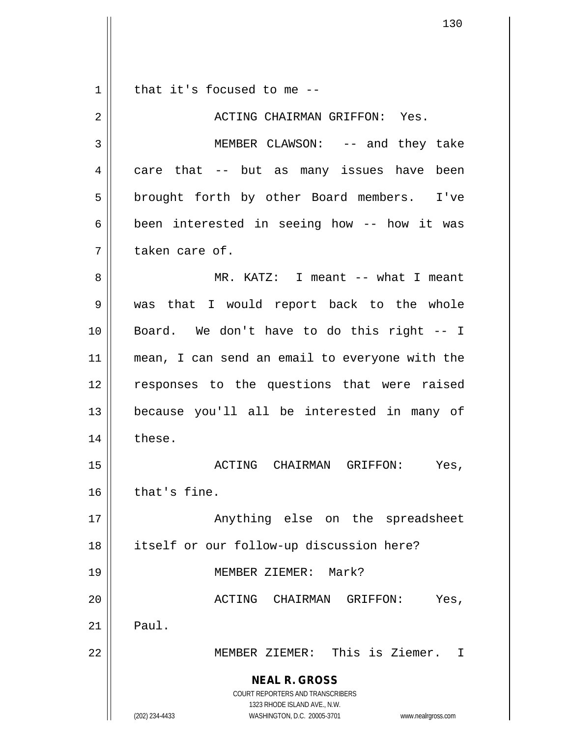**NEAL R. GROSS** COURT REPORTERS AND TRANSCRIBERS 1323 RHODE ISLAND AVE., N.W. (202) 234-4433 WASHINGTON, D.C. 20005-3701 www.nealrgross.com  $1 \parallel$  that it's focused to me --2 ACTING CHAIRMAN GRIFFON: Yes. 3 MEMBER CLAWSON: -- and they take  $4 \parallel$  care that -- but as many issues have been 5 || brought forth by other Board members. I've  $6 \parallel$  been interested in seeing how -- how it was 7 ll taken care of. 8 MR. KATZ: I meant -- what I meant 9 was that I would report back to the whole 10 Board. We don't have to do this right -- I 11 mean, I can send an email to everyone with the 12 || responses to the questions that were raised 13 because you'll all be interested in many of 14 | these. 15 ACTING CHAIRMAN GRIFFON: Yes,  $16$  that's fine. 17 || Anything else on the spreadsheet 18 || itself or our follow-up discussion here? 19 MEMBER ZIEMER: Mark? 20 ACTING CHAIRMAN GRIFFON: Yes,  $21$  | Paul. 22 MEMBER ZIEMER: This is Ziemer. I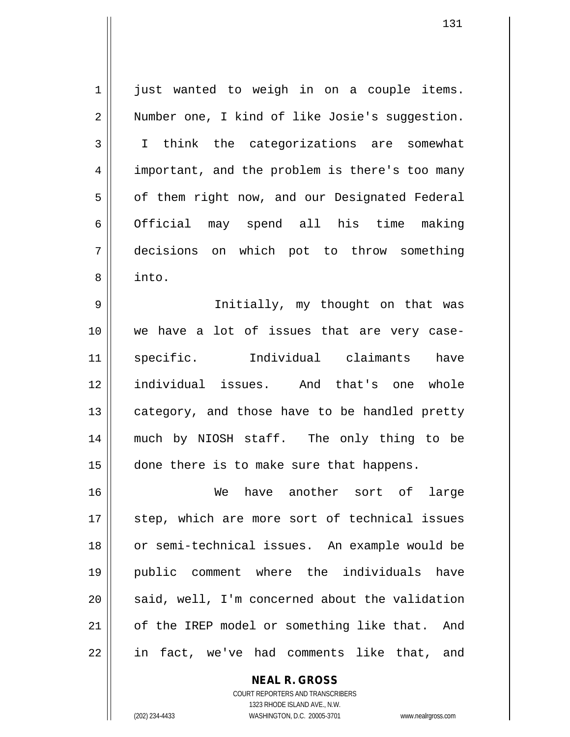1 || just wanted to weigh in on a couple items. 2 | Number one, I kind of like Josie's suggestion. 3 I think the categorizations are somewhat 4 || important, and the problem is there's too many 5 | of them right now, and our Designated Federal 6 | Official may spend all his time making 7 decisions on which pot to throw something 8 into.

 Initially, my thought on that was we have a lot of issues that are very case- specific. Individual claimants have individual issues. And that's one whole category, and those have to be handled pretty much by NIOSH staff. The only thing to be 15 || done there is to make sure that happens.

16 We have another sort of large 17 || step, which are more sort of technical issues 18 or semi-technical issues. An example would be 19 public comment where the individuals have  $20$  || said, well, I'm concerned about the validation 21 | of the IREP model or something like that. And 22 || in fact, we've had comments like that, and

**NEAL R. GROSS**

COURT REPORTERS AND TRANSCRIBERS 1323 RHODE ISLAND AVE., N.W. (202) 234-4433 WASHINGTON, D.C. 20005-3701 www.nealrgross.com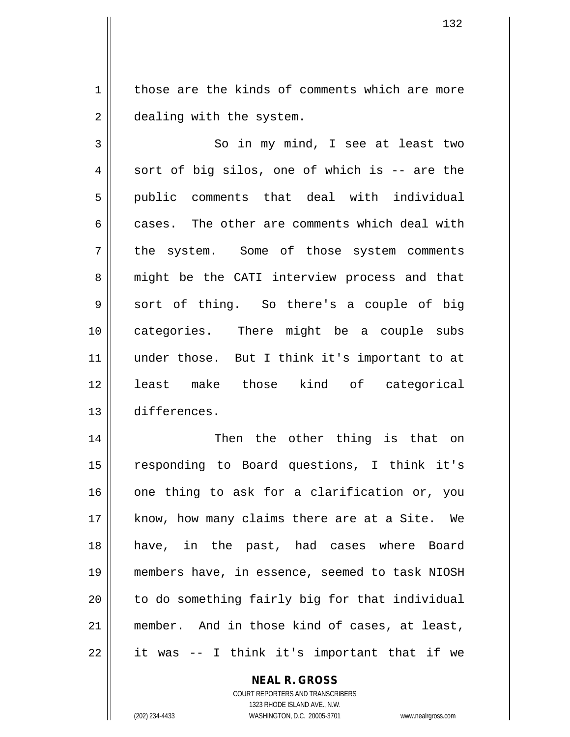1 | those are the kinds of comments which are more 2 | dealing with the system.

3 || So in my mind, I see at least two  $4 \parallel$  sort of big silos, one of which is -- are the 5 public comments that deal with individual 6  $\parallel$  cases. The other are comments which deal with 7 || the system. Some of those system comments 8 || might be the CATI interview process and that  $9 \parallel$  sort of thing. So there's a couple of big 10 categories. There might be a couple subs 11 || under those. But I think it's important to at 12 least make those kind of categorical 13 differences.

 Then the other thing is that on responding to Board questions, I think it's one thing to ask for a clarification or, you 17 || know, how many claims there are at a Site. We have, in the past, had cases where Board members have, in essence, seemed to task NIOSH || to do something fairly big for that individual member. And in those kind of cases, at least,  $22 \parallel$  it was -- I think it's important that if we

**NEAL R. GROSS**

COURT REPORTERS AND TRANSCRIBERS 1323 RHODE ISLAND AVE., N.W. (202) 234-4433 WASHINGTON, D.C. 20005-3701 www.nealrgross.com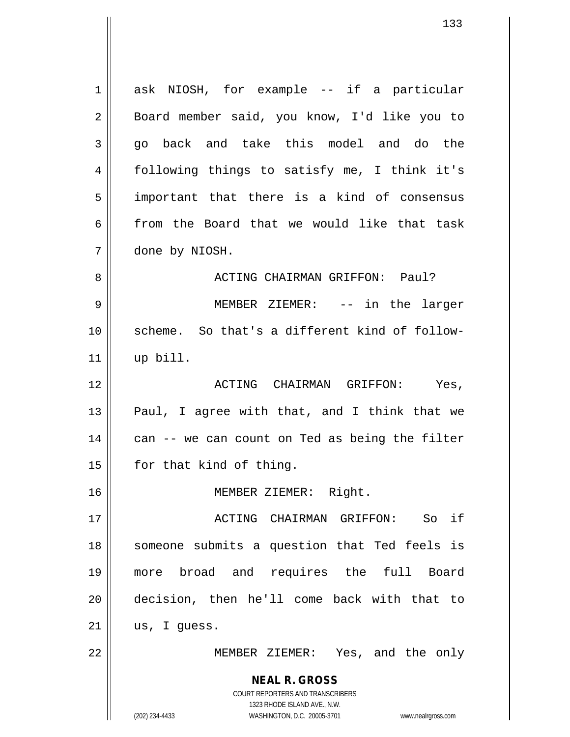**NEAL R. GROSS** COURT REPORTERS AND TRANSCRIBERS 1323 RHODE ISLAND AVE., N.W. 1 ask NIOSH, for example -- if a particular 2 || Board member said, you know, I'd like you to  $3 \parallel$  go back and take this model and do the following things to satisfy me, I think it's important that there is a kind of consensus || from the Board that we would like that task done by NIOSH. ACTING CHAIRMAN GRIFFON: Paul? MEMBER ZIEMER: -- in the larger scheme. So that's a different kind of follow- up bill. ACTING CHAIRMAN GRIFFON: Yes,  $\parallel$  Paul, I agree with that, and I think that we | can -- we can count on Ted as being the filter 15 | for that kind of thing. MEMBER ZIEMER: Right. ACTING CHAIRMAN GRIFFON: So if 18 || someone submits a question that Ted feels is more broad and requires the full Board decision, then he'll come back with that to | us, I guess. MEMBER ZIEMER: Yes, and the only

(202) 234-4433 WASHINGTON, D.C. 20005-3701 www.nealrgross.com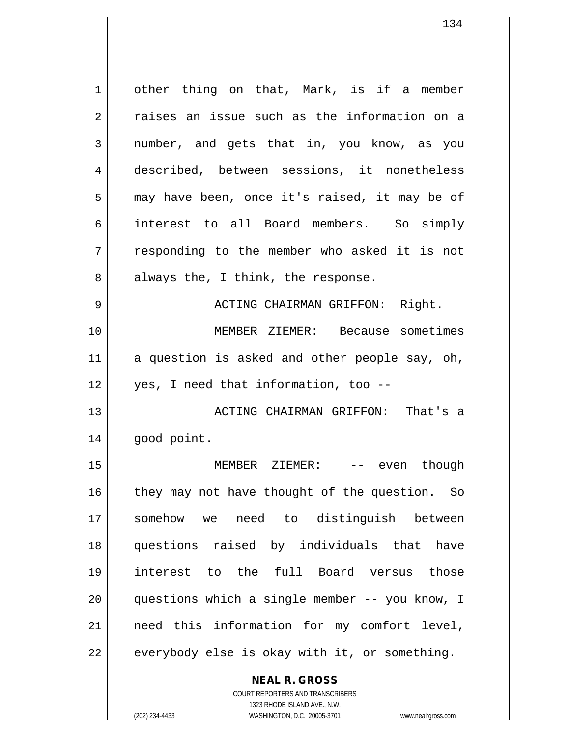1 | other thing on that, Mark, is if a member 2 | raises an issue such as the information on a 3 || number, and gets that in, you know, as you 4 described, between sessions, it nonetheless 5 || may have been, once it's raised, it may be of 6 interest to all Board members. So simply 7 || responding to the member who asked it is not  $8 \parallel$  always the, I think, the response. 9 ACTING CHAIRMAN GRIFFON: Right. 10 MEMBER ZIEMER: Because sometimes  $11$  a question is asked and other people say, oh, 12 yes, I need that information, too -- 13 || ACTING CHAIRMAN GRIFFON: That's a 14 | good point. 15 MEMBER ZIEMER: -- even though  $16$  they may not have thought of the question. So 17 somehow we need to distinguish between 18 questions raised by individuals that have 19 interest to the full Board versus those 20 questions which a single member -- you know, I 21 need this information for my comfort level,  $22 \parallel$  everybody else is okay with it, or something.

> **NEAL R. GROSS** COURT REPORTERS AND TRANSCRIBERS

> > 1323 RHODE ISLAND AVE., N.W.

(202) 234-4433 WASHINGTON, D.C. 20005-3701 www.nealrgross.com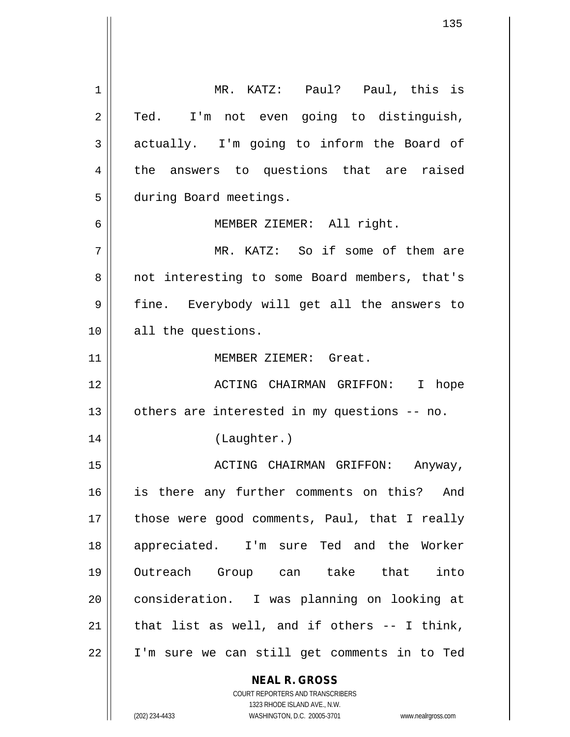**NEAL R. GROSS** COURT REPORTERS AND TRANSCRIBERS 1323 RHODE ISLAND AVE., N.W. 1 MR. KATZ: Paul? Paul, this is  $2 \parallel$  Ted. I'm not even going to distinguish,  $3 \parallel$  actually. I'm going to inform the Board of 4 the answers to questions that are raised 5 | during Board meetings. 6 MEMBER ZIEMER: All right. 7 MR. KATZ: So if some of them are 8 || not interesting to some Board members, that's 9 || fine. Everybody will get all the answers to 10 || all the questions. 11 MEMBER ZIEMER: Great. 12 ACTING CHAIRMAN GRIFFON: I hope  $13$  | others are interested in my questions -- no. 14 (Laughter.) 15 ACTING CHAIRMAN GRIFFON: Anyway, 16 || is there any further comments on this? And 17 || those were good comments, Paul, that I really 18 appreciated. I'm sure Ted and the Worker 19 Outreach Group can take that into 20 | consideration. I was planning on looking at  $21$  | that list as well, and if others -- I think, 22 I'm sure we can still get comments in to Ted

(202) 234-4433 WASHINGTON, D.C. 20005-3701 www.nealrgross.com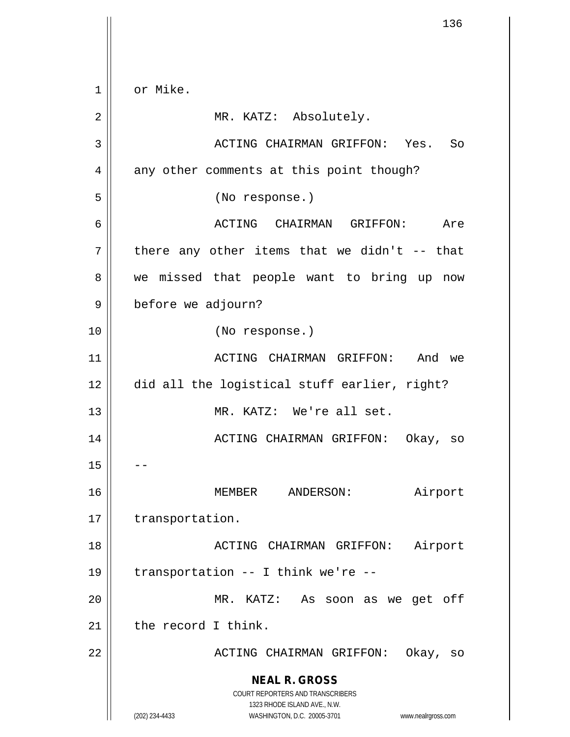**NEAL R. GROSS** COURT REPORTERS AND TRANSCRIBERS 1323 RHODE ISLAND AVE., N.W. (202) 234-4433 WASHINGTON, D.C. 20005-3701 www.nealrgross.com 1 or Mike. 2 | MR. KATZ: Absolutely. 3 ACTING CHAIRMAN GRIFFON: Yes. So 4 || any other comments at this point though? 5 (No response.) 6 ACTING CHAIRMAN GRIFFON: Are  $7 \parallel$  there any other items that we didn't -- that 8 we missed that people want to bring up now 9 | before we adjourn? 10 (No response.) 11 ACTING CHAIRMAN GRIFFON: And we 12 did all the logistical stuff earlier, right? 13 MR. KATZ: We're all set. 14 ACTING CHAIRMAN GRIFFON: Okay, so  $15$ 16 MEMBER ANDERSON: Airport 17 | transportation. 18 ACTING CHAIRMAN GRIFFON: Airport 19  $\parallel$  transportation -- I think we're --20 MR. KATZ: As soon as we get off  $21$  the record I think. 22 ACTING CHAIRMAN GRIFFON: Okay, so